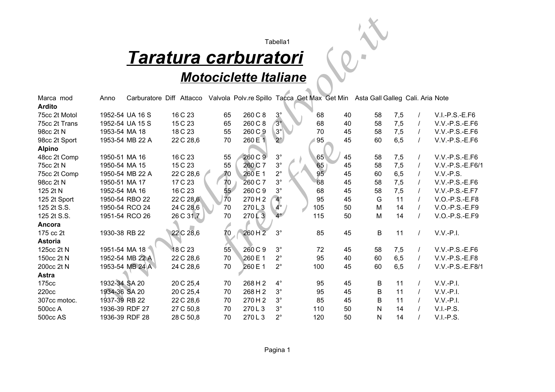# *Taratura carburatori*

### *Motociclette Italiane*

|                            |               |                 |                             |    |                                                                               | Tabella1    |     |    |         |     |          |                  |
|----------------------------|---------------|-----------------|-----------------------------|----|-------------------------------------------------------------------------------|-------------|-----|----|---------|-----|----------|------------------|
|                            |               |                 | <u>Taratura carburatori</u> |    |                                                                               |             |     |    |         |     |          |                  |
|                            |               |                 |                             |    | <b>Motociclette Italiane</b>                                                  |             |     |    |         |     |          |                  |
|                            |               |                 |                             |    |                                                                               |             |     |    |         |     |          |                  |
| Marca mod<br><b>Ardito</b> | Anno          |                 | Carburatore Diff Attacco    |    | Valvola Polv.re Spillo Tacca Get Max Get Min Asta Gall Galleg Cali. Aria Note |             |     |    |         |     |          |                  |
| 75cc 2t Motol              |               | 1952-54 UA 16 S | 16 C 23                     | 65 | 260 C 8                                                                       | $3^\circ$   | 68  | 40 | 58      | 7,5 |          | $V.I.-P.S.-E.F6$ |
| 75cc 2t Trans              |               | 1952-54 UA 15 S | 15 C 23                     | 65 | 260 C 8                                                                       | $3^\circ$   | 68  | 40 | 58      | 7,5 |          | V.V.-P.S.-E.F6   |
| 98cc 2t N                  | 1953-54 MA 18 |                 | 18 C 23                     | 55 | 260 C 9                                                                       | $3^\circ$   | 70  | 45 | 58      | 7,5 | $\prime$ | $V.V.-P.S.-E.F6$ |
| 98cc 2t Sport              |               | 1953-54 MB 22 A | 22 C 28,6                   | 70 | 260 E 1                                                                       | $2^{\circ}$ | 95  | 45 | 60      | 6,5 | $\prime$ | $V.V.-P.S.-E.F6$ |
| <b>Alpino</b>              |               |                 |                             |    |                                                                               |             |     |    |         |     |          |                  |
| 48cc 2t Comp               | 1950-51 MA 16 |                 | 16 C 23                     | 55 | 260 C 9                                                                       | $3^{\circ}$ | 65  | 45 | 58      | 7,5 |          | V.V.-P.S.-E.F6   |
| 75cc 2t N                  | 1950-54 MA 15 |                 | 15 C 23                     | 55 | 260 C 7                                                                       | $3^{\circ}$ | 65  | 45 | 58      | 7,5 |          | V.V.-P.S.-E.F6/1 |
| 75cc 2t Comp               |               | 1950-54 MB 22 A | 22 C 28,6                   | 70 | 260 E 1                                                                       | $2^{\circ}$ | 95  | 45 | 60      | 6,5 |          | $V.V.-P.S.$      |
| 98cc 2t N                  | 1950-51 MA 17 |                 | 17 C 23                     | 70 | 260 C 7                                                                       | $3^{\circ}$ | 68  | 45 | 58      | 7,5 |          | $V.V.-P.S.-E.F6$ |
| 125 2t N                   | 1952-54 MA 16 |                 | 16 C 23                     | 55 | 260 C 9                                                                       | $3^\circ$   | 68  | 45 | 58      | 7,5 |          | V.V.-P.S.-E.F7   |
| 125 2t Sport               |               | 1950-54 RBO 22  | 22 C 28,6                   | 70 | 270H2                                                                         | $4^\circ$   | 95  | 45 | G       | 11  |          | V.O.-P.S.-E.F8   |
| 125 2t S.S.                |               | 1950-54 RCO 24  | 24 C 28,6                   | 70 | 270L3                                                                         | $4^{\circ}$ | 105 | 50 | M       | 14  |          | V.O.-P.S.-E.F9   |
| 125 2t S.S.                |               | 1951-54 RCO 26  | 26 C 31,7                   | 70 | 270L3                                                                         | $4^{\circ}$ | 115 | 50 | M       | 14  |          | V.O.-P.S.-E.F9   |
| Ancora                     |               |                 |                             |    |                                                                               |             |     |    |         |     |          |                  |
| 175 cc 2t                  | 1930-38 RB 22 |                 | 22 C 28,6                   | 70 | 260 H 2                                                                       | $3^\circ$   | 85  | 45 | B       | 11  | $\prime$ | $V.V.-P.I.$      |
| <b>Astoria</b>             |               |                 |                             |    |                                                                               |             |     |    |         |     |          |                  |
| 125cc 2t N                 |               | 1951-54 MA 18   | 18 C 23                     | 55 | 260 C 9                                                                       | $3^\circ$   | 72  | 45 | 58      | 7,5 | $\prime$ | $V.V.-P.S.-E.F6$ |
| 150cc 2t N                 |               | 1952-54 MB 22 A | 22 C 28,6                   | 70 | 260 E 1                                                                       | $2^{\circ}$ | 95  | 40 | 60      | 6,5 | $\prime$ | $V.V.-P.S.-E.F8$ |
| 200cc 2t N                 |               | 1953-54 MB 24 A | 24 C 28,6                   | 70 | 260 E 1                                                                       | $2^{\circ}$ | 100 | 45 | 60      | 6,5 | $\prime$ | V.V.-P.S.-E.F8/1 |
| <b>Astra</b>               |               |                 |                             |    |                                                                               |             |     |    |         |     |          |                  |
| 175cc                      | 1932-34 SA 20 |                 | 20 C 25,4                   | 70 | 268 H 2                                                                       | $4^\circ$   | 95  | 45 | B       | 11  |          | $V.V.-P.I.$      |
| 220cc                      | 1934-36 SA 20 |                 | 20 C 25,4                   | 70 | 268 H 2                                                                       | $3^{\circ}$ | 95  | 45 | $\sf B$ | 11  |          | $V.V.-P.I.$      |
| 307cc motoc.               | 1937-39 RB 22 |                 | 22 C 28,6                   | 70 | 270H2                                                                         | $3^{\circ}$ | 85  | 45 | B       | 11  |          | $V.V.-P.I.$      |
| 500cc A                    |               | 1936-39 RDF 27  | 27 C 50,8                   | 70 | 270L3                                                                         | $3^\circ$   | 110 | 50 | N       | 14  |          | $V.I.-P.S.$      |
| 500cc AS                   |               | 1936-39 RDF 28  | 28 C 50,8                   | 70 | 270L3                                                                         | $2^{\circ}$ | 120 | 50 | N       | 14  |          | $V.I.-P.S.$      |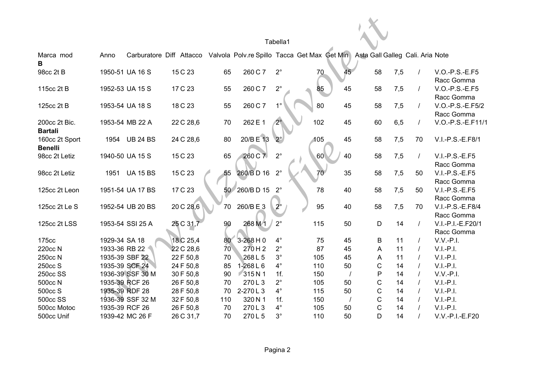|                                  |                |                  |                          |                 |               | Tabella1    |                                                                               |    |             |     |          |                                 |
|----------------------------------|----------------|------------------|--------------------------|-----------------|---------------|-------------|-------------------------------------------------------------------------------|----|-------------|-----|----------|---------------------------------|
| Marca mod<br>В                   | Anno           |                  | Carburatore Diff Attacco |                 |               |             | Valvola Polv.re Spillo Tacca Get Max Get Min Asta Gall Galleg Cali. Aria Note |    |             |     |          |                                 |
| 98cc 2t B                        |                | 1950-51 UA 16 S  | 15 C 23                  | 65              | 260 C 7       | $2^{\circ}$ | 70                                                                            | 45 | 58          | 7,5 | $\prime$ | V.O.-P.S.-E.F5<br>Racc Gomma    |
| 115cc 2t B                       |                | 1952-53 UA 15 S  | 17 C 23                  | 55              | 260 C 7       | $2^{\circ}$ | 85                                                                            | 45 | 58          | 7,5 | $\prime$ | V.O.-P.S.-E.F5<br>Racc Gomma    |
| 125cc 2t B                       |                | 1953-54 UA 18 S  | 18 C 23                  | 55              | 260 C 7       | $1^{\circ}$ | 80                                                                            | 45 | 58          | 7,5 |          | V.O.-P.S.-E.F5/2<br>Racc Gomma  |
| 200cc 2t Bic.<br><b>Bartali</b>  |                | 1953-54 MB 22 A  | 22 C 28,6                | 70              | 262 E 1       | $2^\circ$   | 102                                                                           | 45 | 60          | 6,5 | $\prime$ | V.O.-P.S.-E.F11/1               |
| 160cc 2t Sport<br><b>Benelli</b> |                | 1954 UB 24 BS    | 24 C 28,6                | 80              | 20/B E 13     | $2^{\circ}$ | 105                                                                           | 45 | 58          | 7,5 | 70       | V.I.-P.S.-E.F8/1                |
| 98cc 2t Letiz                    |                | 1940-50 UA 15 S  | 15 C 23                  | 65              | 260 C 7       | $2^{\circ}$ | 60                                                                            | 40 | 58          | 7,5 | $\prime$ | $V.I.-P.S.-E.F5$<br>Racc Gomma  |
| 98cc 2t Letiz                    |                | 1951 UA 15 BS    | 15 C 23                  | 55              | 260/BD 16     | $2^{\circ}$ |                                                                               | 35 | 58          | 7,5 | 50       | $V.I.-P.S.-E.F5$<br>Racc Gomma  |
| 125cc 2t Leon                    |                | 1951-54 UA 17 BS | 17 C 23                  |                 | 50 260/B D 15 | $2^{\circ}$ | 78                                                                            | 40 | 58          | 7,5 | 50       | $V.I.-P.S.-E.F5$<br>Racc Gomma  |
| 125cc 2t Le S                    |                | 1952-54 UB 20 BS | 20 C 28,6                | 70              | 260/BE3       | $2^{\circ}$ | 95                                                                            | 40 | 58          | 7,5 | 70       | V.I.-P.S.-E.F8/4<br>Racc Gomma  |
| 125cc 2t LSS                     |                | 1953-54 SSI 25 A | 25 C 31,7                | 90              | 268 M 1       | $2^{\circ}$ | 115                                                                           | 50 | $\mathsf D$ | 14  | $\prime$ | V.I.-P.I.-E.F20/1<br>Racc Gomma |
| 175cc                            | 1929-34 SA 18  |                  | 18 C 25,4                | 80              | $3 - 268$ H 0 | $4^\circ$   | 75                                                                            | 45 | B           | 11  |          | $V.V.-P.I.$                     |
| 220cc N                          | 1933-36 RB 22  |                  | 22 C 28,6                | 70 <sub>1</sub> | 270H2         | $2^{\circ}$ | 87                                                                            | 45 | A           | 11  |          | $V.I.-P.I.$                     |
| 250cc N                          |                | 1935-39 SBF 22   | 22 F 50,8                | 70              | 268 L 5       | $3^\circ$   | 105                                                                           | 45 | Α           | 11  |          | $V.I.-P.I.$                     |
| 250cc S                          |                | 1935-39 SCF 24   | 24 F 50,8                | 85              | $1 - 268$ L 6 | $4^\circ$   | 110                                                                           | 50 | ${\bf C}$   | 14  |          | $V.I.-P.I.$                     |
| 250cc SS                         |                | 1936-39 SSF 30 M | 30 F 50,8                | 90              | 315N1         | 1f.         | 150                                                                           |    | ${\sf P}$   | 14  |          | $V.V.-P.I.$                     |
| 500cc N                          | 1935-39 RCF 26 |                  | 26 F 50,8                | 70              | 270L3         | $2^{\circ}$ | 105                                                                           | 50 | $\mathsf C$ | 14  |          | $V.I.-P.I.$                     |
| 500cc S                          | 1935-39 RDF 28 |                  | 28 F 50,8                | 70              | 2-270L3       | $4^{\circ}$ | 115                                                                           | 50 | $\mathsf C$ | 14  |          | $V.I.-P.I.$                     |
| <b>500cc SS</b>                  |                | 1936-39 SSF 32 M | 32 F 50,8                | 110             | 320 N 1       | 1f.         | 150                                                                           |    | $\mathsf C$ | 14  |          | $V.I.-P.I.$                     |
| 500cc Motoc                      |                | 1935-39 RCF 26   | 26 F 50,8                | 70              | 270L3         | $4^\circ$   | 105                                                                           | 50 | $\mathsf C$ | 14  |          | $V.I.-P.I.$                     |
| 500cc Unif                       |                | 1939-42 MC 26 F  | 26 C 31,7                | 70              | 270L5         | $3^\circ$   | 110                                                                           | 50 | D           | 14  |          | V.V.-P.I.-E.F20                 |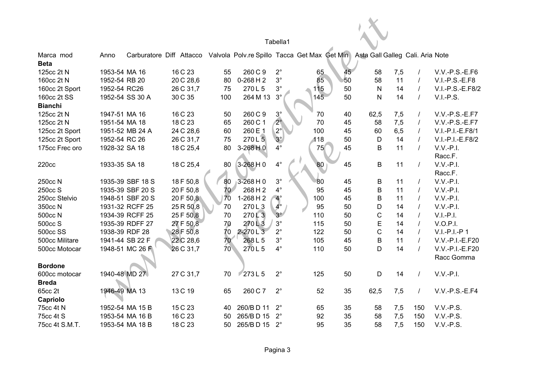|                |               |                                                                       |           |                 |                     | Tabella1    |       |    |                                  |     |                |                  |
|----------------|---------------|-----------------------------------------------------------------------|-----------|-----------------|---------------------|-------------|-------|----|----------------------------------|-----|----------------|------------------|
| Marca mod      | Anno          | Carburatore Diff Attacco Valvola Polv.re Spillo Tacca Get Max Get Min |           |                 |                     |             |       |    | Asta Gall Galleg Cali. Aria Note |     |                |                  |
| <b>Beta</b>    |               |                                                                       |           |                 |                     |             |       |    |                                  |     |                |                  |
| 125cc 2t N     | 1953-54 MA 16 |                                                                       | 16 C 23   | 55              | 260 C 9             | $2^{\circ}$ | 65    | 45 | 58                               | 7,5 | $\prime$       | V.V.-P.S.-E.F6   |
| 160cc 2t N     | 1952-54 RB 20 |                                                                       | 20 C 28,6 | 80              | $0-268$ H 2         | $3^{\circ}$ | 85    | 50 | 58                               | 11  | $\prime$       | V.I.-P.S.-E.F8   |
| 160cc 2t Sport | 1952-54 RC26  |                                                                       | 26 C 31,7 | 75              | 270L5               | $3^{\circ}$ | $115$ | 50 | ${\sf N}$                        | 14  | $\prime$       | V.I.-P.S.-E.F8/2 |
| 160cc 2t SS    |               | 1952-54 SS 30 A                                                       | 30 C 35   | 100             | 264 M 13            | $3^\circ$   | 145   | 50 | $\mathsf{N}$                     | 14  | $\overline{I}$ | $V.I.-P.S.$      |
| <b>Bianchi</b> |               |                                                                       |           |                 |                     |             |       |    |                                  |     |                |                  |
| 125cc 2t N     | 1947-51 MA 16 |                                                                       | 16 C 23   | 50              | 260 C 9             | $3^\circ$   | 70    | 40 | 62,5                             | 7,5 | $\prime$       | V.V.-P.S.-E.F7   |
| 125cc 2t N     | 1951-54 MA 18 |                                                                       | 18 C 23   | 65              | 260 C 1             | $2^\circ$   | 70    | 45 | 58                               | 7,5 | $\prime$       | V.V.-P.S.-E.F7   |
| 125cc 2t Sport |               | 1951-52 MB 24 A                                                       | 24 C 28,6 | 60              | 260 E 1             | $2^{\circ}$ | 100   | 45 | 60                               | 6,5 | $\prime$       | V.I.-P.I.-E.F8/1 |
| 125cc 2t Sport | 1952-54 RC 26 |                                                                       | 26 C 31,7 | 75              | $270 L\overline{5}$ | $3^\circ$   | 118   | 50 | $\mathsf D$                      | 14  | $\prime$       | V.I.-P.I.-E.F8/2 |
| 175cc Frec oro | 1928-32 SA 18 |                                                                       | 18 C 25,4 | 80              | $3-268H0$           | $4^\circ$   | 75    | 45 | $\mathsf B$                      | 11  | $\prime$       | $V.V.-P.I.$      |
|                |               |                                                                       |           |                 |                     |             |       |    |                                  |     |                | Racc.F.          |
| 220cc          | 1933-35 SA 18 |                                                                       | 18 C 25,4 | 80              | $3-268$ H 0         | $4^\circ$   | 80    | 45 | $\, {\bf B}$                     | 11  | $\prime$       | $V.V.-P.I.$      |
|                |               |                                                                       |           |                 |                     |             |       |    |                                  |     |                | Racc.F.          |
| 250cc N        |               | 1935-39 SBF 18 S                                                      | 18 F 50,8 | 80              | $3 - 268$ H 0       | $3^{\circ}$ | 80    | 45 | B                                | 11  | $\prime$       | $V.V.-P.I.$      |
| 250cc S        |               | 1935-39 SBF 20 S                                                      | 20 F 50,8 | 70              | 268 H 2             | $4^\circ$   | 95    | 45 | $\mathsf B$                      | 11  | $\prime$       | $V.V.-P.I.$      |
| 250cc Stelvio  |               | 1948-51 SBF 20 S                                                      | 20 F 50,8 | 70              | $1-268$ H 2         | $4^\circ$   | 100   | 45 | $\mathsf B$                      | 11  | $\prime$       | $V.V.-P.I.$      |
| 350cc N        |               | 1931-32 RCFF 25                                                       | 25 R 50,8 | 70              | 270L3               | $4^{\circ}$ | 95    | 50 | D                                | 14  | $\prime$       | $V.V.-P.I.$      |
| 500cc N        |               | 1934-39 RCFF 25                                                       | 25 F 50,8 | 70              | 270L3               | $3^\circ$   | 110   | 50 | $\mathsf C$                      | 14  | $\prime$       | $V.I.-P.I.$      |
| 500cc S        |               | 1935-39 RDFF 27                                                       | 27 F 50,8 | 70              | 270L3               | $3^\circ$   | 115   | 50 | $\mathsf E$                      | 14  | $\prime$       | <b>V.O.P.I.</b>  |
| 500cc SS       |               | 1938-39 RDF 28                                                        | 28 F 50,8 | 70              | 2-270L3             | $2^{\circ}$ | 122   | 50 | $\mathsf C$                      | 14  | $\prime$       | V.I.-P.I.-P1     |
| 500cc Militare |               | 1941-44 SB 22 F                                                       | 22 C 28,6 | 70              | 268L5               | $3^{\circ}$ | 105   | 45 | $\sf B$                          | 11  | $\overline{I}$ | V.V.-P.I.-E.F20  |
| 500cc Motocar  |               | 1948-51 MC 26 F                                                       | 26 C 31,7 | 70 <sub>1</sub> | 270L5               | $4^{\circ}$ | 110   | 50 | D                                | 14  | $\overline{I}$ | V.V.-P.I.-E.F20  |
|                |               |                                                                       |           |                 |                     |             |       |    |                                  |     |                | Racc Gomma       |
| <b>Bordone</b> |               |                                                                       |           |                 |                     |             |       |    |                                  |     |                |                  |
| 600cc motocar  | 1940-48 MD 27 |                                                                       | 27 C 31,7 | 70              | 273L5               | $2^{\circ}$ | 125   | 50 | $\mathsf D$                      | 14  | $\overline{1}$ | $V.V.-P.I.$      |
| <b>Breda</b>   |               |                                                                       |           |                 |                     |             |       |    |                                  |     |                |                  |
| 65cc 2t        | 1946-49 MA 13 |                                                                       | 13 C 19   | 65              | 260 C 7             | $2^{\circ}$ | 52    | 35 | 62,5                             | 7,5 | $\sqrt{ }$     | V.V.-P.S.-E.F4   |
| Capriolo       |               |                                                                       |           |                 |                     |             |       |    |                                  |     |                |                  |
| 75cc 4t N      |               | 1952-54 MA 15 B                                                       | 15 C 23   | 40              | 260/BD 11           | $2^{\circ}$ | 65    | 35 | 58                               | 7,5 | 150            | V.V.-P.S.        |
| 75cc 4t S      |               | 1953-54 MA 16 B                                                       | 16 C 23   | 50              | 265/BD 15           | $2^{\circ}$ | 92    | 35 | 58                               | 7,5 | 150            | V.V.-P.S.        |
| 75cc 4t S.M.T. |               | 1953-54 MA 18 B                                                       | 18 C 23   | 50              | 265/BD 15           | $2^{\circ}$ | 95    | 35 | 58                               | 7,5 | 150            | $V.V.-P.S.$      |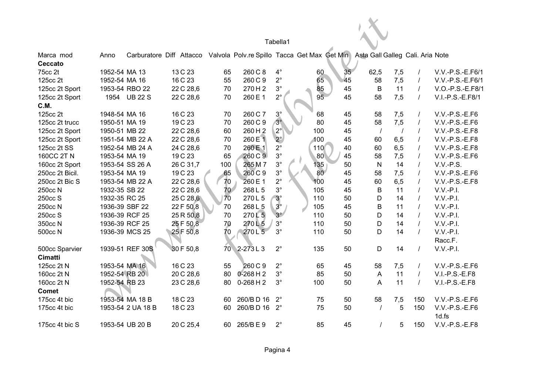|                        |                |                   |           |                 |                    | Tabella1             |                                                                                                        |                 |          |          |                |                  |
|------------------------|----------------|-------------------|-----------|-----------------|--------------------|----------------------|--------------------------------------------------------------------------------------------------------|-----------------|----------|----------|----------------|------------------|
|                        |                |                   |           |                 |                    |                      |                                                                                                        |                 |          |          |                |                  |
| Marca mod<br>Ceccato   | Anno           |                   |           |                 |                    |                      | Carburatore Diff Attacco Valvola Polv.re Spillo Tacca Get Max Get Min Asta Gall Galleg Cali. Aria Note |                 |          |          |                |                  |
| 75cc 2t                | 1952-54 MA 13  |                   | 13 C 23   | 65              | 260 C 8            | $\mathbf{4}^{\circ}$ | 60                                                                                                     | 35 <sub>5</sub> | 62,5     | 7,5      |                | V.V.-P.S.-E.F6/1 |
|                        | 1952-54 MA 16  |                   | 16 C 23   | 55              | 260 C 9            | $2^{\circ}$          | 65                                                                                                     |                 |          |          |                | V.V.-P.S.-E.F6/1 |
| 125cc 2t               |                |                   |           |                 |                    |                      |                                                                                                        | 45              | 58       | 7,5      | $\prime$       |                  |
| 125cc 2t Sport         |                | 1953-54 RBO 22    | 22 C 28,6 | 70              | 270H2              | $3^{\circ}$          | 85                                                                                                     | 45              | B        | 11       | $\prime$       | V.O.-P.S.-E.F8/1 |
| 125cc 2t Sport<br>C.M. |                | 1954 UB 22 S      | 22 C 28,6 | 70              | 260 E 1            | $2^{\circ}$          | 95                                                                                                     | 45              | 58       | 7,5      | $\prime$       | V.I.-P.S.-E.F8/1 |
| 125cc 2t               | 1948-54 MA 16  |                   | 16 C 23   | 70              | 260 C 7            | $3^\circ$            | 68                                                                                                     | 45              | 58       | 7,5      | $\prime$       | $V.V.-P.S.-E.F6$ |
| 125cc 2t trucc         | 1950-51 MA 19  |                   | 19 C 23   | 70              | 260 C 9            | $3^\circ$            | 80                                                                                                     | 45              | 58       | 7,5      | $\prime$       | V.V.-P.S.-E.F6   |
| 125cc 2t Sport         | 1950-51 MB 22  |                   | 22 C 28,6 | 60              | 260 H <sub>2</sub> | $2^{\circ}$          | 100                                                                                                    | 45              | $\prime$ | $\prime$ | $\overline{I}$ | V.V.-P.S.-E.F8   |
| 125cc 2t Sport         |                | 1951-54 MB 22 A   | 22 C 28,6 | 70              | 260 E 1            | $2^{\circ}$          | 100                                                                                                    | 45              | 60       | 6,5      | $\prime$       | V.V.-P.S.-E.F8   |
| 125cc 2t SS            |                | 1952-54 MB 24 A   | 24 C 28,6 | 70              | 260 E 1            | $2^{\circ}$          | 110                                                                                                    | 40              | 60       | 6,5      | $\prime$       | V.V.-P.S.-E.F8   |
| 160CC 2T N             | 1953-54 MA 19  |                   | 19 C 23   | 65              | 260 C 9            | $3^{\circ}$          | 80                                                                                                     | 45              | 58       | 7,5      | $\prime$       | $V.V.-P.S.-E.F6$ |
| 160cc 2t Sport         |                | 1953-54 SS 26 A   | 26 C 31,7 | 100             | 265 M 7            | $3^{\circ}$          | 135                                                                                                    | 50              | N        | 14       | $\prime$       | $V.V.-P.S.$      |
| 250cc 2t Bicil.        | 1953-54 MA 19  |                   | 19 C 23   | 65              | 260 C 9            | $3^{\circ}$          | 80                                                                                                     | 45              | 58       | 7,5      | $\prime$       | $V.V.-P.S.-E.F6$ |
| 250cc 2t Bic S         |                | 1953-54 MB 22 A   | 22 C 28,6 | 70              | 260 E 1            | $2^{\circ}$          | 100                                                                                                    | 45              | 60       | 6,5      | $\prime$       | V.V.-P.S.-E.F8   |
| 250cc N                | 1932-35 SB 22  |                   | 22 C 28,6 | 70              | 268 L 5            | $3^{\circ}$          | 105                                                                                                    | 45              | B        | 11       | $\prime$       | $V.V.-P.I.$      |
| 250cc S                | 1932-35 RC 25  |                   | 25 C 28,6 | 70              | 270L5              | $3^\circ$            | 110                                                                                                    | 50              | D        | 14       | $\prime$       | $V.V.-P.I.$      |
| 250cc N                | 1936-39 SBF 22 |                   | 22 F 50,8 | 70              | 268 L 5            | $3^\circ$            | 105                                                                                                    | 45              | $\sf B$  | 11       | $\prime$       | $V.V.-P.I.$      |
| 250cc S                |                | 1936-39 RCF 25    | 25 R 50,8 | 70              | 270L5              | $3^\circ$            | 110                                                                                                    | 50              | D        | 14       | $\prime$       | $V.V.-P.I.$      |
| 350cc N                |                | 1936-39 RCF 25    | 25 F 50,8 | 70              | 270L5              | $3^{\circ}$          | 110                                                                                                    | 50              | D        | 14       | $\prime$       | $V.V.-P.I.$      |
| 500cc N                |                | 1936-39 MCS 25    | 25 F 50,8 | 70              | 270L5              | $3^{\circ}$          | 110                                                                                                    | 50              | D        | 14       | $\overline{I}$ | $V.V.-P.I.$      |
|                        |                |                   |           |                 |                    |                      |                                                                                                        |                 |          |          |                | Racc.F.          |
| 500cc Sparvier         |                | 1939-51 REF 30S   | 30 F 50,8 | 70 <sub>1</sub> | $2-273L3$          | $2^{\circ}$          | 135                                                                                                    | 50              | D        | 14       | $\prime$       | $V.V.-P.I.$      |
| Cimatti                |                |                   |           |                 |                    |                      |                                                                                                        |                 |          |          |                |                  |
| 125cc 2t N             | 1953-54 MA 16  |                   | 16 C 23   | 55              | 260 C 9            | $2^{\circ}$          | 65                                                                                                     | 45              | 58       | 7,5      | $\prime$       | V.V.-P.S.-E.F6   |
| 160cc 2t N             | 1952-54 RB 20  |                   | 20 C 28,6 | 80              | $0 - 268$ H 2      | $3^{\circ}$          | 85                                                                                                     | 50              | A        | 11       | $\prime$       | $V.I.-P.S.-E.F8$ |
| 160cc 2t N             | 1952-54 RB 23  |                   | 23 C 28,6 | 80              | $0-268$ H 2        | $3^{\circ}$          | 100                                                                                                    | 50              | A        | 11       | $\prime$       | V.I.-P.S.-E.F8   |
| <b>Comet</b>           |                |                   |           |                 |                    |                      |                                                                                                        |                 |          |          |                |                  |
| 175cc 4t bic           |                | 1953-54 MA 18 B   | 18 C 23   | 60              | 260/BD 16          | $2^{\circ}$          | 75                                                                                                     | 50              | 58       | 7,5      | 150            | V.V.-P.S.-E.F6   |
| 175cc 4t bic           |                | 1953-54 2 UA 18 B | 18 C 23   | 60              | 260/BD 16          | $2^{\circ}$          | 75                                                                                                     | 50              | $\prime$ | 5        | 150            | V.V.-P.S.-E.F6   |
|                        |                |                   |           |                 |                    |                      |                                                                                                        |                 |          |          |                | 1d.fs            |
| 175cc 4t bic S         |                | 1953-54 UB 20 B   | 20 C 25,4 | 60              | 265/BE9            | $2^{\circ}$          | 85                                                                                                     | 45              | $\prime$ | 5        | 150            | $V.V.-P.S.-E.F8$ |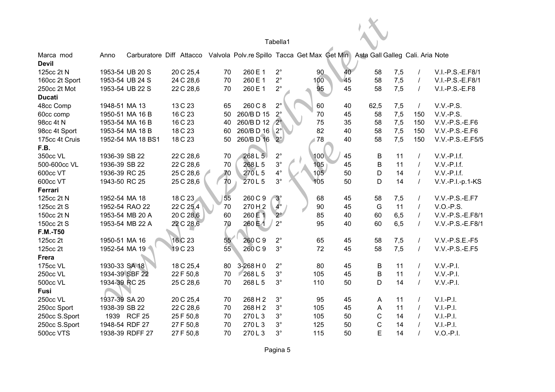|                           |                |                   |           |    |    |                                                                                                        | Tabella1             |     |    |             |     |                |                  |
|---------------------------|----------------|-------------------|-----------|----|----|--------------------------------------------------------------------------------------------------------|----------------------|-----|----|-------------|-----|----------------|------------------|
| Marca mod<br><b>Devil</b> | Anno           |                   |           |    |    | Carburatore Diff Attacco Valvola Polv.re Spillo Tacca Get Max Get Min Asta Gall Galleg Cali. Aria Note |                      |     |    |             |     |                |                  |
| 125cc 2t N                |                | 1953-54 UB 20 S   | 20 C 25,4 | 70 |    | 260 E 1                                                                                                | $2^{\circ}$          | 90  | 40 | 58          | 7,5 | $\prime$       | V.I.-P.S.-E.F8/1 |
| 160cc 2t Sport            |                | 1953-54 UB 24 S   | 24 C 28,6 | 70 |    | 260 E 1                                                                                                | $2^{\circ}$          | 100 | 45 | 58          | 7,5 | $\prime$       | V.I.-P.S.-E.F8/1 |
| 250cc 2t Mot              |                | 1953-54 UB 22 S   | 22 C 28,6 | 70 |    | 260 E 1                                                                                                | $2^{\circ}$          | 95  | 45 | 58          | 7,5 | $\prime$       | V.I.-P.S.-E.F8   |
| <b>Ducati</b>             |                |                   |           |    |    |                                                                                                        |                      |     |    |             |     |                |                  |
| 48cc Comp                 | 1948-51 MA 13  |                   | 13 C 23   | 65 |    | 260 C 8                                                                                                | $2^{\circ}$          | 60  | 40 | 62,5        | 7,5 | $\prime$       | $V.V.-P.S.$      |
| 60cc comp                 |                | 1950-51 MA 16 B   | 16 C 23   | 50 |    | 260/BD 15                                                                                              | $2^\circ$            | 70  | 45 | 58          | 7,5 | 150            | V.V.-P.S.        |
| 98cc 4t N                 |                | 1953-54 MA 16 B   | 16 C 23   | 40 |    | 260/BD 12                                                                                              | $2^\circ$            | 75  | 35 | 58          | 7,5 | 150            | V.V.-P.S.-E.F6   |
| 98cc 4t Sport             |                | 1953-54 MA 18 B   | 18 C 23   | 60 |    | 260/BD 16                                                                                              | $2^{\circ}$          | 82  | 40 | 58          | 7,5 | 150            | $V.V.-P.S.-E.F6$ |
| 175cc 4t Cruis            |                | 1952-54 MA 18 BS1 | 18 C 23   | 50 |    | 260/BD 16                                                                                              | $2^\circ$            | 178 | 40 | 58          | 7,5 | 150            | V.V.-P.S.-E.F5/5 |
| F.B.                      |                |                   |           |    |    |                                                                                                        |                      |     |    |             |     |                |                  |
| 350cc VL                  | 1936-39 SB 22  |                   | 22 C 28,6 | 70 |    | 268 L 5                                                                                                | $2^{\circ}$          | 100 | 45 | B           | 11  | $\prime$       | $V.V.-P.I.f.$    |
| 500-600cc VL              | 1936-39 SB 22  |                   | 22 C 28,6 | 70 |    | 268L5                                                                                                  | $3^{\circ}$          | 105 | 45 | B           | 11  | $\prime$       | $V.V.-P.I.f.$    |
| 600cc VT                  | 1936-39 RC 25  |                   | 25 C 28,6 | 70 |    | 270L5                                                                                                  | $\mathbf{4}^{\circ}$ | 105 | 50 | $\mathsf D$ | 14  | $\overline{I}$ | V.V.-P.I.f.      |
| 600cc VT                  | 1943-50 RC 25  |                   | 25 C 28,6 | 70 |    | 270L5                                                                                                  | $3^{\circ}$          | 105 | 50 | D           | 14  | $\prime$       | V.V.-P.I.-p.1-KS |
| Ferrari                   |                |                   |           |    |    |                                                                                                        |                      |     |    |             |     |                |                  |
| 125cc 2t N                | 1952-54 MA 18  |                   | 18 C 23   | 55 |    | 260 C 9                                                                                                | $3^\circ$            | 68  | 45 | 58          | 7,5 | $\prime$       | V.V.-P.S.-E.F7   |
| 125cc 2t S                |                | 1952-54 RAO 22    | 22 C 25,4 | 70 |    | 270H <sub>2</sub>                                                                                      | $4^{\circ}$          | 90  | 45 | G           | 11  | $\prime$       | $V.O.-P.S.$      |
| 150cc 2t N                |                | 1953-54 MB 20 A   | 20 C 28,6 | 60 |    | 260 E 1                                                                                                | $2^{\circ}$          | 85  | 40 | 60          | 6,5 | $\prime$       | V.V.-P.S.-E.F8/1 |
| 150cc 2t S                |                | 1953-54 MB 22 A   | 22 C 28,6 | 70 |    | 260日1                                                                                                  | $2^{\circ}$          | 95  | 40 | 60          | 6,5 | $\overline{I}$ | V.V.-P.S.-E.F8/1 |
| <b>F.M.-T50</b>           |                |                   |           |    |    |                                                                                                        |                      |     |    |             |     |                |                  |
| 125cc 2t                  | 1950-51 MA 16  |                   | 16 C 23   |    | 55 | 260 C 9                                                                                                | $2^{\circ}$          | 65  | 45 | 58          | 7,5 | $\overline{I}$ | $V.V.-P.S.E.-F5$ |
| 125cc 2t                  |                | 1952-54 MA 19     | 19 C 23   | 55 |    | 260 C 9                                                                                                | $3^\circ$            | 72  | 45 | 58          | 7,5 | $\sqrt{ }$     | V.V.-P.S.-E.F5   |
| <b>Frera</b>              |                |                   |           |    |    |                                                                                                        |                      |     |    |             |     |                |                  |
| 175cc VL                  | 1930-33 SA 18  |                   | 18 C 25,4 | 80 |    | 3-268 H 0                                                                                              | $2^{\circ}$          | 80  | 45 | B           | 11  | $\prime$       | $V.V.-P.I.$      |
| 250cc VL                  | 1934-39 SBF 22 |                   | 22 F 50,8 | 70 |    | 268 L 5                                                                                                | $3^\circ$            | 105 | 45 | B           | 11  | $\overline{I}$ | $V.V.-P.I.$      |
| 500cc VL                  | 1934-39 RC 25  |                   | 25 C 28,6 | 70 |    | 268L5                                                                                                  | $3^{\circ}$          | 110 | 50 | D           | 14  | $\overline{I}$ | $V.V.-P.I.$      |
| Fusi                      |                |                   |           |    |    |                                                                                                        |                      |     |    |             |     |                |                  |
| 250cc VL                  | 1937-39 SA 20  |                   | 20 C 25,4 | 70 |    | 268 H 2                                                                                                | $3^{\circ}$          | 95  | 45 | A           | 11  | $\prime$       | $V.I.-P.I.$      |
| 250cc Sport               | 1938-39 SB 22  |                   | 22 C 28,6 | 70 |    | 268 H 2                                                                                                | $3^{\circ}$          | 105 | 45 | Α           | 11  | $\prime$       | $V.I.-P.I.$      |
| 250cc S.Sport             | 1939           | <b>RCF 25</b>     | 25 F 50,8 | 70 |    | 270L3                                                                                                  | $3^{\circ}$          | 105 | 50 | C           | 14  | $\prime$       | $V.I.-P.I.$      |
| 250cc S.Sport             | 1948-54 RDF 27 |                   | 27 F 50,8 | 70 |    | 270L3                                                                                                  | $3^{\circ}$          | 125 | 50 | C           | 14  |                | $V.I.-P.I.$      |
| 500cc VTS                 |                | 1938-39 RDFF 27   | 27 F 50,8 | 70 |    | 270L3                                                                                                  | $3^\circ$            | 115 | 50 | E           | 14  |                | $V.O.-P.I.$      |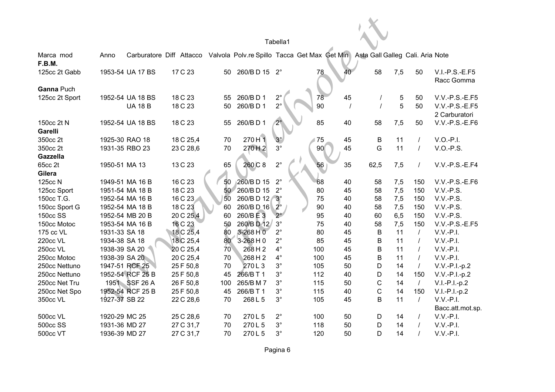| Tabella1 |
|----------|
|----------|

|                 |                |                  |           |                 |               | Tabella1       |                                                                       |    |                                  |      |                |                                |
|-----------------|----------------|------------------|-----------|-----------------|---------------|----------------|-----------------------------------------------------------------------|----|----------------------------------|------|----------------|--------------------------------|
| Marca mod       | Anno           |                  |           |                 |               |                | Carburatore Diff Attacco Valvola Polv.re Spillo Tacca Get Max Get Min |    | Asta Gall Galleg Cali. Aria Note |      |                |                                |
| F.B.M.          |                |                  |           |                 |               |                |                                                                       |    |                                  |      |                |                                |
| 125cc 2t Gabb   |                | 1953-54 UA 17 BS | 17 C 23   | 50              | 260/BD 15 2°  |                | 78                                                                    | 40 | 58                               | 7,5  | 50             | $V.I.-P.S.-E.F5$<br>Racc Gomma |
| Ganna Puch      |                |                  |           |                 |               |                |                                                                       |    |                                  |      |                |                                |
| 125cc 2t Sport  |                | 1952-54 UA 18 BS | 18 C 23   | 55              | 260/BD1       | $2^{\circ}$    | 78                                                                    | 45 |                                  | 5    | 50             | V.V.-P.S.-E.F5                 |
|                 |                | <b>UA 18 B</b>   | 18 C 23   | 50              | 260/BD1       | $2^{\circ}$    | 90                                                                    |    |                                  | 5    | 50             | V.V.-P.S.-E.F5                 |
|                 |                |                  |           |                 |               |                |                                                                       |    |                                  |      |                | 2 Carburatori                  |
| 150cc 2t N      |                | 1952-54 UA 18 BS | 18 C 23   | 55              | 260/BD1       | 2 <sup>°</sup> | 85                                                                    | 40 | 58                               | 7,5  | 50             | V.V.-P.S.-E.F6                 |
| Garelli         |                |                  |           |                 |               |                |                                                                       |    |                                  |      |                |                                |
| 350cc 2t        | 1925-30 RAO 18 |                  | 18 C 25,4 | 70              | 270 H 1       | $3^\circ$      | 75                                                                    | 45 | B                                | 11   | $\prime$       | $V.O.-P.I.$                    |
| 350cc 2t        | 1931-35 RBO 23 |                  | 23 C 28,6 | 70              | 270H2         | $3^{\circ}$    | 90                                                                    | 45 | G                                | 11   | $\sqrt{ }$     | V.O.-P.S.                      |
| <b>Gazzella</b> |                |                  |           |                 |               |                |                                                                       |    |                                  |      |                |                                |
| 65cc 2t         | 1950-51 MA 13  |                  | 13 C 23   | 65              | 260 C 8       | $2^{\circ}$    | 56                                                                    | 35 | 62,5                             | 7,5  | $\prime$       | V.V.-P.S.-E.F4                 |
| Gilera          |                |                  |           |                 |               |                |                                                                       |    |                                  |      |                |                                |
| 125cc N         |                | 1949-51 MA 16 B  | 16 C 23   | 50              | 260/BD 15     | $2^{\circ}$    | 68                                                                    | 40 | 58                               | 7,5  | 150            | $V.V.-P.S.-E.F6$               |
| 125cc Sport     |                | 1951-54 MA 18 B  | 18 C 23   | 50 <sub>2</sub> | 260/BD 15     | $2^{\circ}$    | 80                                                                    | 45 | 58                               | 7,5  | 150            | $V.V.-P.S.$                    |
| 150cc T.G.      |                | 1952-54 MA 16 B  | 16 C 23   | 50              | 260/BD 12 3°  |                | 75                                                                    | 40 | 58                               | 7,5  | 150            | $V.V.-P.S.$                    |
| 150cc Sport G   |                | 1952-54 MA 18 B  | 18 C 23   | 60              | 260/BD 16     | $2^{\circ}$    | 90                                                                    | 40 | 58                               | 7,5  | 150            | V.V.-P.S.                      |
| 150cc SS        |                | 1952-54 MB 20 B  | 20 C 25,4 | 60              | 260/BE3       | $2^{\circ}$    | 95                                                                    | 40 | 60                               | 6, 5 | 150            | $V.V.-P.S.$                    |
| 150cc Motoc     |                | 1953-54 MA 16 B  | 16 C 23   | 50              | 260/BD 12     | $3^\circ$      | 75                                                                    | 40 | 58                               | 7,5  | 150            | V.V.-P.S.-E.F5                 |
| 175 cc VL       | 1931-33 SA 18  |                  | 18 C 25,4 | 80              | 3-268 H 0     | $2^{\circ}$    | 80                                                                    | 45 | B                                | 11   | $\prime$       | $V.V.-P.I.$                    |
| 220cc VL        | 1934-38 SA 18  |                  | 18 C 25,4 | 80              | $3 - 268$ H 0 | $2^{\circ}$    | 85                                                                    | 45 | B                                | 11   | $\prime$       | $V.V.-P.I.$                    |
| 250cc VL        | 1938-39 SA 20  |                  | 20 C 25,4 | 70              | 268H2         | $4^\circ$      | 100                                                                   | 45 | B                                | 11   | $\prime$       | $V.V.-P.I.$                    |
| 250cc Motoc     | 1938-39 SA 20  |                  | 20 C 25,4 | 70              | 268 H 2       | $4^\circ$      | 100                                                                   | 45 | B                                | 11   | $\sqrt{ }$     | $V.V.-P.I.$                    |
| 250cc Nettuno   |                | 1947-51 RCF 25   | 25 F 50,8 | 70              | 270L3         | $3^\circ$      | 105                                                                   | 50 | D                                | 14   | $\sqrt{ }$     | $V.V.-P.I.-p.2$                |
| 250cc Nettuno   |                | 1952-54 RCF 25 B | 25 F 50,8 | 45              | 266/B T 1     | $3^\circ$      | 112                                                                   | 40 | D                                | 14   | 150            | $V.V.-P.I.-p.2$                |
| 250cc Net Tru   |                | 1951 SSF 26 A    | 26 F 50,8 | 100             | 265/B M 7     | $3^\circ$      | 115                                                                   | 50 | C                                | 14   | $\prime$       | $V.I.-P.I.-p.2$                |
| 250cc Net Spo   |                | 1952-54 RCF 25 B | 25 F 50,8 | 45              | 266/B T 1     | $3^\circ$      | 115                                                                   | 40 | $\mathsf C$                      | 14   | 150            | $V.I.-P.I.-p.2$                |
| 350cc VL        | 1927-37 SB 22  |                  | 22 C 28,6 | 70              | 268 L 5       | $3^\circ$      | 105                                                                   | 45 | B                                | 11   | $\overline{I}$ | $V.V.-P.I.$                    |
|                 |                |                  |           |                 |               |                |                                                                       |    |                                  |      |                | Bacc.att.mot.sp.               |
| 500cc VL        | 1920-29 MC 25  |                  | 25 C 28,6 | 70              | 270L5         | $2^{\circ}$    | 100                                                                   | 50 | D                                | 14   | $\sqrt{ }$     | $V.V.-P.I.$                    |
| 500cc SS        | 1931-36 MD 27  |                  | 27 C 31,7 | 70              | 270L5         | $3^\circ$      | 118                                                                   | 50 | D                                | 14   | $\sqrt{ }$     | $V.V.-P.I.$                    |
| 500cc VT        | 1936-39 MD 27  |                  | 27 C 31,7 | 70              | 270L5         | $3^\circ$      | 120                                                                   | 50 | D                                | 14   | $\prime$       | $V.V.-P.I.$                    |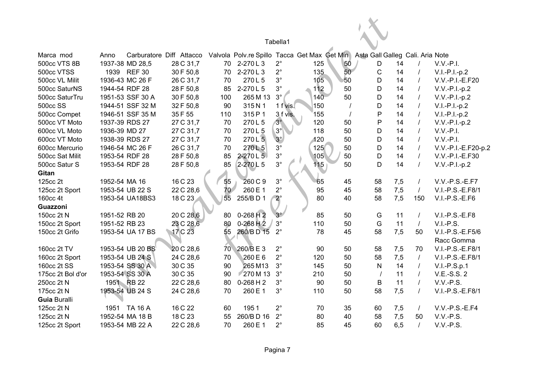|                     |                |                  |                                                                       |                 |               | Tabella1    |     |    |                                  |     |          |                                |
|---------------------|----------------|------------------|-----------------------------------------------------------------------|-----------------|---------------|-------------|-----|----|----------------------------------|-----|----------|--------------------------------|
| Marca mod           | Anno           |                  | Carburatore Diff Attacco Valvola Polv.re Spillo Tacca Get Max Get Min |                 |               |             |     |    | Asta Gall Galleg Cali. Aria Note |     |          |                                |
| <b>500cc VTS 8B</b> |                | 1937-38 MD 28,5  | 28 C 31,7                                                             | 70              | 2-270L3       | $2^{\circ}$ | 125 | 50 | D                                | 14  |          | $V.V.-P.I.$                    |
| 500cc VTSS          |                | 1939 REF 30      | 30 F 50,8                                                             | 70              | 2-270L3       | $2^{\circ}$ | 135 | 50 | $\mathsf C$                      | 14  |          | $V.I.-P.I.-p.2$                |
| 500cc VL Milit      |                | 1936-43 MC 26 F  | 26 C 31,7                                                             | 70              | 270L5         | $3^{\circ}$ | 105 | 50 | D                                | 14  |          | V.V.-P.I.-E.F20                |
| 500cc SaturNS       |                | 1944-54 RDF 28   | 28 F 50,8                                                             | 85              | 2-270L5       | $3^{\circ}$ | 112 | 50 | D                                | 14  |          | $V.V.-P.I.-p.2$                |
| 500cc SaturTru      |                | 1951-53 SSF 30 A | 30 F 50,8                                                             | 100             | 265 M 13      | $3^\circ$   | 140 | 50 | D                                | 14  |          | V.V.-P.I.-p.2                  |
| <b>500cc SS</b>     |                | 1944-51 SSF 32 M | 32 F 50,8                                                             | 90              | 315N1         | 1 f vis.    | 150 |    | D                                | 14  |          | $V.I.-P.I.-p.2$                |
| 500cc Compet        |                | 1946-51 SSF 35 M | 35F 55                                                                | 110             | 315 P 1       | 3 f vis.    | 155 |    | P                                | 14  |          | $V.I.-P.I.-p.2$                |
| 500cc VT Moto       |                | 1937-39 RDS 27   | 27 C 31,7                                                             | 70              | 270L5         | $3^\circ$   | 120 | 50 | P                                | 14  |          | $V.V.-P.I.-p.2$                |
| 600cc VL Moto       | 1936-39 MD 27  |                  | 27 C 31,7                                                             | 70              | 270L5         | $3^\circ$   | 118 | 50 | D                                | 14  |          | $V.V.-P.I.$                    |
| 600cc VT Moto       |                | 1938-39 RDS 27   | 27 C 31,7                                                             | 70              | 270L5         | $3^\circ$   | 120 | 50 | D                                | 14  |          | $V.V.-P.I.$                    |
| 600cc Mercurio      |                | 1946-54 MC 26 F  | 26 C 31,7                                                             | 70              | 270L5         | $3^{\circ}$ | 125 | 50 | D                                | 14  |          | V.V.-P.I.-E.F20-p.2            |
| 500cc Sat Milit     |                | 1953-54 RDF 28   | 28 F 50,8                                                             | 85              | $2 - 270 L 5$ | $3^{\circ}$ | 105 | 50 | D                                | 14  |          | V.V.-P.I.-E.F30                |
| 500cc Satur S       | 1953-54 RDF 28 |                  | 28 F 50,8                                                             | 85              | 2-270L5       | $3^\circ$   | 115 | 50 | D                                | 14  |          | V.V.-P.I.-p.2                  |
| Gitan               |                |                  |                                                                       |                 |               |             |     |    |                                  |     |          |                                |
| 125cc 2t            | 1952-54 MA 16  |                  | 16 C 23                                                               | 55              | 260 C 9       | $3^\circ$   | 65  | 45 | 58                               | 7,5 |          | V.V.-P.S.-E.F7                 |
| 125cc 2t Sport      |                | 1953-54 UB 22 S  | 22 C 28,6                                                             | 70 <sub>2</sub> | 260 E 1       | $2^{\circ}$ | 95  | 45 | 58                               | 7,5 | $\prime$ | V.I.-P.S.-E.F8/1               |
| 160cc 4t            |                | 1953-54 UA18BS3  | 18 C 23                                                               | 55              | 255/BD1       | $2^\circ$   | 80  | 40 | 58                               | 7,5 | 150      | $V.I.-P.S.-E.F6$               |
| Guazzoni            |                |                  |                                                                       |                 |               |             |     |    |                                  |     |          |                                |
| 150cc 2t N          | 1951-52 RB 20  |                  | 20 C 28,6                                                             | 80              | $0-268$ H 2   | $3^\circ$   | 85  | 50 | G                                | 11  |          | V.I.-P.S.-E.F8                 |
| 150cc 2t Sport      | 1951-52 RB 23  |                  | 23 C 28,6                                                             | 80              | $0-268$ H $2$ | $3^\circ$   | 110 | 50 | G                                | 11  | $\prime$ | $V.I.-P.S.$                    |
| 150cc 2t Grifo      |                | 1953-54 UA 17 BS | 17 C 23                                                               | 55              | 260/BD 15     | $2^{\circ}$ | 78  | 45 | 58                               | 7,5 | 50       | V.I.-P.S.-E.F5/6<br>Racc Gomma |
| 160cc 2t TV         |                | 1953-54 UB 20 BS | 20 C 28,6                                                             | 70              | 260/BE3       | $2^{\circ}$ | 90  | 50 | 58                               | 7,5 | 70       | V.I.-P.S.-E.F8/1               |
| 160cc 2t Sport      |                | 1953-54 UB 24 S  | 24 C 28,6                                                             | 70              | 260 E 6       | $2^{\circ}$ | 120 | 50 | 58                               | 7,5 | $\prime$ | V.I.-P.S.-E.F8/1               |
| 160cc 2t SS         |                | 1953-54 SS 30 A  | 30 C 35                                                               | 90              | 265 M13       | $3^\circ$   | 145 | 50 | ${\sf N}$                        | 14  |          | $V.I.-P.S.p.1$                 |
| 175cc 2t Bol d'or   |                | 1953-54 SS 30 A  | 30 C 35                                                               | 90              | 270 M 13      | $3^\circ$   | 210 | 50 | $\prime$                         | 11  |          | V.E.-S.S. 2                    |
| 250cc 2t N          |                | 1951 RB 22       | 22 C 28,6                                                             | 80              | $0-268$ H 2   | $3^\circ$   | 90  | 50 | B                                | 11  | $\prime$ | V.V.-P.S.                      |
| 175cc 2t N          |                | 1953-54 UB 24 S  | 24 C 28,6                                                             | 70              | 260 E 1       | $3^\circ$   | 110 | 50 | 58                               | 7,5 |          | V.I.-P.S.-E.F8/1               |
| <b>Guia Buralli</b> |                |                  |                                                                       |                 |               |             |     |    |                                  |     |          |                                |
| 125cc 2t N          |                | 1951 TA 16 A     | 16 C 22                                                               | 60              | 1951          | $2^{\circ}$ | 70  | 35 | 60                               | 7,5 |          | V.V.-P.S.-E.F4                 |
| 125cc 2t N          |                | 1952-54 MA 18 B  | 18 C 23                                                               | 55              | 260/BD 16     | $2^{\circ}$ | 80  | 40 | 58                               | 7,5 | 50       | V.V.-P.S.                      |
| 125cc 2t Sport      |                | 1953-54 MB 22 A  | 22 C 28,6                                                             | 70              | 260 E 1       | $2^{\circ}$ | 85  | 45 | 60                               | 6,5 |          | $V.V.-P.S.$                    |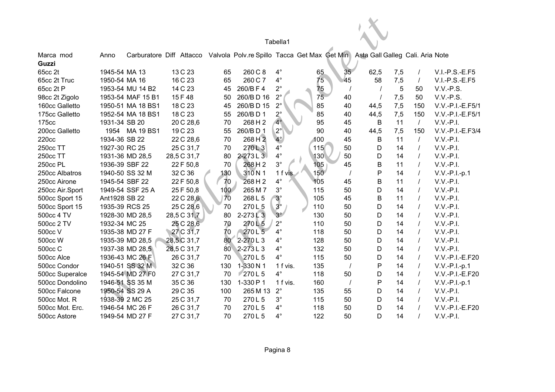|                    |                |                          |             |                  |                                              | Tabella1    |     |    |                                  |     |          |                  |
|--------------------|----------------|--------------------------|-------------|------------------|----------------------------------------------|-------------|-----|----|----------------------------------|-----|----------|------------------|
| Marca mod<br>Guzzi | Anno           | Carburatore Diff Attacco |             |                  | Valvola Polv.re Spillo Tacca Get Max Get Min |             |     |    | Asta Gall Galleg Cali. Aria Note |     |          |                  |
| 65cc 2t            | 1945-54 MA 13  |                          | 13 C 23     | 65               | 260 C 8                                      | $4^{\circ}$ | 65  | 35 | 62,5                             | 7,5 |          | $V.I.-P.S.-E.F5$ |
| 65cc 2t Truc       | 1950-54 MA 16  |                          | 16 C 23     | 65               | 260 C 7                                      | $4^\circ$   | 75  | 45 | 58                               | 7,5 | $\prime$ | $V.I.-P.S.-E.F5$ |
| 65cc 2t P          |                | 1953-54 MU 14 B2         | 14 C 23     | 45               | 260/BF4                                      | $2^{\circ}$ | 75  |    |                                  | 5   | 50       | V.V.-P.S.        |
| 98cc 2t Zigolo     |                | 1953-54 MAF 15 B1        | 15F48       | 50               | 260/BD 16                                    | $2^{\circ}$ | 75  | 40 |                                  | 7,5 | 50       | V.V.-P.S.        |
| 160cc Galletto     |                | 1950-51 MA 18 BS1        | 18 C 23     | 45               | 260/BD 15                                    | $2^{\circ}$ | 85  | 40 | 44,5                             | 7,5 | 150      | V.V.-P.I.-E.F5/1 |
| 175cc Galletto     |                | 1952-54 MA 18 BS1        | 18 C 23     | 55               | 260/BD1                                      | $2^\circ$   | 85  | 40 | 44,5                             | 7,5 | 150      | V.V.-P.I.-E.F5/1 |
| 175cc              | 1931-34 SB 20  |                          | 20 C 28,6   | 70               | 268 H 2                                      | $4^\circ$   | 95  | 45 | B                                | 11  | $\prime$ | $V.V.-P.I.$      |
| 200cc Galletto     |                | 1954 MA 19 BS1           | 19 C 23     | 55               | 260/BD1                                      | $2^{\circ}$ | 90  | 40 | 44,5                             | 7,5 | 150      | V.V.-P.I.-E.F3/4 |
| 220cc              | 1934-36 SB 22  |                          | 22 C 28,6   | 70               | 268 H 2                                      | $4^\circ$   | 100 | 45 | B                                | 11  | $\prime$ | $V.V.-P.I.$      |
| 250cc TT           | 1927-30 RC 25  |                          | 25 C 31,7   | 70               | 270L3                                        | $4^\circ$   | 115 | 50 | D                                | 14  | $\prime$ | $V.V.-P.I.$      |
| 250cc TT           |                | 1931-36 MD 28,5          | 28,5 C 31,7 | 80               | $2 - 273$ L 3                                | $4^{\circ}$ | 130 | 50 | D                                | 14  | $\prime$ | $V.V.-P.I.$      |
| 250cc PL           | 1936-39 SBF 22 |                          | 22 F 50,8   | 70               | 268H2                                        | $3^{\circ}$ | 105 | 45 | B                                | 11  |          | $V.V.-P.I.$      |
| 250cc Albatros     |                | 1940-50 SS 32 M          | 32 C 36     | 130              | 310N1                                        | 1 f vis.    | 150 |    | P                                | 14  |          | $V.V.-P.I.-p.1$  |
| 250cc Airone       | 1945-54 SBF 22 |                          | 22 F 50,8   | 70               | 268H2                                        | $4^{\circ}$ | 105 | 45 | B                                | 11  | $\prime$ | $V.V.-P.I.$      |
| 250cc Air.Sport    |                | 1949-54 SSF 25 A         | 25 F 50,8   | 100 <sub>2</sub> | 265 M 7                                      | $3^\circ$   | 115 | 50 | D                                | 14  | $\prime$ | $V.V.-P.I.$      |
| 500cc Sport 15     | Ant1928 SB 22  |                          | 22 C 28,6   | 70               | 268 L 5                                      | $3^\circ$   | 105 | 45 | B                                | 11  | $\prime$ | $V.V.-P.I.$      |
| 500cc Sport 15     |                | 1935-39 RCS 25           | 25 C 28,6   | 70               | 270L5                                        | $3^\circ$   | 110 | 50 | D                                | 14  |          | $V.V.-P.I.$      |
| 500cc 4 TV         |                | 1928-30 MD 28,5          | 28,5 C 31,7 | 80               | $2-273$ $\lfloor 3 \rfloor$                  | $3^\circ$   | 130 | 50 | D                                | 14  |          | $V.V.-P.I.$      |
| 500cc 2 TV         | 1932-34 MC 25  |                          | 25 C 28,6   | 70               | 270L5                                        | $2^{\circ}$ | 110 | 50 | D                                | 14  |          | $V.V.-P.I.$      |
| 500cc V            |                | 1935-38 MD 27 F          | 27 C 31,7   | 70               | 270L5                                        | $4^\circ$   | 118 | 50 | D                                | 14  |          | $V.V.-P.I.$      |
| 500cc W            |                | 1935-39 MD 28,5          | 28,5 C 31,7 | 80               | $2 - 270L3$                                  | $4^\circ$   | 128 | 50 | D                                | 14  |          | $V.V.-P.I.$      |
| 500cc C            |                | 1937-38 MD 28,5          | 28,5 C 31,7 | 80               | $2 - 273L3$                                  | $4^{\circ}$ | 132 | 50 | D                                | 14  |          | $V.V.-P.I.$      |
| 500cc Alce         |                | 1936-43 MC 26 F          | 26 C 31,7   | 70               | 270L5                                        | $4^\circ$   | 115 | 50 | D                                | 14  |          | V.V.-P.I.-E.F20  |
| 500cc Condor       |                | 1940-51 SS 32 M          | 32 C 36     | 130              | 1-330 N 1                                    | 1 f vis.    | 135 |    | P                                | 14  | $\prime$ | $V.V.-P.I.-p.1$  |
| 500cc Superalce    |                | 1945-54 MD 27 F0         | 27 C 31,7   | 70               | 270L5                                        | $4^\circ$   | 118 | 50 | D                                | 14  | $\prime$ | V.V.-P.I.-E.F20  |
| 500cc Dondolino    |                | 1946-51 SS 35 M          | 35 C 36     | 130              | 1-330 P 1                                    | 1 f vis.    | 160 |    | P                                | 14  | $\prime$ | V.V.-P.I.-p.1    |
| 500cc Falcone      |                | 1950-54 SS 29 A          | 29 C 35     | 100              | 265 M 13                                     | $2^{\circ}$ | 135 | 55 | D                                | 14  | $\prime$ | $V.V.-P.I.$      |
| 500cc Mot. R       |                | 1938-39 2 MC 25          | 25 C 31,7   | 70               | 270L5                                        | $3^\circ$   | 115 | 50 | D                                | 14  |          | $V.V.-P.I.$      |
| 500cc Mot. Erc.    |                | 1946-54 MC 26 F          | 26 C 31,7   | 70               | 270L5                                        | $4^\circ$   | 118 | 50 | D                                | 14  |          | V.V.-P.I.-E.F20  |
| 500cc Astore       |                | 1949-54 MD 27 F          | 27 C 31,7   | 70               | 270L5                                        | $4^\circ$   | 122 | 50 | D                                | 14  |          | $V.V.-P.I.$      |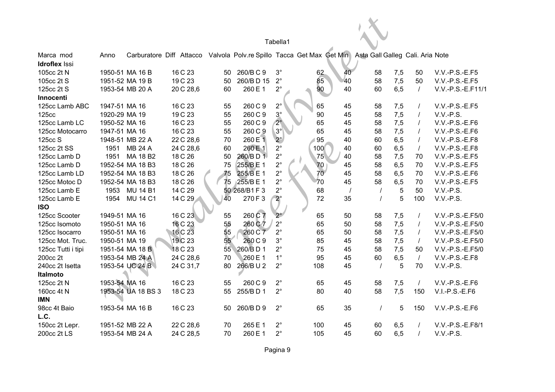|                      |               |                    |                                                                                                        |    |               | Tabella1    |                 |          |          |     |          |                   |
|----------------------|---------------|--------------------|--------------------------------------------------------------------------------------------------------|----|---------------|-------------|-----------------|----------|----------|-----|----------|-------------------|
| Marca mod            | Anno          |                    | Carburatore Diff Attacco Valvola Polv.re Spillo Tacca Get Max Get Min Asta Gall Galleg Cali. Aria Note |    |               |             |                 |          |          |     |          |                   |
| <b>Idroflex Issi</b> |               |                    |                                                                                                        |    |               |             |                 |          |          |     |          |                   |
| 105cc 2t N           |               | 1950-51 MA 16 B    | 16 C 23                                                                                                |    | 50 260/BC9    | $3^{\circ}$ | 62              | 40       | 58       | 7,5 | 50       | V.V.-P.S.-E.F5    |
| 105cc 2t S           |               | 1951-52 MA 19 B    | 19 C 23                                                                                                | 50 | 260/BD 15     | $2^{\circ}$ | 85              | 40       | 58       | 7,5 | 50       | V.V.-P.S.-E.F5    |
| 125cc 2t S           |               | 1953-54 MB 20 A    | 20 C 28,6                                                                                              | 60 | 260 E 1       | $2^{\circ}$ | 90              | 40       | 60       | 6,5 | $\prime$ | V.V.-P.S.-E.F11/1 |
| Innocenti            |               |                    |                                                                                                        |    |               |             |                 |          |          |     |          |                   |
| 125cc Lamb ABC       | 1947-51 MA 16 |                    | 16 C 23                                                                                                | 55 | 260 C 9       | $2^{\circ}$ | 65              | 45       | 58       | 7,5 |          | $V.V.-P.S.-E.F5$  |
| <b>125cc</b>         | 1920-29 MA 19 |                    | 19 C 23                                                                                                | 55 | 260 C 9       | $3^\circ$   | 90              | 45       | 58       | 7,5 |          | V.V.-P.S.         |
| 125cc Lamb LC        | 1950-52 MA 16 |                    | 16 C 23                                                                                                | 55 | 260 C 9       | $2^\circ$   | 65              | 45       | 58       | 7,5 |          | V.V.-P.S.-E.F6    |
| 125cc Motocarro      | 1947-51 MA 16 |                    | 16 C 23                                                                                                | 55 | 260 C 9       | $3^{\circ}$ | 65              | 45       | 58       | 7,5 |          | V.V.-P.S.-E.F6    |
| 125cc S              |               | 1948-51 MB 22 A    | 22 C 28,6                                                                                              | 70 | 260 E 1       | $2^\circ$   | 95              | 40       | 60       | 6,5 | $\prime$ | V.V.-P.S.-E.F8    |
| 125cc 2t SS          | 1951          | MB 24 A            | 24 C 28,6                                                                                              | 60 | 260 E 1       | $2^{\circ}$ | 100             | 40       | 60       | 6,5 | $\prime$ | V.V.-P.S.-E.F8    |
| 125cc Lamb D         | 1951          | MA 18 B2           | 18 C 26                                                                                                | 50 | 260/BD1       | $2^{\circ}$ | 75              | 40       | 58       | 7,5 | 70       | V.V.-P.S.-E.F5    |
| 125cc Lamb D         |               | 1952-54 MA 18 B3   | 18 C 26                                                                                                | 75 | 255/BE1       | $2^{\circ}$ | 70              | 45       | 58       | 6,5 | 70       | V.V.-P.S.-E.F5    |
| 125cc Lamb LD        |               | 1952-54 MA 18 B3   | 18 C 26                                                                                                | 75 | 255/B E 1     | $2^{\circ}$ | 70 <sup>°</sup> | 45       | 58       | 6,5 | 70       | V.V.-P.S.-E.F6    |
| 125cc Motoc D        |               | 1952-54 MA 18 B3   | 18 C 26                                                                                                | 75 | 255/B E 1     | $2^{\circ}$ | 70              | 45       | 58       | 6,5 | 70       | V.V.-P.S.-E.F5    |
| 125cc Lamb E         |               | 1953 MU 14 B1      | 14 C 29                                                                                                |    | 50 268/B1 F 3 | $2^{\circ}$ | 68              | $\prime$ | $\prime$ | 5   | 50       | V.V.-P.S.         |
| 125cc Lamb E         |               | 1954 MU 14 C1      | 14 C 29                                                                                                | 40 | 270 F 3       | $2^\circ$   | 72              | 35       | $\prime$ | 5   | 100      | V.V.-P.S.         |
| <b>ISO</b>           |               |                    |                                                                                                        |    |               |             |                 |          |          |     |          |                   |
| 125cc Scooter        | 1949-51 MA 16 |                    | 16 C 23                                                                                                | 55 | 260 C 7       | $2^{\circ}$ | 65              | 50       | 58       | 7,5 | $\prime$ | V.V.-P.S.-E.F5/0  |
| 125cc Isomoto        | 1950-51 MA 16 |                    | 16 C 23                                                                                                | 55 | 260 C 7       | $2^{\circ}$ | 65              | 50       | 58       | 7,5 | $\prime$ | V.V.-P.S.-E.F5/0  |
| 125cc Isocarro       | 1950-51 MA 16 |                    | 16 C 23                                                                                                | 55 | 260 C 7       | $2^{\circ}$ | 65              | 50       | 58       | 7,5 | $\prime$ | V.V.-P.S.-E.F5/0  |
| 125cc Mot. Truc.     | 1950-51 MA 19 |                    | 19 C 23                                                                                                | 55 | 260 C 9       | $3^\circ$   | 85              | 45       | 58       | 7,5 | $\prime$ | V.V.-P.S.-E.F5/0  |
| 125cc Tutti i tipi   |               | 1951-54 MA 18 B    | 18 C 23                                                                                                | 55 | 260/BD1       | $2^{\circ}$ | 75              | 45       | 58       | 7,5 | 50       | V.V.-P.S.-E.F5/0  |
| 200cc 2t             |               | 1953-54 MB 24 A    | 24 C 28,6                                                                                              | 70 | 260 E 1       | $1^{\circ}$ | 95              | 45       | 60       | 6,5 | $\prime$ | V.V.-P.S.-E.F8    |
| 240cc 2t Isetta      |               | 1953-54 UC 24 B    | 24 C 31,7                                                                                              | 80 | 266/BU2       | $2^{\circ}$ | 108             | 45       | $\prime$ | 5   | 70       | V.V.-P.S.         |
| Italmoto             |               |                    |                                                                                                        |    |               |             |                 |          |          |     |          |                   |
| 125cc 2t N           | 1953-54 MA 16 |                    | 16 C 23                                                                                                | 55 | 260 C 9       | $2^{\circ}$ | 65              | 45       | 58       | 7,5 | $\prime$ | V.V.-P.S.-E.F6    |
| 160cc 4t N           |               | 1953-54 UA 18 BS 3 | 18 C 23                                                                                                | 55 | 255/BD1       | $2^{\circ}$ | 80              | 40       | 58       | 7,5 | 150      | $V.I.-P.S.-E.F6$  |
| <b>IMN</b>           |               |                    |                                                                                                        |    |               |             |                 |          |          |     |          |                   |
| 98cc 4t Baio         |               | 1953-54 MA 16 B    | 16 C 23                                                                                                | 50 | 260/BD9       | $2^{\circ}$ | 65              | 35       | $\prime$ | 5   | 150      | V.V.-P.S.-E.F6    |
| L.C.                 |               |                    |                                                                                                        |    |               |             |                 |          |          |     |          |                   |
| 150cc 2t Lepr.       |               | 1951-52 MB 22 A    | 22 C 28,6                                                                                              | 70 | 265 E 1       | $2^{\circ}$ | 100             | 45       | 60       | 6,5 |          | V.V.-P.S.-E.F8/1  |
| 200cc 2t LS          |               | 1953-54 MB 24 A    | 24 C 28,5                                                                                              | 70 | 260 E 1       | $2^{\circ}$ | 105             | 45       | 60       | 6,5 |          | V.V.-P.S.         |

Pagina 9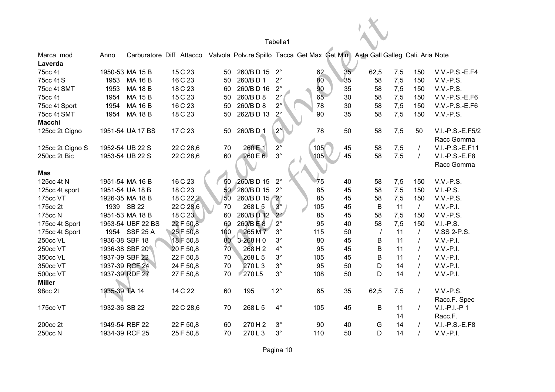| Tabella1<br>Carburatore Diff Attacco Valvola Polv.re Spillo Tacca Get Max Get Min<br>Asta Gall Galleg Cali. Aria Note<br>Anno<br>15 C 23<br>1950-53 MA 15 B<br>260/BD 15<br>$2^{\circ}$<br>35 <sub>2</sub><br>62,5<br>62<br>7,5<br>$V.V.-P.S.-E.F4$<br>50<br>150<br>35<br>80<br>16 C 23<br>260/BD1<br>$2^{\circ}$<br>58<br>7,5<br>1953<br><b>MA 16 B</b><br>150<br>$V.V.-P.S.$<br>50<br>$2^{\circ}$<br>90<br>35<br>1953<br><b>MA 18 B</b><br>18 C 23<br>260/BD 16<br>58<br>7,5<br>150<br>V.V.-P.S.<br>60<br>$2^{\circ}$<br>65<br>15 C 23<br>260/BD8<br>1954<br><b>MA 15 B</b><br>30<br>58<br>7,5<br>150<br>V.V.-P.S.-E.F6<br>50<br>$2^{\circ}$<br>16 C 23<br>260/BD8<br>78<br>1954<br><b>MA 16 B</b><br>30<br>58<br>7,5<br>150<br>V.V.-P.S.-E.F6<br>50<br>$2^\circ$<br>18 C 23<br>262/BD 13<br><b>MA 18 B</b><br>90<br>35<br>150<br>V.V.-P.S.<br>1954<br>50<br>58<br>7,5<br>$2^{\circ}$<br>260/BD1<br>78<br>17 C 23<br>50<br>58<br>7,5<br>V.I.-P.S.-E.F5/2<br>1951-54 UA 17 BS<br>50<br>50<br>Racc Gomma<br>$2^{\circ}$<br>45<br>260 E 1<br>105<br>V.I.-P.S.-E.F11<br>125cc 2t Cigno S<br>1952-54 UB 22 S<br>22 C 28,6<br>70<br>58<br>7,5<br>$\prime$<br>$3^\circ$<br>260 E 6<br>105<br>45<br>1953-54 UB 22 S<br>22 C 28,6<br>60<br>58<br>7,5<br>$\prime$<br>V.I.-P.S.-E.F8<br>Racc Gomma<br><b>Mas</b><br>260/BD 15<br>$2^{\circ}$<br>16 C 23<br>125cc 4t N<br>1951-54 MA 16 B<br>50<br>40<br>58<br>7,5<br>V.V.-P.S.<br>75<br>150<br>260/BD 15<br>18 C 23<br>$2^{\circ}$<br>85<br>7,5<br>1951-54 UA 18 B<br>50<br>45<br>58<br>150<br>$V.I.-P.S.$<br>125cc 4t sport<br>260/BD 15 2°<br>85<br>175cc VT<br>1926-35 MA 18 B<br>18 C 22,2<br>50<br>45<br>58<br>7,5<br>150<br>V.V.-P.S.<br>$3^\circ$<br>175cc 2t<br>1939 SB 22<br>22 C 28,6<br>268L5<br>105<br>45<br>B<br>11<br>$\overline{I}$<br>$V.V.-P.I.$<br>70<br>260/BD 12<br>1951-53 MA 18 B<br>18 C 23<br>60<br>$2^{\circ}$<br>85<br>58<br>7,5<br>$V.V.-P.S.$<br>175cc N<br>45<br>150<br>260/BE8<br>22 F 50,8<br>60<br>$2^{\circ}$<br>95<br>58<br>7,5<br>150<br>$V.I.-P.S.$<br>175cc 4t Sport<br>1953-54 UBF 22 BS<br>40<br>1954 SSF 25 A<br>25 F 50,8<br>100<br>265 M 7<br>$3^\circ$<br>V.SS 2-P.S.<br>175cc 4t Sport<br>115<br>50<br>11<br>$\prime$<br>$\prime$<br>1936-38 SBF 18<br>80<br>$3 - 268$ H 0<br>$3^\circ$<br>80<br>B<br>$V.V.-P.I.$<br>18 F 50,8<br>45<br>11<br>$\prime$<br>B<br>$70^{\circ}$<br>268H2<br>$4^\circ$<br>95<br>1936-38 SBF 20<br>20 F 50,8<br>45<br>11<br>$V.V.-P.I.$<br>$\prime$<br>B<br>1937-39 SBF 22<br>22 F 50,8<br>268 L 5<br>$3^\circ$<br>105<br>45<br>11<br>$V.V.-P.I.$<br>70<br>$\prime$<br>D<br>$3^\circ$<br>95<br>1937-39 RCF 24<br>24 F 50,8<br>70<br>270L3<br>50<br>14<br>$V.V.-P.I.$<br>$\prime$<br>270L5<br>$3^\circ$<br>D<br>1937-39 RDF 27<br>27 F 50,8<br>70<br>108<br>50<br>14<br>$V.V.-P.I.$<br>$\prime$<br>1935-39 TA 14<br>14 C 22<br>60<br>195<br>$12^{\circ}$<br>65<br>35<br>62,5<br>7,5<br>V.V.-P.S.<br>$\prime$<br>Racc.F. Spec<br>1932-36 SB 22<br>268 L 5<br>$4^\circ$<br>V.I.-P.I.-P1<br>22 C 28,6<br>70<br>105<br>45<br>B<br>11<br>$\prime$<br>14<br>Racc.F.<br>200cc 2t<br>1949-54 RBF 22<br>22 F 50,8<br>60<br>270H2<br>$3^\circ$<br>90<br>40<br>G<br>14<br>$V.I.-P.S.-E.F8$<br>$3^\circ$<br>D<br>1934-39 RCF 25<br>25 F 50,8<br>70<br>270L3<br>110<br>50<br>14<br>$V.V.-P.I.$ |                      |  |  |  |  |  |  |
|-----------------------------------------------------------------------------------------------------------------------------------------------------------------------------------------------------------------------------------------------------------------------------------------------------------------------------------------------------------------------------------------------------------------------------------------------------------------------------------------------------------------------------------------------------------------------------------------------------------------------------------------------------------------------------------------------------------------------------------------------------------------------------------------------------------------------------------------------------------------------------------------------------------------------------------------------------------------------------------------------------------------------------------------------------------------------------------------------------------------------------------------------------------------------------------------------------------------------------------------------------------------------------------------------------------------------------------------------------------------------------------------------------------------------------------------------------------------------------------------------------------------------------------------------------------------------------------------------------------------------------------------------------------------------------------------------------------------------------------------------------------------------------------------------------------------------------------------------------------------------------------------------------------------------------------------------------------------------------------------------------------------------------------------------------------------------------------------------------------------------------------------------------------------------------------------------------------------------------------------------------------------------------------------------------------------------------------------------------------------------------------------------------------------------------------------------------------------------------------------------------------------------------------------------------------------------------------------------------------------------------------------------------------------------------------------------------------------------------------------------------------------------------------------------------------------------------------------------------------------------------------------------------------------------------------------------------------------------------------------------------------------------------------------------------------------------------------------------------------------------------------------------------------------------------------------------------------------------------------------------------------------------------------------------|----------------------|--|--|--|--|--|--|
|                                                                                                                                                                                                                                                                                                                                                                                                                                                                                                                                                                                                                                                                                                                                                                                                                                                                                                                                                                                                                                                                                                                                                                                                                                                                                                                                                                                                                                                                                                                                                                                                                                                                                                                                                                                                                                                                                                                                                                                                                                                                                                                                                                                                                                                                                                                                                                                                                                                                                                                                                                                                                                                                                                                                                                                                                                                                                                                                                                                                                                                                                                                                                                                                                                                                                               |                      |  |  |  |  |  |  |
|                                                                                                                                                                                                                                                                                                                                                                                                                                                                                                                                                                                                                                                                                                                                                                                                                                                                                                                                                                                                                                                                                                                                                                                                                                                                                                                                                                                                                                                                                                                                                                                                                                                                                                                                                                                                                                                                                                                                                                                                                                                                                                                                                                                                                                                                                                                                                                                                                                                                                                                                                                                                                                                                                                                                                                                                                                                                                                                                                                                                                                                                                                                                                                                                                                                                                               | Marca mod<br>Laverda |  |  |  |  |  |  |
|                                                                                                                                                                                                                                                                                                                                                                                                                                                                                                                                                                                                                                                                                                                                                                                                                                                                                                                                                                                                                                                                                                                                                                                                                                                                                                                                                                                                                                                                                                                                                                                                                                                                                                                                                                                                                                                                                                                                                                                                                                                                                                                                                                                                                                                                                                                                                                                                                                                                                                                                                                                                                                                                                                                                                                                                                                                                                                                                                                                                                                                                                                                                                                                                                                                                                               | 75cc 4t              |  |  |  |  |  |  |
|                                                                                                                                                                                                                                                                                                                                                                                                                                                                                                                                                                                                                                                                                                                                                                                                                                                                                                                                                                                                                                                                                                                                                                                                                                                                                                                                                                                                                                                                                                                                                                                                                                                                                                                                                                                                                                                                                                                                                                                                                                                                                                                                                                                                                                                                                                                                                                                                                                                                                                                                                                                                                                                                                                                                                                                                                                                                                                                                                                                                                                                                                                                                                                                                                                                                                               | 75cc 4t S            |  |  |  |  |  |  |
|                                                                                                                                                                                                                                                                                                                                                                                                                                                                                                                                                                                                                                                                                                                                                                                                                                                                                                                                                                                                                                                                                                                                                                                                                                                                                                                                                                                                                                                                                                                                                                                                                                                                                                                                                                                                                                                                                                                                                                                                                                                                                                                                                                                                                                                                                                                                                                                                                                                                                                                                                                                                                                                                                                                                                                                                                                                                                                                                                                                                                                                                                                                                                                                                                                                                                               | 75cc 4t SMT          |  |  |  |  |  |  |
|                                                                                                                                                                                                                                                                                                                                                                                                                                                                                                                                                                                                                                                                                                                                                                                                                                                                                                                                                                                                                                                                                                                                                                                                                                                                                                                                                                                                                                                                                                                                                                                                                                                                                                                                                                                                                                                                                                                                                                                                                                                                                                                                                                                                                                                                                                                                                                                                                                                                                                                                                                                                                                                                                                                                                                                                                                                                                                                                                                                                                                                                                                                                                                                                                                                                                               | 75cc 4t              |  |  |  |  |  |  |
|                                                                                                                                                                                                                                                                                                                                                                                                                                                                                                                                                                                                                                                                                                                                                                                                                                                                                                                                                                                                                                                                                                                                                                                                                                                                                                                                                                                                                                                                                                                                                                                                                                                                                                                                                                                                                                                                                                                                                                                                                                                                                                                                                                                                                                                                                                                                                                                                                                                                                                                                                                                                                                                                                                                                                                                                                                                                                                                                                                                                                                                                                                                                                                                                                                                                                               | 75cc 4t Sport        |  |  |  |  |  |  |
|                                                                                                                                                                                                                                                                                                                                                                                                                                                                                                                                                                                                                                                                                                                                                                                                                                                                                                                                                                                                                                                                                                                                                                                                                                                                                                                                                                                                                                                                                                                                                                                                                                                                                                                                                                                                                                                                                                                                                                                                                                                                                                                                                                                                                                                                                                                                                                                                                                                                                                                                                                                                                                                                                                                                                                                                                                                                                                                                                                                                                                                                                                                                                                                                                                                                                               | 75cc 4t SMT          |  |  |  |  |  |  |
|                                                                                                                                                                                                                                                                                                                                                                                                                                                                                                                                                                                                                                                                                                                                                                                                                                                                                                                                                                                                                                                                                                                                                                                                                                                                                                                                                                                                                                                                                                                                                                                                                                                                                                                                                                                                                                                                                                                                                                                                                                                                                                                                                                                                                                                                                                                                                                                                                                                                                                                                                                                                                                                                                                                                                                                                                                                                                                                                                                                                                                                                                                                                                                                                                                                                                               | <b>Macchi</b>        |  |  |  |  |  |  |
|                                                                                                                                                                                                                                                                                                                                                                                                                                                                                                                                                                                                                                                                                                                                                                                                                                                                                                                                                                                                                                                                                                                                                                                                                                                                                                                                                                                                                                                                                                                                                                                                                                                                                                                                                                                                                                                                                                                                                                                                                                                                                                                                                                                                                                                                                                                                                                                                                                                                                                                                                                                                                                                                                                                                                                                                                                                                                                                                                                                                                                                                                                                                                                                                                                                                                               | 125cc 2t Cigno       |  |  |  |  |  |  |
|                                                                                                                                                                                                                                                                                                                                                                                                                                                                                                                                                                                                                                                                                                                                                                                                                                                                                                                                                                                                                                                                                                                                                                                                                                                                                                                                                                                                                                                                                                                                                                                                                                                                                                                                                                                                                                                                                                                                                                                                                                                                                                                                                                                                                                                                                                                                                                                                                                                                                                                                                                                                                                                                                                                                                                                                                                                                                                                                                                                                                                                                                                                                                                                                                                                                                               |                      |  |  |  |  |  |  |
|                                                                                                                                                                                                                                                                                                                                                                                                                                                                                                                                                                                                                                                                                                                                                                                                                                                                                                                                                                                                                                                                                                                                                                                                                                                                                                                                                                                                                                                                                                                                                                                                                                                                                                                                                                                                                                                                                                                                                                                                                                                                                                                                                                                                                                                                                                                                                                                                                                                                                                                                                                                                                                                                                                                                                                                                                                                                                                                                                                                                                                                                                                                                                                                                                                                                                               | 250cc 2t Bic         |  |  |  |  |  |  |
|                                                                                                                                                                                                                                                                                                                                                                                                                                                                                                                                                                                                                                                                                                                                                                                                                                                                                                                                                                                                                                                                                                                                                                                                                                                                                                                                                                                                                                                                                                                                                                                                                                                                                                                                                                                                                                                                                                                                                                                                                                                                                                                                                                                                                                                                                                                                                                                                                                                                                                                                                                                                                                                                                                                                                                                                                                                                                                                                                                                                                                                                                                                                                                                                                                                                                               |                      |  |  |  |  |  |  |
|                                                                                                                                                                                                                                                                                                                                                                                                                                                                                                                                                                                                                                                                                                                                                                                                                                                                                                                                                                                                                                                                                                                                                                                                                                                                                                                                                                                                                                                                                                                                                                                                                                                                                                                                                                                                                                                                                                                                                                                                                                                                                                                                                                                                                                                                                                                                                                                                                                                                                                                                                                                                                                                                                                                                                                                                                                                                                                                                                                                                                                                                                                                                                                                                                                                                                               |                      |  |  |  |  |  |  |
|                                                                                                                                                                                                                                                                                                                                                                                                                                                                                                                                                                                                                                                                                                                                                                                                                                                                                                                                                                                                                                                                                                                                                                                                                                                                                                                                                                                                                                                                                                                                                                                                                                                                                                                                                                                                                                                                                                                                                                                                                                                                                                                                                                                                                                                                                                                                                                                                                                                                                                                                                                                                                                                                                                                                                                                                                                                                                                                                                                                                                                                                                                                                                                                                                                                                                               |                      |  |  |  |  |  |  |
|                                                                                                                                                                                                                                                                                                                                                                                                                                                                                                                                                                                                                                                                                                                                                                                                                                                                                                                                                                                                                                                                                                                                                                                                                                                                                                                                                                                                                                                                                                                                                                                                                                                                                                                                                                                                                                                                                                                                                                                                                                                                                                                                                                                                                                                                                                                                                                                                                                                                                                                                                                                                                                                                                                                                                                                                                                                                                                                                                                                                                                                                                                                                                                                                                                                                                               |                      |  |  |  |  |  |  |
|                                                                                                                                                                                                                                                                                                                                                                                                                                                                                                                                                                                                                                                                                                                                                                                                                                                                                                                                                                                                                                                                                                                                                                                                                                                                                                                                                                                                                                                                                                                                                                                                                                                                                                                                                                                                                                                                                                                                                                                                                                                                                                                                                                                                                                                                                                                                                                                                                                                                                                                                                                                                                                                                                                                                                                                                                                                                                                                                                                                                                                                                                                                                                                                                                                                                                               |                      |  |  |  |  |  |  |
|                                                                                                                                                                                                                                                                                                                                                                                                                                                                                                                                                                                                                                                                                                                                                                                                                                                                                                                                                                                                                                                                                                                                                                                                                                                                                                                                                                                                                                                                                                                                                                                                                                                                                                                                                                                                                                                                                                                                                                                                                                                                                                                                                                                                                                                                                                                                                                                                                                                                                                                                                                                                                                                                                                                                                                                                                                                                                                                                                                                                                                                                                                                                                                                                                                                                                               |                      |  |  |  |  |  |  |
|                                                                                                                                                                                                                                                                                                                                                                                                                                                                                                                                                                                                                                                                                                                                                                                                                                                                                                                                                                                                                                                                                                                                                                                                                                                                                                                                                                                                                                                                                                                                                                                                                                                                                                                                                                                                                                                                                                                                                                                                                                                                                                                                                                                                                                                                                                                                                                                                                                                                                                                                                                                                                                                                                                                                                                                                                                                                                                                                                                                                                                                                                                                                                                                                                                                                                               |                      |  |  |  |  |  |  |
|                                                                                                                                                                                                                                                                                                                                                                                                                                                                                                                                                                                                                                                                                                                                                                                                                                                                                                                                                                                                                                                                                                                                                                                                                                                                                                                                                                                                                                                                                                                                                                                                                                                                                                                                                                                                                                                                                                                                                                                                                                                                                                                                                                                                                                                                                                                                                                                                                                                                                                                                                                                                                                                                                                                                                                                                                                                                                                                                                                                                                                                                                                                                                                                                                                                                                               |                      |  |  |  |  |  |  |
|                                                                                                                                                                                                                                                                                                                                                                                                                                                                                                                                                                                                                                                                                                                                                                                                                                                                                                                                                                                                                                                                                                                                                                                                                                                                                                                                                                                                                                                                                                                                                                                                                                                                                                                                                                                                                                                                                                                                                                                                                                                                                                                                                                                                                                                                                                                                                                                                                                                                                                                                                                                                                                                                                                                                                                                                                                                                                                                                                                                                                                                                                                                                                                                                                                                                                               | 250cc VL             |  |  |  |  |  |  |
|                                                                                                                                                                                                                                                                                                                                                                                                                                                                                                                                                                                                                                                                                                                                                                                                                                                                                                                                                                                                                                                                                                                                                                                                                                                                                                                                                                                                                                                                                                                                                                                                                                                                                                                                                                                                                                                                                                                                                                                                                                                                                                                                                                                                                                                                                                                                                                                                                                                                                                                                                                                                                                                                                                                                                                                                                                                                                                                                                                                                                                                                                                                                                                                                                                                                                               | 250cc VT             |  |  |  |  |  |  |
|                                                                                                                                                                                                                                                                                                                                                                                                                                                                                                                                                                                                                                                                                                                                                                                                                                                                                                                                                                                                                                                                                                                                                                                                                                                                                                                                                                                                                                                                                                                                                                                                                                                                                                                                                                                                                                                                                                                                                                                                                                                                                                                                                                                                                                                                                                                                                                                                                                                                                                                                                                                                                                                                                                                                                                                                                                                                                                                                                                                                                                                                                                                                                                                                                                                                                               | 350cc VL             |  |  |  |  |  |  |
|                                                                                                                                                                                                                                                                                                                                                                                                                                                                                                                                                                                                                                                                                                                                                                                                                                                                                                                                                                                                                                                                                                                                                                                                                                                                                                                                                                                                                                                                                                                                                                                                                                                                                                                                                                                                                                                                                                                                                                                                                                                                                                                                                                                                                                                                                                                                                                                                                                                                                                                                                                                                                                                                                                                                                                                                                                                                                                                                                                                                                                                                                                                                                                                                                                                                                               | 350cc VT             |  |  |  |  |  |  |
|                                                                                                                                                                                                                                                                                                                                                                                                                                                                                                                                                                                                                                                                                                                                                                                                                                                                                                                                                                                                                                                                                                                                                                                                                                                                                                                                                                                                                                                                                                                                                                                                                                                                                                                                                                                                                                                                                                                                                                                                                                                                                                                                                                                                                                                                                                                                                                                                                                                                                                                                                                                                                                                                                                                                                                                                                                                                                                                                                                                                                                                                                                                                                                                                                                                                                               | 500cc VT             |  |  |  |  |  |  |
|                                                                                                                                                                                                                                                                                                                                                                                                                                                                                                                                                                                                                                                                                                                                                                                                                                                                                                                                                                                                                                                                                                                                                                                                                                                                                                                                                                                                                                                                                                                                                                                                                                                                                                                                                                                                                                                                                                                                                                                                                                                                                                                                                                                                                                                                                                                                                                                                                                                                                                                                                                                                                                                                                                                                                                                                                                                                                                                                                                                                                                                                                                                                                                                                                                                                                               | <b>Miller</b>        |  |  |  |  |  |  |
|                                                                                                                                                                                                                                                                                                                                                                                                                                                                                                                                                                                                                                                                                                                                                                                                                                                                                                                                                                                                                                                                                                                                                                                                                                                                                                                                                                                                                                                                                                                                                                                                                                                                                                                                                                                                                                                                                                                                                                                                                                                                                                                                                                                                                                                                                                                                                                                                                                                                                                                                                                                                                                                                                                                                                                                                                                                                                                                                                                                                                                                                                                                                                                                                                                                                                               | 98cc 2t              |  |  |  |  |  |  |
|                                                                                                                                                                                                                                                                                                                                                                                                                                                                                                                                                                                                                                                                                                                                                                                                                                                                                                                                                                                                                                                                                                                                                                                                                                                                                                                                                                                                                                                                                                                                                                                                                                                                                                                                                                                                                                                                                                                                                                                                                                                                                                                                                                                                                                                                                                                                                                                                                                                                                                                                                                                                                                                                                                                                                                                                                                                                                                                                                                                                                                                                                                                                                                                                                                                                                               | 175cc VT             |  |  |  |  |  |  |
|                                                                                                                                                                                                                                                                                                                                                                                                                                                                                                                                                                                                                                                                                                                                                                                                                                                                                                                                                                                                                                                                                                                                                                                                                                                                                                                                                                                                                                                                                                                                                                                                                                                                                                                                                                                                                                                                                                                                                                                                                                                                                                                                                                                                                                                                                                                                                                                                                                                                                                                                                                                                                                                                                                                                                                                                                                                                                                                                                                                                                                                                                                                                                                                                                                                                                               |                      |  |  |  |  |  |  |
|                                                                                                                                                                                                                                                                                                                                                                                                                                                                                                                                                                                                                                                                                                                                                                                                                                                                                                                                                                                                                                                                                                                                                                                                                                                                                                                                                                                                                                                                                                                                                                                                                                                                                                                                                                                                                                                                                                                                                                                                                                                                                                                                                                                                                                                                                                                                                                                                                                                                                                                                                                                                                                                                                                                                                                                                                                                                                                                                                                                                                                                                                                                                                                                                                                                                                               | 250cc N              |  |  |  |  |  |  |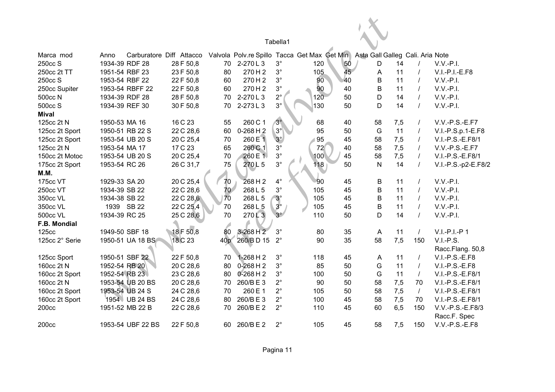|                |                |                   |                          |                 |                                              | Tabella1               |     |    |                                  |     |            |                     |
|----------------|----------------|-------------------|--------------------------|-----------------|----------------------------------------------|------------------------|-----|----|----------------------------------|-----|------------|---------------------|
| Marca mod      | Anno           |                   | Carburatore Diff Attacco |                 | Valvola Polv.re Spillo Tacca Get Max Get Min |                        |     |    | Asta Gall Galleg Cali. Aria Note |     |            |                     |
| 250cc S        | 1934-39 RDF 28 |                   | 28 F 50,8                | 70              | 2-270L3                                      | $3^\circ$              | 120 | 50 | D                                | 14  |            | $V.V.-P.I.$         |
| 250cc 2t TT    | 1951-54 RBF 23 |                   | 23 F 50,8                | 80              | 270H2                                        | $3^\circ$              | 105 | 45 | A                                | 11  |            | $V.I.-P.I.-E.F8$    |
| 250cc S        | 1953-54 RBF 22 |                   | 22 F 50,8                | 60              | 270H2                                        | $3^{\circ}$            | 90  | 40 | $\mathsf B$                      | 11  |            | $V.V.-P.I.$         |
| 250cc Supiter  |                | 1953-54 RBFF 22   | 22 F 50,8                | 60              | 270H2                                        | $3^{\circ}$            | 90  | 40 | $\overline{B}$                   | 11  |            | $V.V.-P.I.$         |
| 500cc N        | 1934-39 RDF 28 |                   | 28 F 50,8                | 70              | 2-270L3                                      | $2^{\circ}$            | 120 | 50 | D                                | 14  |            | $V.V.-P.I.$         |
| 500cc S        | 1934-39 REF 30 |                   | 30 F 50,8                | 70              | 2-273L3                                      | $3^\circ$              | 130 | 50 | D                                | 14  |            | $V.V.-P.I.$         |
| <b>Mival</b>   |                |                   |                          |                 |                                              |                        |     |    |                                  |     |            |                     |
| 125cc 2t N     | 1950-53 MA 16  |                   | 16 C 23                  | 55              | 260 C 1                                      | $3^\circ$              | 68  | 40 | 58                               | 7,5 |            | V.V.-P.S.-E.F7      |
| 125cc 2t Sport |                | 1950-51 RB 22 S   | 22 C 28,6                | 60              | $0-268$ H 2                                  | $3^\circ$              | 95  | 50 | G                                | 11  |            | V.I.-P.S.p.1-E.F8   |
| 125cc 2t Sport |                | 1953-54 UB 20 S   | 20 C 25,4                | 70              | 260 E 1                                      | $3^\circ$              | 95  | 45 | 58                               | 7,5 |            | V.I.-P.S.-E.F8/1    |
| 125cc 2t N     | 1953-54 MA 17  |                   | 17 C 23                  | 65              | 260 C 1                                      | $3^\circ$              | 72  | 40 | 58                               | 7,5 |            | V.V.-P.S.-E.F7      |
| 150cc 2t Motoc |                | 1953-54 UB 20 S   | 20 C 25,4                | 70              | 260 E 1                                      | $3^{\circ}$            | 100 | 45 | 58                               | 7,5 | $\prime$   | V.I.-P.S.-E.F8/1    |
| 175cc 2t Sport | 1953-54 RC 26  |                   | 26 C 31,7                | 75              | 270L5                                        | $3^\circ$              | 118 | 50 | $\mathsf{N}$                     | 14  | $\prime$   | V.I.-P.S.-p2-E.F8/2 |
| M.M.           |                |                   |                          |                 |                                              |                        |     |    |                                  |     |            |                     |
| 175cc VT       | 1929-33 SA 20  |                   | 20 C 25,4                | 70              | 268 H 2                                      | $4^\circ$              | 90  | 45 | B                                | 11  | $\prime$   | $V.V.-P.I.$         |
| 250cc VT       | 1934-39 SB 22  |                   | 22 C 28,6                | 70              | 268 L 5                                      | $3^\circ$              | 105 | 45 | $\overline{B}$                   | 11  | $\prime$   | $V.V.-P.I.$         |
| 350cc VL       | 1934-38 SB 22  |                   | 22 C 28,6                | 70              | 268 L 5                                      | $3^\circ$<br>$3^\circ$ | 105 | 45 | $\overline{B}$                   | 11  | $\prime$   | $V.V.-P.I.$         |
| 350cc VL       |                | 1939 SB 22        | 22 C 25,4                | 70              | 268 L 5                                      |                        | 105 | 45 | $\overline{B}$                   | 11  | $\prime$   | $V.V.-P.I.$         |
| 500cc VL       | 1934-39 RC 25  |                   | 25 C 28,6                | 70              | 270L3                                        | $3^\circ$              | 110 | 50 | D                                | 14  | $\prime$   | $V.V.-P.I.$         |
| F.B. Mondial   |                |                   |                          |                 |                                              |                        |     |    |                                  |     |            |                     |
| <b>125cc</b>   | 1949-50 SBF 18 |                   | 18 F 50,8                | 80              | 3-268 H 2                                    | $3^\circ$              | 80  | 35 | A                                | 11  | $\sqrt{ }$ | V.I.-P.I.-P1        |
| 125cc 2° Serie |                | 1950-51 UA 18 BS  | 18 C 23                  | 40 <sub>p</sub> | 260/BD 15                                    | $2^{\circ}$            | 90  | 35 | 58                               | 7,5 | 150        | $V.I.-P.S.$         |
|                |                |                   |                          |                 |                                              |                        |     |    |                                  |     |            | Racc.Flang. 50,8    |
| 125cc Sport    |                | 1950-51 SBF 22    | 22 F 50,8                | 70              | $1-268$ H 2                                  | $3^\circ$              | 118 | 45 | A                                | 11  | $\prime$   | $V.I.-P.S.-E.F8$    |
| 160cc 2t N     | 1952-54 RB 20  |                   | 20 C 28,6                | 80              | $0-268$ H 2                                  | $3^\circ$              | 85  | 50 | G                                | 11  | $\prime$   | $V.I.-P.S.-E.F8$    |
| 160cc 2t Sport | 1952-54 RB 23  |                   | 23 C 28,6                | 80              | $0-268$ H 2                                  | $3^\circ$              | 100 | 50 | G                                | 11  | $\prime$   | V.I.-P.S.-E.F8/1    |
| 160cc 2t N     |                | 1953-54 UB 20 BS  | 20 C 28,6                | 70              | 260/BE3                                      | $2^{\circ}$            | 90  | 50 | 58                               | 7,5 | 70         | V.I.-P.S.-E.F8/1    |
| 160cc 2t Sport |                | 1953-54 UB 24 S   | 24 C 28,6                | 70              | 260 E 1                                      | $2^{\circ}$            | 105 | 50 | 58                               | 7,5 | $\prime$   | V.I.-P.S.-E.F8/1    |
| 160cc 2t Sport |                | 1954 UB 24 BS     | 24 C 28,6                | 80              | 260/BE3                                      | $2^{\circ}$            | 100 | 45 | 58                               | 7,5 | 70         | V.I.-P.S.-E.F8/1    |
| 200cc          |                | 1951-52 MB 22 B   | 22 C 28,6                | 70              | 260/BE2                                      | $2^{\circ}$            | 110 | 45 | 60                               | 6,5 | 150        | V.V.-P.S.-E.F8/3    |
|                |                |                   |                          |                 |                                              |                        |     |    |                                  |     |            | Racc.F. Spec        |
| 200cc          |                | 1953-54 UBF 22 BS | 22 F 50,8                | 60              | 260/BE2                                      | $2^{\circ}$            | 105 | 45 | 58                               | 7,5 | 150        | V.V.-P.S.-E.F8      |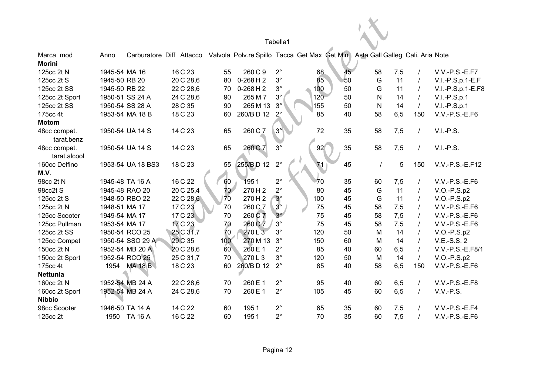|                                 |               |                   |                                                                                                        |     |             | Tabella1    |     |    |              |     |          |                   |
|---------------------------------|---------------|-------------------|--------------------------------------------------------------------------------------------------------|-----|-------------|-------------|-----|----|--------------|-----|----------|-------------------|
| Marca mod<br><b>Morini</b>      | Anno          |                   | Carburatore Diff Attacco Valvola Polv.re Spillo Tacca Get Max Get Min Asta Gall Galleg Cali. Aria Note |     |             |             |     |    |              |     |          |                   |
| 125cc 2t N                      | 1945-54 MA 16 |                   | 16 C 23                                                                                                | 55  | 260 C 9     | $2^{\circ}$ | 68  | 45 | 58           | 7,5 |          | V.V.-P.S.-E.F7    |
| 125cc 2t S                      | 1945-50 RB 20 |                   | 20 C 28,6                                                                                              | 80  | $0-268$ H 2 | $3^{\circ}$ | 85  | 50 | G            | 11  |          | V.I.-P.S.p.1-E.F  |
| 125cc 2t SS                     | 1945-50 RB 22 |                   | 22 C 28,6                                                                                              | 70  | $0-268$ H 2 | $3^{\circ}$ | 100 | 50 | G            | 11  |          | V.I.-P.S.p.1-E.F8 |
| 125cc 2t Sport                  |               | 1950-51 SS 24 A   | 24 C 28,6                                                                                              | 90  | 265 M 7     | $3^{\circ}$ | 120 | 50 | $\mathsf{N}$ | 14  |          | $V.I.-P.S.p.1$    |
| 125cc 2t SS                     |               | 1950-54 SS 28 A   | 28 C 35                                                                                                | 90  | 265 M 13    | $3^\circ$   | 155 | 50 | N            | 14  |          | $V.I.-P.S.p.1$    |
| 175cc 4t                        |               | 1953-54 MA 18 B   | 18 C 23                                                                                                | 60  | 260/BD 12   | $2^\circ$   | 85  | 40 | 58           | 6,5 | 150      | V.V.-P.S.-E.F6    |
| <b>Motom</b>                    |               |                   |                                                                                                        |     |             |             |     |    |              |     |          |                   |
| 48cc compet.<br>tarat.benz      |               | 1950-54 UA 14 S   | 14 C 23                                                                                                | 65  | 260 C 7     | $3^\circ$   | 72  | 35 | 58           | 7,5 |          | $V.I.-P.S.$       |
| 48cc compet.<br>tarat.alcool    |               | 1950-54 UA 14 S   | 14 C 23                                                                                                | 65  | 260 C 7     | $3^{\circ}$ | 92  | 35 | 58           | 7,5 |          | $V.I.-P.S.$       |
| 160cc Delfino<br>M.V.           |               | 1953-54 UA 18 BS3 | 18 C 23                                                                                                | 55  | 255/BD 12   | $2^{\circ}$ | 71  | 45 |              | 5   | 150      | V.V.-P.S.-E.F12   |
| 98cc 2t N                       |               | 1945-48 TA 16 A   | 16 C 22                                                                                                | 60  | 1951        | $2^{\circ}$ | 70  | 35 | 60           | 7,5 |          | $V.V.-P.S.-E.F6$  |
| 98cc2t S                        |               | 1945-48 RAO 20    | 20 C 25,4                                                                                              | 70  | 270H2       | $2^{\circ}$ | 80  | 45 | G            | 11  |          | $V.O.-P.S.p2$     |
| 125cc 2t S                      |               | 1948-50 RBO 22    | 22 C 28,6                                                                                              | 70  | 270H2       | $3^\circ$   | 100 | 45 | G            | 11  |          | $V.O.-P.S.p2$     |
| 125cc 2t N                      | 1948-51 MA 17 |                   | 17 C 23                                                                                                | 70  | 260 C 7     | $3^\circ$   | 75  | 45 | 58           | 7,5 |          | V.V.-P.S.-E.F6    |
| 125cc Scooter                   | 1949-54 MA 17 |                   | 17 C 23                                                                                                | 70  | 260 C 7     | $3^\circ$   | 75  | 45 | 58           | 7,5 |          | V.V.-P.S.-E.F6    |
| 125cc Pullman                   | 1953-54 MA 17 |                   | 17 C 23                                                                                                | 70  | 260 C 7     | $3^{\circ}$ | 75  | 45 | 58           | 7,5 |          | $V.V.-P.S.-E.F6$  |
| 125cc 2t SS                     |               | 1950-54 RCO 25    | 25 C 31,7                                                                                              | 70  | 270L3       | $3^\circ$   | 120 | 50 | M            | 14  |          | $V.O.-P.S.p2$     |
| 125cc Compet                    |               | 1950-54 SSO 29 A  | 29 C 35                                                                                                | 100 | 270 M 13    | $3^\circ$   | 150 | 60 | M            | 14  |          | V.E.-S.S. 2       |
| 150cc 2t N                      |               | 1952-54 MB 20 A   | 20 C 28,6                                                                                              | 60  | 260 E 1     | $2^{\circ}$ | 85  | 40 | 60           | 6,5 |          | V.V.-P.S.-E.F8/1  |
| 150cc 2t Sport                  |               | 1952-54 RCO 25    | 25 C 31,7                                                                                              | 70  | 270L3       | $3^\circ$   | 120 | 50 | M            | 14  | $\prime$ | $V.O.-P.S.p2$     |
| 175cc 4t                        | 1954          | <b>MA 18 B</b>    | 18 C 23                                                                                                | 60  | 260/BD 12   | $2^{\circ}$ | 85  | 40 | 58           | 6,5 | 150      | $V.V.-P.S.-E.F6$  |
| <b>Nettunia</b>                 |               |                   |                                                                                                        |     |             |             |     |    |              |     |          |                   |
| 160cc 2t N                      |               | 1952-54 MB 24 A   | 22 C 28,6                                                                                              | 70  | 260 E 1     | $2^{\circ}$ | 95  | 40 | 60           | 6,5 |          | V.V.-P.S.-E.F8    |
| 160cc 2t Sport<br><b>Nibbio</b> |               | 1952-54 MB 24 A   | 24 C 28,6                                                                                              | 70  | 260 E 1     | $2^{\circ}$ | 105 | 45 | 60           | 6,5 |          | V.V.-P.S.         |
| 98cc Scooter                    |               | 1946-50 TA 14 A   | 14 C 22                                                                                                | 60  | 1951        | $2^{\circ}$ | 65  | 35 | 60           | 7,5 |          | V.V.-P.S.-E.F4    |
| 125cc 2t                        | 1950          | TA 16 A           | 16 C 22                                                                                                | 60  | 1951        | $2^{\circ}$ | 70  | 35 | 60           | 7,5 |          | $V.V.-P.S.-E.F6$  |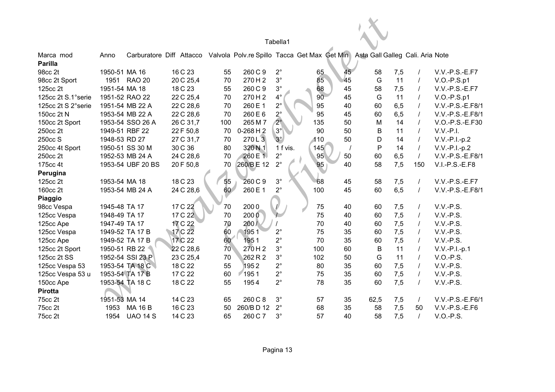|                    |               |                   |           |     |    |                                                                                                        | Tabella1    |     |    |      |     |                |                  |
|--------------------|---------------|-------------------|-----------|-----|----|--------------------------------------------------------------------------------------------------------|-------------|-----|----|------|-----|----------------|------------------|
| Marca mod          | Anno          |                   |           |     |    | Carburatore Diff Attacco Valvola Polv.re Spillo Tacca Get Max Get Min Asta Gall Galleg Cali. Aria Note |             |     |    |      |     |                |                  |
| <b>Parilla</b>     |               |                   |           |     |    |                                                                                                        |             |     |    |      |     |                |                  |
| 98cc 2t            | 1950-51 MA 16 |                   | 16 C 23   | 55  |    | 260 C 9                                                                                                | $2^{\circ}$ | 65  | 45 | 58   | 7,5 |                | $V.V.-P.S.-E.F7$ |
| 98cc 2t Sport      |               | 1951 RAO 20       | 20 C 25,4 | 70  |    | 270H2                                                                                                  | $3^\circ$   | 85  | 45 | G    | 11  |                | $V.O.-P.S.p1$    |
| 125cc 2t           | 1951-54 MA 18 |                   | 18 C 23   | 55  |    | 260 C 9                                                                                                | $3^\circ$   | 68  | 45 | 58   | 7,5 | $\prime$       | $V.V.-P.S.-E.F7$ |
| 125cc 2t S.1°serie |               | 1951-52 RAO 22    | 22 C 25,4 | 70  |    | 270H2                                                                                                  | $4^\circ$   | 90  | 45 | G    | 11  | $\prime$       | $V.O.-P.S.p1$    |
| 125cc 2t S 2°serie |               | 1951-54 MB 22 A   | 22 C 28,6 | 70  |    | 260 E 1                                                                                                | $2^{\circ}$ | 95  | 40 | 60   | 6,5 | $\prime$       | V.V.-P.S.-E.F8/1 |
| 150cc 2t N         |               | 1953-54 MB 22 A   | 22 C 28,6 | 70  |    | 260 E 6                                                                                                | $2^\circ$   | 95  | 45 | 60   | 6,5 | $\prime$       | V.V.-P.S.-E.F8/1 |
| 150cc 2t Sport     |               | 1953-54 SSO 26 A  | 26 C 31,7 | 100 |    | 265 M 7                                                                                                | $2^\circ$   | 135 | 50 | M    | 14  | $\prime$       | V.O.-P.S.-E.F30  |
| 250cc 2t           |               | 1949-51 RBF 22    | 22 F 50,8 | 70  |    | $0-268$ H $2$                                                                                          | $3^{\circ}$ | 90  | 50 | B    | 11  | $\prime$       | $V.V.-P.I.$      |
| 250cc S            | 1948-53 RD 27 |                   | 27 C 31,7 | 70  |    | 270L3                                                                                                  | $3^\circ$   | 110 | 50 | D    | 14  | $\prime$       | $V.V.-P.I.-p.2$  |
| 250cc 4t Sport     |               | 1950-51 SS 30 M   | 30 C 36   | 80  |    | 320 N 1                                                                                                | 1 f vis.    | 145 |    | P    | 14  | $\overline{I}$ | $V.V.-P.I.-p.2$  |
| 250cc 2t           |               | 1952-53 MB 24 A   | 24 C 28,6 | 70  |    | 260 E 1                                                                                                | $2^{\circ}$ | 95  | 50 | 60   | 6,5 | $\overline{I}$ | V.V.-P.S.-E.F8/1 |
| 175cc 4t           |               | 1953-54 UBF 20 BS | 20 F 50,8 |     | 70 | 260/BE12                                                                                               | $2^{\circ}$ | 95  | 40 | 58   | 7,5 | 150            | $V.I.-P.S.-E.F8$ |
| Perugina           |               |                   |           |     |    |                                                                                                        |             |     |    |      |     |                |                  |
| 125cc 2t           | 1953-54 MA 18 |                   | 18 C 23   |     | 55 | 260 C 9                                                                                                | $3^\circ$   | 68  | 45 | 58   | 7,5 | $\prime$       | $V.V.-P.S.-E.F7$ |
| 160cc 2t           |               | 1953-54 MB 24 A   | 24 C 28,6 |     | 60 | 260 E 1                                                                                                | $2^{\circ}$ | 100 | 45 | 60   | 6,5 | $\prime$       | V.V.-P.S.-E.F8/1 |
| Piaggio            |               |                   |           |     |    |                                                                                                        |             |     |    |      |     |                |                  |
| 98cc Vespa         | 1945-48 TA 17 |                   | 17 C 22   | 70  |    | 2000                                                                                                   |             | 75  | 40 | 60   | 7,5 | $\prime$       | $V.V.-P.S.$      |
| 125cc Vespa        | 1948-49 TA 17 |                   | 17 C 22   | 70  |    | 2000                                                                                                   |             | 75  | 40 | 60   | 7,5 |                | V.V.-P.S.        |
| 125cc Ape          | 1947-49 TA 17 |                   | 17 C 22   | 70  |    | 200/                                                                                                   |             | 70  | 40 | 60   | 7,5 | $\prime$       | V.V.-P.S.        |
| 125cc Vespa        |               | 1949-52 TA 17 B   | 17 C 22   | 60  |    | 1951                                                                                                   | $2^{\circ}$ | 75  | 35 | 60   | 7,5 | $\prime$       | V.V.-P.S.        |
| 125cc Ape          |               | 1949-52 TA 17 B   | 17 C 22   | 60  |    | 1951                                                                                                   | $2^{\circ}$ | 70  | 35 | 60   | 7,5 | $\prime$       | V.V.-P.S.        |
| 125cc 2t Sport     | 1950-51 RB 22 |                   | 22 C 28,6 |     | 70 | 270H2                                                                                                  | $3^\circ$   | 100 | 60 | B    | 11  | $\prime$       | $V.V.-P.I.-p.1$  |
| 125cc 2t SS        |               | 1952-54 SSI 23 P  | 23 C 25,4 | 70  |    | 262 R 2                                                                                                | $3^\circ$   | 102 | 50 | G    | 11  | $\prime$       | $V.O.-P.S.$      |
| 125cc Vespa 53     |               | 1953-54 TA 18 C   | 18 C 22   | 55  |    | 1952                                                                                                   | $2^{\circ}$ | 80  | 35 | 60   | 7,5 | $\prime$       | V.V.-P.S.        |
| 125cc Vespa 53 u   |               | 1953-54 TA 17 B   | 17 C 22   | 60  |    | 1951                                                                                                   | $2^{\circ}$ | 75  | 35 | 60   | 7,5 | $\overline{I}$ | V.V.-P.S.        |
| 150cc Ape          |               | 1953-54 TA 18 C   | 18 C 22   | 55  |    | 1954                                                                                                   | $2^{\circ}$ | 78  | 35 | 60   | 7,5 | $\prime$       | $V.V.-P.S.$      |
| <b>Pirotta</b>     |               |                   |           |     |    |                                                                                                        |             |     |    |      |     |                |                  |
| 75cc 2t            | 1951-53 MA 14 |                   | 14 C 23   | 65  |    | 260 C 8                                                                                                | $3^\circ$   | 57  | 35 | 62,5 | 7,5 | $\prime$       | V.V.-P.S.-E.F6/1 |
| 75cc 2t            | 1953          | <b>MA 16 B</b>    | 16 C 23   | 50  |    | 260/BD 12                                                                                              | $2^{\circ}$ | 68  | 35 | 58   | 7,5 | 50             | V.V.-P.S.-E.F6   |
| 75cc 2t            | 1954          | <b>UAO 14 S</b>   | 14 C 23   | 65  |    | 260 C 7                                                                                                | $3^\circ$   | 57  | 40 | 58   | 7,5 |                | $V.O.-P.S.$      |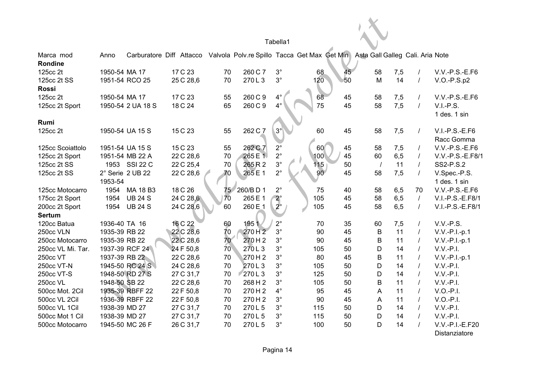|                                 |               |                   |           |                 |                   | Tabella1              |                                                                                                        |    |            |     |                |                                |
|---------------------------------|---------------|-------------------|-----------|-----------------|-------------------|-----------------------|--------------------------------------------------------------------------------------------------------|----|------------|-----|----------------|--------------------------------|
| Marca mod<br>Rondine            | Anno          |                   |           |                 |                   |                       | Carburatore Diff Attacco Valvola Polv.re Spillo Tacca Get Max Get Min Asta Gall Galleg Cali. Aria Note |    |            |     |                |                                |
| 125cc 2t                        | 1950-54 MA 17 |                   | 17 C 23   | 70              | 260 C 7           | $3^{\circ}$           | 68                                                                                                     | 45 | 58         | 7,5 | $\prime$       | $V.V.-P.S.-E.F6$               |
| 125cc 2t SS<br><b>Rossi</b>     |               | 1951-54 RCO 25    | 25 C 28,6 | 70              | 270L3             | $3^{\circ}$           | 120                                                                                                    | 50 | M          | 14  | $\sqrt{ }$     | $V.O.-P.S.p2$                  |
| 125cc 2t                        | 1950-54 MA 17 |                   | 17 C 23   | 55              | 260 C 9           | $4^{\circ}$           | 68                                                                                                     | 45 | 58         | 7,5 | $\prime$       | V.V.-P.S.-E.F6                 |
| 125cc 2t Sport                  |               | 1950-54 2 UA 18 S | 18 C 24   | 65              | 260 C 9           | $4^{\circ}$           | 75                                                                                                     | 45 | 58         | 7,5 | $\prime$       | $V.I.-P.S.$<br>1 des. 1 sin    |
| Rumi                            |               |                   |           |                 |                   |                       |                                                                                                        |    |            |     |                |                                |
| 125cc 2t                        |               | 1950-54 UA 15 S   | 15 C 23   | 55              | 262 C 7           | $3^\circ$             | 60                                                                                                     | 45 | 58         | 7,5 | $\prime$       | $V.I.-P.S.-E.F6$<br>Racc Gomma |
| 125cc Scoiattolo                |               | 1951-54 UA 15 S   | 15 C 23   | 55              | 262 C 7           | $2^{\circ}$           | 60                                                                                                     | 45 | 58         | 7,5 | $\prime$       | $V.V.-P.S.-E.F6$               |
| 125cc 2t Sport                  |               | 1951-54 MB 22 A   | 22 C 28,6 | 70              | 265 E 1           | $2^{\circ}$           | 100                                                                                                    | 45 | 60         | 6,5 | $\prime$       | V.V.-P.S.-E.F8/1               |
| 125cc 2t SS                     | 1953          | <b>SSI 22 C</b>   | 22 C 25,4 | 70              | 265R2             | $3^{\circ}$           | 115                                                                                                    | 50 | $\sqrt{ }$ | 11  | $\prime$       | SS2-P.S.2                      |
| 125cc 2t SS                     | 1953-54       | 2° Serie 2 UB 22  | 22 C 28,6 | 70              | 265 E 1           | $2^{\circ}$           | 90 <sup>°</sup>                                                                                        | 45 | 58         | 7,5 | $\prime$       | V.Spec.-P.S.<br>1 des. 1 sin   |
| 125cc Motocarro                 | 1954          | MA 18 B3          | 18 C 26   | 75 <sub>2</sub> | 260/BD1           | $2^{\circ}$           | 75                                                                                                     | 40 | 58         | 6,5 | 70             | V.V.-P.S.-E.F6                 |
| 175cc 2t Sport                  | 1954          | <b>UB 24 S</b>    | 24 C 28,6 | 70              | 265 E 1           | $\frac{2}{2}^{\circ}$ | 105                                                                                                    | 45 | 58         | 6,5 | $\prime$       | V.I.-P.S.-E.F8/1               |
| 200cc 2t Sport<br><b>Sertum</b> | 1954          | <b>UB 24 S</b>    | 24 C 28,6 | 60              | 260 E 1           |                       | 105                                                                                                    | 45 | 58         | 6,5 | $\overline{I}$ | V.I.-P.S.-E.F8/1               |
| 120cc Batua                     | 1936-40 TA 16 |                   | 16 C 22   | 60              | 1951              | $2^{\circ}$           | 70                                                                                                     | 35 | 60         | 7,5 | T              | $V.V.-P.S.$                    |
| 250cc VLN                       | 1935-39 RB 22 |                   | 22 C 28,6 | 70              | 270H <sub>2</sub> | $3^\circ$             | 90                                                                                                     | 45 | B          | 11  | $\prime$       | $V.V.-P.I.-p.1$                |
| 250cc Motocarro                 | 1935-39 RB 22 |                   | 22 C 28,6 | 70              | 270H2             | $3^\circ$             | 90                                                                                                     | 45 | В          | 11  | $\prime$       | $V.V.-P.I.-p.1$                |
| 250cc VL Mi. Tar.               |               | 1937-39 RCF 24    | 24 F 50,8 | $70^{\circ}$    | 270L3             | $3^\circ$             | 105                                                                                                    | 50 | D          | 14  | $\prime$       | $V.V.-P.I.$                    |
| 250cc VT                        | 1937-39 RB 22 |                   | 22 C 28,6 | 70              | 270H2             | $3^\circ$             | 80                                                                                                     | 45 | В          | 11  | $\prime$       | V.V.-P.I.-p.1                  |
| 250cc VT-N                      |               | 1945-50 RC 24 S   | 24 C 28,6 | 70              | 270L3             | $3^\circ$             | 105                                                                                                    | 50 | D          | 14  | $\prime$       | $V.V.-P.I.$                    |
| 250cc VT-S                      |               | 1948-50 RD 27 S   | 27 C 31,7 | 70              | 270L3             | $3^\circ$             | 125                                                                                                    | 50 | D          | 14  | $\prime$       | $V.V.-P.I.$                    |
| <b>250cc VL</b>                 | 1948-50 SB 22 |                   | 22 C 28,6 | 70              | 268 H 2           | $3^\circ$             | 105                                                                                                    | 50 | B          | 11  | $\prime$       | $V.V.-P.I.$                    |
| 500cc Mot. 2Cil                 |               | 1935-39 RBFF 22   | 22 F 50,8 | 70              | 270H2             | $4^\circ$             | 95                                                                                                     | 45 | A          | 11  | $\prime$       | $V.O.-P.I.$                    |
| 500cc VL 2Cil                   |               | 1936-39 RBFF 22   | 22 F 50,8 | 70              | 270H2             | $3^\circ$             | 90                                                                                                     | 45 | A          | 11  | $\prime$       | $V.O.-P.I.$                    |
| 500cc VL 1Cil                   | 1938-39 MD 27 |                   | 27 C 31,7 | 70              | 270L5             | $3^\circ$             | 115                                                                                                    | 50 | D          | 14  | $\prime$       | $V.V.-P.I.$                    |
| 500cc Mot 1 Cil                 | 1938-39 MD 27 |                   | 27 C 31,7 | 70              | 270L5             | $3^\circ$             | 115                                                                                                    | 50 | D          | 14  |                | $V.V.-P.I.$                    |
| 500cc Motocarro                 |               | 1945-50 MC 26 F   | 26 C 31,7 | 70              | 270L5             | $3^\circ$             | 100                                                                                                    | 50 | D          | 14  |                | V.V.-P.I.-E.F20                |

Distanziatore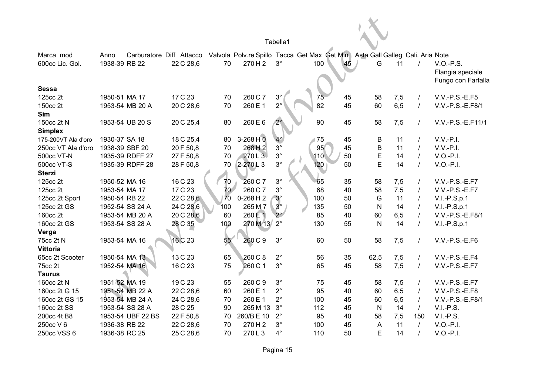|                              |                       |                   |                                       |                 |               | Tabella1    |                                                                                      |    |              |      |                |                                                       |
|------------------------------|-----------------------|-------------------|---------------------------------------|-----------------|---------------|-------------|--------------------------------------------------------------------------------------|----|--------------|------|----------------|-------------------------------------------------------|
| Marca mod<br>600cc Lic. Gol. | Anno<br>1938-39 RB 22 |                   | Carburatore Diff Attacco<br>22 C 28,6 | 70              | 270H2         | $3^\circ$   | Valvola Polv.re Spillo Tacca Get Max Get Min Asta Gall Galleg Cali. Aria Note<br>100 | 45 | G            | 11   |                | $V.O.-P.S.$<br>Flangia speciale<br>Fungo con Farfalla |
| <b>Sessa</b>                 |                       |                   |                                       |                 |               |             |                                                                                      |    |              |      |                |                                                       |
| 125cc 2t                     | 1950-51 MA 17         |                   | 17 C 23                               | 70              | 260 C 7       | $3^{\circ}$ | 75                                                                                   | 45 | 58           | 7,5  | $\prime$       | $V.V.-P.S.-E.F5$                                      |
| 150cc 2t                     |                       | 1953-54 MB 20 A   | 20 C 28,6                             | 70              | 260 E 1       | $2^{\circ}$ | 82                                                                                   | 45 | 60           | 6, 5 | $\prime$       | V.V.-P.S.-E.F8/1                                      |
| Sim                          |                       |                   |                                       |                 |               |             |                                                                                      |    |              |      |                |                                                       |
| 150cc 2t N                   |                       | 1953-54 UB 20 S   | 20 C 25,4                             | 80              | 260 E 6       | $2^{\circ}$ | 90                                                                                   | 45 | 58           | 7,5  | $\prime$       | V.V.-P.S.-E.F11/1                                     |
| <b>Simplex</b>               |                       |                   |                                       |                 |               |             |                                                                                      |    |              |      |                |                                                       |
| 175-200VT Ala d'oro          | 1930-37 SA 18         |                   | 18 C 25,4                             | 80              | $3-268$ H $0$ | $4^\circ$   | 75                                                                                   | 45 | B            | 11   | $\prime$       | $V.V.-P.I.$                                           |
| 250cc VT Ala d'oro           | 1938-39 SBF 20        |                   | 20 F 50,8                             | 70              | 268H2         | $3^{\circ}$ | 95                                                                                   | 45 | B            | 11   | $\prime$       | $V.V.-P.I.$                                           |
| 500cc VT-N                   |                       | 1935-39 RDFF 27   | 27 F 50,8                             | 70              | 270L3         | $3^{\circ}$ | 110                                                                                  | 50 | E            | 14   | $\prime$       | $V.O.-P.I.$                                           |
| 500cc VT-S                   |                       | 1935-39 RDFF 28   | 28 F 50,8                             | 70              | $2-270$ L 3   | $3^\circ$   | 120                                                                                  | 50 | E            | 14   | $\prime$       | $V.O.-P.I.$                                           |
| <b>Sterzi</b>                |                       |                   |                                       |                 |               |             |                                                                                      |    |              |      |                |                                                       |
| 125cc 2t                     | 1950-52 MA 16         |                   | 16 C 23                               | 70              | 260 C 7       | $3^\circ$   | 65                                                                                   | 35 | 58           | 7,5  | $\prime$       | V.V.-P.S.-E.F7                                        |
| 125cc 2t                     | 1953-54 MA 17         |                   | 17 C 23                               | 70 <sup>7</sup> | 260 C 7       | $3^\circ$   | 68                                                                                   | 40 | 58           | 7,5  | $\prime$       | $V.V.-P.S.-E.F7$                                      |
| 125cc 2t Sport               | 1950-54 RB 22         |                   | 22 C 28,6                             | 70              | $0-268$ H 2   | $3^\circ$   | 100                                                                                  | 50 | G            | 11   | $\overline{I}$ | $V.I.-P.S.p.1$                                        |
| 125cc 2t GS                  |                       | 1952-54 SS 24 A   | 24 C 28,6                             | 100             | 265 M 7       | $3^\circ$   | 135                                                                                  | 50 | N            | 14   | $\prime$       | $V.I.-P.S.p.1$                                        |
| 160cc 2t                     |                       | 1953-54 MB 20 A   | 20 C 28,6                             | 60              | 260 E 1       | $2^{\circ}$ | 85                                                                                   | 40 | 60           | 6,5  | $\prime$       | V.V.-P.S.-E.F8/1                                      |
| 160cc 2t GS                  |                       | 1953-54 SS 28 A   | 28 C 35                               | 100             | 270 M 13      | $2^{\circ}$ | 130                                                                                  | 55 | N            | 14   | $\prime$       | $V.I.-P.S.p.1$                                        |
| Verga                        |                       |                   |                                       |                 |               |             |                                                                                      |    |              |      |                |                                                       |
| 75cc 2t N                    | 1953-54 MA 16         |                   | 16 C 23                               | 55              | 260 C 9       | $3^\circ$   | 60                                                                                   | 50 | 58           | 7,5  | $\prime$       | V.V.-P.S.-E.F6                                        |
| <b>Vittoria</b>              |                       |                   |                                       |                 |               |             |                                                                                      |    |              |      |                |                                                       |
| 65cc 2t Scooter              | 1950-54 MA 13         |                   | 13 C 23                               | 65              | 260 C 8       | $2^{\circ}$ | 56                                                                                   | 35 | 62,5         | 7,5  | $\prime$       | V.V.-P.S.-E.F4                                        |
| 75cc 2t                      | 1952-54 MA 16         |                   | 16 C 23                               | 75              | 260 C 1       | $3^\circ$   | 65                                                                                   | 45 | 58           | 7,5  | $\prime$       | V.V.-P.S.-E.F7                                        |
| <b>Taurus</b>                |                       |                   |                                       |                 |               |             |                                                                                      |    |              |      |                |                                                       |
| 160cc 2t N                   | 1951-52 MA 19         |                   | 19 C 23                               | 55              | 260 C 9       | $3^\circ$   | 75                                                                                   | 45 | 58           | 7,5  | $\prime$       | V.V.-P.S.-E.F7                                        |
| 160cc 2t G 15                |                       | 1951-54 MB 22 A   | 22 C 28,6                             | 60              | 260 E 1       | $2^{\circ}$ | 95                                                                                   | 40 | 60           | 6,5  | $\prime$       | V.V.-P.S.-E.F8                                        |
| 160cc 2t GS 15               |                       | 1953-54 MB 24 A   | 24 C 28,6                             | 70              | 260 E 1       | $2^{\circ}$ | 100                                                                                  | 45 | 60           | 6,5  | $\prime$       | V.V.-P.S.-E.F8/1                                      |
| 160cc 2t SS                  |                       | 1953-54 SS 28 A   | 28 C 25                               | 90              | 265 M 13      | $3^\circ$   | 112                                                                                  | 45 | $\mathsf{N}$ | 14   | $\prime$       | $V.I.-P.S.$                                           |
| 200cc 4t B8                  |                       | 1953-54 UBF 22 BS | 22 F 50,8                             | 70              | 260/BE 10     | $2^{\circ}$ | 95                                                                                   | 40 | 58           | 7,5  | 150            | $V.I.-P.S.$                                           |
| 250cc V 6                    | 1936-38 RB 22         |                   | 22 C 28,6                             | 70              | 270H2         | $3^\circ$   | 100                                                                                  | 45 | A            | 11   | $\prime$       | $V.O.-P.I.$                                           |
| 250cc VSS 6                  | 1936-38 RC 25         |                   | 25 C 28,6                             | 70              | 270L3         | $4^\circ$   | 110                                                                                  | 50 | E            | 14   |                | $V.O.-P.I.$                                           |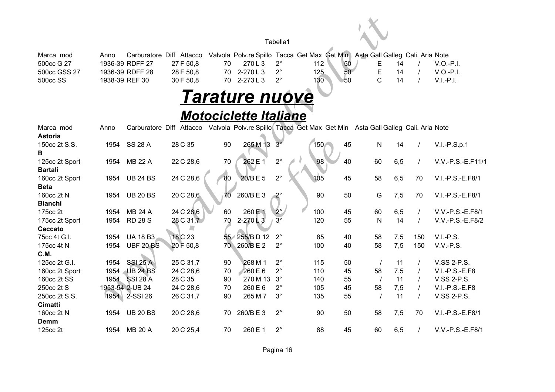| Marca mod            | Anno |                 |           |     | Carburatore Diff Attacco Valvola Polv.re Spillo Tacca Get Max Get Min Asta Gall Galleg Cali. Aria Note |     |     |  |  |           |
|----------------------|------|-----------------|-----------|-----|--------------------------------------------------------------------------------------------------------|-----|-----|--|--|-----------|
| 500cc G 27           |      | 1936-39 RDFF 27 | 27 F 50.8 |     | 270 L 3                                                                                                |     | 50  |  |  | V.O.-P.I. |
| 500cc GSS 27         |      | 1936-39 RDFF 28 | 28 F 50.8 | 70. | 2-270 L 3                                                                                              | 125 | 50  |  |  | V.O.-P.I. |
| 500 <sub>cc</sub> SS |      | 1938-39 REF 30  | 30F50.8   | 70. | 2-273 L 3                                                                                              | 130 | '50 |  |  | V.L-P.L   |

### *Tarature nuove*

### *Motociclette Italiane*

|                            |                |                  |                          |    |                              | Tabella1    |                                                                                       |    |                                  |          |                                      |
|----------------------------|----------------|------------------|--------------------------|----|------------------------------|-------------|---------------------------------------------------------------------------------------|----|----------------------------------|----------|--------------------------------------|
| Marca mod                  | Anno           |                  | Carburatore Diff Attacco |    |                              |             | Valvola Polv.re Spillo Tacca Get Max Get Min                                          |    | Asta Gall Galleg Cali. Aria Note |          |                                      |
| 500cc G 27                 |                | 1936-39 RDFF 27  | 27 F 50,8                | 70 | 270L3                        | $2^{\circ}$ | 112                                                                                   | 50 | Ε<br>14                          |          | $V.O.-P.I.$                          |
| 500cc GSS 27               |                | 1936-39 RDFF 28  | 28 F 50,8                | 70 | 2-270L3                      | $2^{\circ}$ | 125                                                                                   | 50 | E<br>14                          |          | $V.O.-P.I.$                          |
| 500cc SS                   | 1938-39 REF 30 |                  | 30 F 50,8                | 70 | 2-273L3                      | $2^{\circ}$ | 130                                                                                   | 50 | $\overline{C}$<br>14             |          | $V.I.-P.I.$                          |
|                            |                |                  |                          |    | <b>Tarature nuove</b>        |             |                                                                                       |    |                                  |          |                                      |
|                            |                |                  |                          |    | <b>Motociclette Italiane</b> |             |                                                                                       |    |                                  |          |                                      |
| Marca mod                  | Anno           | Carburatore Diff |                          |    |                              |             | Attacco Valvola Polv.re Spillo Tacca Get Max Get Min Asta Gall Galleg Cali. Aria Note |    |                                  |          |                                      |
| <b>Astoria</b>             |                |                  |                          |    |                              |             |                                                                                       |    |                                  |          |                                      |
| 150cc 2t S.S.              | 1954           | <b>SS 28 A</b>   | 28 C 35                  | 90 | 265 M 13                     | $3^\circ$   | 150<                                                                                  | 45 | N<br>14                          |          | $V.I.-P.S.p.1$                       |
| В                          |                |                  |                          |    |                              |             |                                                                                       |    |                                  |          |                                      |
| 125cc 2t Sport             | 1954           | <b>MB 22 A</b>   | 22 C 28,6                | 70 | 262 E 1                      | $2^{\circ}$ | 98                                                                                    | 40 | 60<br>6,5                        | $\prime$ | V.V.-P.S.-E.F11/1                    |
| <b>Bartali</b>             |                |                  |                          |    |                              |             |                                                                                       |    |                                  |          |                                      |
| 160cc 2t Sport             | 1954           | <b>UB 24 BS</b>  | 24 C 28,6                | 80 | 20/BE5                       | $2^{\circ}$ | 105                                                                                   | 45 | 58<br>6,5                        | 70       | V.I.-P.S.-E.F8/1                     |
| <b>Beta</b>                |                |                  |                          |    |                              |             |                                                                                       |    |                                  |          |                                      |
| 160cc 2t N                 | 1954           | <b>UB 20 BS</b>  | 20 C 28,6                | 70 | 260/BE3                      | $2^{\circ}$ | 90                                                                                    | 50 | G<br>7,5                         | 70       | V.I.-P.S.-E.F8/1                     |
| <b>Bianchi</b><br>175cc 2t | 1954           | <b>MB 24 A</b>   | 24 C 28.6                | 60 | 260 E 1                      | $2^{\circ}$ | 100                                                                                   | 45 |                                  |          |                                      |
| 175cc 2t Sport             | 1954           | <b>RD 28 S</b>   | 28 C 31,7                | 70 | $2-270$ $\&$ 3               | $3^\circ$   | 120                                                                                   | 55 | 60<br>6,5<br>$\mathsf{N}$<br>14  |          | V.V.-P.S.-E.F8/1<br>V.V.-P.S.-E.F8/2 |
| Ceccato                    |                |                  |                          |    |                              |             |                                                                                       |    |                                  |          |                                      |
| 75cc 4t G.I.               | 1954           | <b>UA 18 B3</b>  | 18 C 23                  |    | 55 255/B D 12                | $2^{\circ}$ | 85                                                                                    | 40 | 58<br>7,5                        | 150      | $V.I.-P.S.$                          |
| 175cc 4t N                 | 1954           | <b>UBF 20 BS</b> | 20 F 50,8                |    | 70 260/BE2                   | $2^{\circ}$ | 100                                                                                   | 40 | 58<br>7,5                        | 150      | V.V.-P.S.                            |
| C.M.                       |                |                  |                          |    |                              |             |                                                                                       |    |                                  |          |                                      |
| 125cc 2t G.I.              | 1954           | <b>SSI 25 A</b>  | 25 C 31,7                | 90 | 268 M 1                      | $2^{\circ}$ | 115                                                                                   | 50 | 11                               | $\prime$ | V.SS 2-P.S.                          |
| 160cc 2t Sport             | 1954           | <b>UB 24 BS</b>  | 24 C 28,6                | 70 | $260 \text{ E } 6$           | $2^{\circ}$ | 110                                                                                   | 45 | 58<br>7,5                        |          | V.I.-P.S.-E.F8                       |
| 160cc 2t SS                | 1954           | <b>SSI 28 A</b>  | 28 C 35                  | 90 | 270 M 13                     | $3^\circ$   | 140                                                                                   | 55 | 11<br>$\prime$                   |          | V.SS 2-P.S.                          |
| 250cc 2t S                 |                | 1953-54 2-UB 24  | 24 C 28,6                | 70 | 260 E 6                      | $2^{\circ}$ | 105                                                                                   | 45 | 58<br>7,5                        |          | V.I.-P.S.-E.F8                       |
| 250cc 2t S.S.              | 1954           | 2-SSI 26         | 26 C 31,7                | 90 | 265 M 7                      | $3^\circ$   | 135                                                                                   | 55 | 11                               |          | V.SS 2-P.S.                          |
| Cimatti                    |                |                  |                          |    |                              |             |                                                                                       |    |                                  |          |                                      |
| 160cc 2t N                 | 1954           | <b>UB 20 BS</b>  | 20 C 28,6                | 70 | 260/BE3                      | $2^{\circ}$ | 90                                                                                    | 50 | 58<br>7,5                        | 70       | V.I.-P.S.-E.F8/1                     |
| Demm                       |                |                  |                          |    |                              |             |                                                                                       |    |                                  |          |                                      |
| 125cc 2t                   | 1954           | <b>MB 20 A</b>   | 20 C 25,4                | 70 | 260 E 1                      | $2^{\circ}$ | 88                                                                                    | 45 | 60<br>6,5                        | $\prime$ | V.V.-P.S.-E.F8/1                     |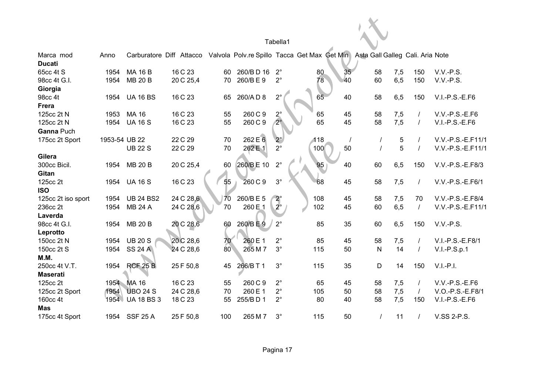|                        |               |                   |                                                                                                        |     |                    | Tabella1    |     |    |              |     |          |                   |
|------------------------|---------------|-------------------|--------------------------------------------------------------------------------------------------------|-----|--------------------|-------------|-----|----|--------------|-----|----------|-------------------|
|                        |               |                   |                                                                                                        |     |                    |             |     |    |              |     |          |                   |
| Marca mod              | Anno          |                   | Carburatore Diff Attacco Valvola Polv.re Spillo Tacca Get Max Get Min Asta Gall Galleg Cali. Aria Note |     |                    |             |     |    |              |     |          |                   |
| <b>Ducati</b>          |               |                   |                                                                                                        |     |                    |             |     |    |              |     |          |                   |
| 65cc 4t S              | 1954          | <b>MA 16 B</b>    | 16 C 23                                                                                                | 60  | 260/BD 16          | $2^{\circ}$ | 80  | 35 | 58           | 7,5 | 150      | V.V.-P.S.         |
| 98cc 4t G.I.           | 1954          | <b>MB 20 B</b>    | 20 C 25,4                                                                                              | 70  | 260/BE9            | $2^{\circ}$ | 78  | 40 | 60           | 6,5 | 150      | V.V.-P.S.         |
| Giorgia                |               |                   |                                                                                                        |     |                    |             |     |    |              |     |          |                   |
| 98cc 4t                | 1954          | <b>UA 16 BS</b>   | 16 C 23                                                                                                | 65  | 260/AD8            | $2^{\circ}$ | 65  | 40 | 58           | 6,5 | 150      | V.I.-P.S.-E.F6    |
| <b>Frera</b>           |               |                   |                                                                                                        |     |                    |             |     |    |              |     |          |                   |
| 125cc 2t N             | 1953          | <b>MA 16</b>      | 16 C 23                                                                                                | 55  | 260 C 9            | $2^\circ$   | 65  | 45 | 58           | 7,5 |          | V.V.-P.S.-E.F6    |
| 125cc 2t N             | 1954          | <b>UA 16 S</b>    | 16 C 23                                                                                                | 55  | 260 C 9            | $2^\circ$   | 65  | 45 | 58           | 7,5 |          | $V.I.-P.S.-E.F6$  |
| Ganna Puch             |               |                   |                                                                                                        |     |                    |             |     |    |              |     |          |                   |
| 175cc 2t Sport         | 1953-54 UB 22 |                   | 22 C 29                                                                                                | 70  | 262 E 6            | $2^{\circ}$ | 118 |    |              | 5   |          | V.V.-P.S.-E.F11/1 |
|                        |               | <b>UB 22 S</b>    | 22 C 29                                                                                                | 70  | 262 E 1            | $2^{\circ}$ | 100 | 50 |              | 5   |          | V.V.-P.S.-E.F11/1 |
| Gilera                 |               |                   |                                                                                                        |     |                    |             |     |    |              |     |          |                   |
| 300cc Bicil.           | 1954          | <b>MB 20 B</b>    | 20 C 25,4                                                                                              | 60  | 260/BE 10          | $2^{\circ}$ | 95  | 40 | 60           | 6,5 | 150      | V.V.-P.S.-E.F8/3  |
| Gitan                  |               |                   |                                                                                                        |     |                    |             |     |    |              |     |          |                   |
| 125cc 2t               | 1954          | <b>UA 16 S</b>    | 16 C 23                                                                                                | 55  | 260 C 9            | $3^\circ$   | 68  | 45 | 58           | 7,5 | $\prime$ | V.V.-P.S.-E.F6/1  |
| <b>ISO</b>             |               |                   |                                                                                                        |     |                    |             |     |    |              |     |          |                   |
| 125cc 2t iso sport     | 1954          | <b>UB 24 BS2</b>  | 24 C 28,6                                                                                              | 70  | 260/BE5            | $2^\circ$   | 108 | 45 | 58           | 7,5 | 70       | V.V.-P.S.-E.F8/4  |
| 236cc 2t               | 1954          | <b>MB 24 A</b>    | 24 C 28,6                                                                                              | 70  | 260 E <sub>1</sub> | $2^{\circ}$ | 102 | 45 | 60           | 6,5 | $\prime$ | V.V.-P.S.-E.F11/1 |
| Laverda                |               |                   |                                                                                                        |     |                    |             |     |    |              |     |          |                   |
| 98cc 4t G.I.           | 1954          | <b>MB 20 B</b>    | 20 C 28,6                                                                                              | 60  | 260/BE9            | $2^{\circ}$ | 85  | 35 | 60           | 6,5 | 150      | $V.V.-P.S.$       |
|                        |               |                   |                                                                                                        |     |                    |             |     |    |              |     |          |                   |
| Leprotto<br>150cc 2t N | 1954          | <b>UB 20 S</b>    | 20 C 28,6                                                                                              | 70  | 260 E 1            | $2^{\circ}$ | 85  | 45 |              |     |          | V.I.-P.S.-E.F8/1  |
|                        |               |                   |                                                                                                        | 80  |                    | $3^{\circ}$ |     |    | 58           | 7,5 |          |                   |
| 150cc 2t S             | 1954          | <b>SS 24 A</b>    | 24 C 28,6                                                                                              |     | 265 M 7            |             | 115 | 50 | $\mathsf{N}$ | 14  |          | $V.I.-P.S.p.1$    |
| M.M.                   |               |                   |                                                                                                        |     |                    |             |     |    |              |     |          |                   |
| 250cc 4t V.T.          | 1954          | <b>RCF 25 B</b>   | 25 F 50,8                                                                                              | 45  | 266/B T 1          | $3^{\circ}$ | 115 | 35 | D            | 14  | 150      | $V.I.-P.I.$       |
| <b>Maserati</b>        |               |                   |                                                                                                        |     |                    |             |     |    |              |     |          |                   |
| 125cc 2t               | 1954          | MA 16             | 16 C 23                                                                                                | 55  | 260 C 9            | $2^{\circ}$ | 65  | 45 | 58           | 7,5 |          | V.V.-P.S.-E.F6    |
| 125cc 2t Sport         | 1954          | <b>UBO 24 S</b>   | 24 C 28,6                                                                                              | 70  | 260 E 1            | $2^{\circ}$ | 105 | 50 | 58           | 7,5 | $\prime$ | V.O.-P.S.-E.F8/1  |
| 160cc 4t               | 1954          | <b>UA 18 BS 3</b> | 18 C 23                                                                                                | 55  | 255/BD1            | $2^{\circ}$ | 80  | 40 | 58           | 7,5 | 150      | $V.I.-P.S.-E.F6$  |
| <b>Mas</b>             |               |                   |                                                                                                        |     |                    |             |     |    |              |     |          |                   |
| 175cc 4t Sport         |               | 1954 SSF 25 A     | 25 F 50,8                                                                                              | 100 | 265 M 7            | $3^\circ$   | 115 | 50 | $\prime$     | 11  |          | V.SS 2-P.S.       |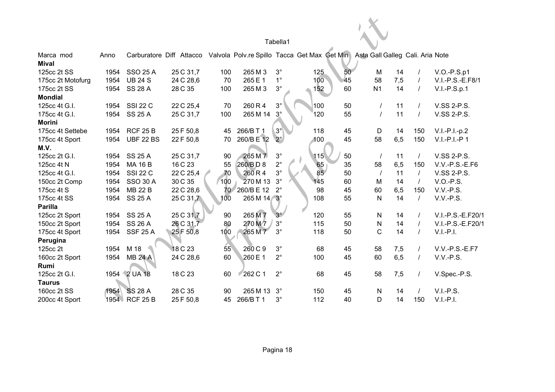| Tabella1 |  |
|----------|--|
|          |  |

|                   |      |                  |           |     |             | Tabella1    |                                                                                                        |    |                |                |                   |
|-------------------|------|------------------|-----------|-----|-------------|-------------|--------------------------------------------------------------------------------------------------------|----|----------------|----------------|-------------------|
| Marca mod         | Anno |                  |           |     |             |             | Carburatore Diff Attacco Valvola Polv.re Spillo Tacca Get Max Get Min Asta Gall Galleg Cali. Aria Note |    |                |                |                   |
| <b>Mival</b>      |      |                  |           |     |             |             |                                                                                                        |    |                |                |                   |
| 125cc 2t SS       | 1954 | <b>SSO 25 A</b>  | 25 C 31,7 | 100 | 265 M 3     | $3^{\circ}$ | 125                                                                                                    | 50 | M              | 14             | $V.O.-P.S.p1$     |
| 175cc 2t Motofurg | 1954 | <b>UB 24 S</b>   | 24 C 28,6 | 70  | 265 E 1     | $1^{\circ}$ | 100                                                                                                    | 45 | 7,5<br>58      |                | V.I.-P.S.-E.F8/1  |
| 175cc 2t SS       | 1954 | <b>SS 28 A</b>   | 28 C 35   | 100 | 265 M 3     | $3^\circ$   | 152                                                                                                    | 60 | N <sub>1</sub> | 14<br>$\prime$ | $V.I.-P.S.p.1$    |
| <b>Mondial</b>    |      |                  |           |     |             |             |                                                                                                        |    |                |                |                   |
| 125cc 4t G.I.     | 1954 | <b>SSI 22 C</b>  | 22 C 25,4 | 70  | 260 R 4     | $3^{\circ}$ | 100                                                                                                    | 50 |                | 11             | V.SS 2-P.S.       |
| 175cc 4t G.I.     | 1954 | <b>SS 25 A</b>   | 25 C 31,7 | 100 | 265 M 14    | $3^\circ$   | 120                                                                                                    | 55 |                | 11             | V.SS 2-P.S.       |
| <b>Morini</b>     |      |                  |           |     |             |             |                                                                                                        |    |                |                |                   |
| 175cc 4t Settebe  | 1954 | <b>RCF 25 B</b>  | 25 F 50,8 | 45  | 266/B T 1   | $3^\circ$   | 118                                                                                                    | 45 | D              | 150<br>14      | $V.I.-P.I.-p.2$   |
| 175cc 4t Sport    | 1954 | <b>UBF 22 BS</b> | 22 F 50,8 | 70  | 260/B E 12  | $2^{\circ}$ | 100                                                                                                    | 45 | 6,5<br>58      | 150            | $V.I.-P.I.-P 1$   |
| M.V.              |      |                  |           |     |             |             |                                                                                                        |    |                |                |                   |
| 125cc 2t G.I.     | 1954 | <b>SS 25 A</b>   | 25 C 31,7 | 90  | 265 M 7     | $3^{\circ}$ | 115                                                                                                    | 50 | $\prime$       | 11             | V.SS 2-P.S.       |
| 125cc 4t N        | 1954 | <b>MA 16 B</b>   | 16 C 23   | 55  | 260/BD8     | $2^{\circ}$ | 65<br>85                                                                                               | 35 | 6,5<br>58      | 150            | $V.V.-P.S.-E.F6$  |
| 125cc 4t G.I.     | 1954 | <b>SSI 22 C</b>  | 22 C 25,4 | 70  | 260R4       | $3^\circ$   |                                                                                                        | 50 | $\prime$       | 11<br>$\prime$ | V.SS 2-P.S.       |
| 150cc 2t Comp     | 1954 | <b>SSO 30 A</b>  | 30 C 35   | 100 | 270 M 13    | $3^\circ$   | 145                                                                                                    | 60 | M              | 14<br>$\prime$ | $V.O.-P.S.$       |
| 175cc 4t S        | 1954 | <b>MB 22 B</b>   | 22 C 28,6 | 70  | 260/B E 12  | $2^{\circ}$ | 98                                                                                                     | 45 | 60<br>6,5      | 150            | V.V.-P.S.         |
| 175cc 4t SS       | 1954 | <b>SS 25 A</b>   | 25 C 31,7 | 100 | 265 M 14 3° |             | 108                                                                                                    | 55 | N              | 14<br>$\prime$ | V.V.-P.S.         |
| Parilla           |      |                  |           |     |             |             |                                                                                                        |    |                |                |                   |
| 125cc 2t Sport    | 1954 | <b>SS 25 A</b>   | 25 C 31,7 | 90  | 265 M 7     | $3^\circ$   | 120                                                                                                    | 55 | N              | 14             | V.I.-P.S.-E.F20/1 |
| 150cc 2t Sport    | 1954 | <b>SS 26 A</b>   | 26 C 31,7 | 80  | 270 M 7     | $3^{\circ}$ | 115                                                                                                    | 50 | N              | 14             | V.I.-P.S.-E.F20/1 |
| 175cc 4t Sport    | 1954 | <b>SSF 25 A</b>  | 25 F 50,8 | 100 | 265 M 7     | $3^{\circ}$ | 118                                                                                                    | 50 | $\mathsf{C}$   | 14             | $V.I.-P.I.$       |
| Perugina          |      |                  |           |     |             |             |                                                                                                        |    |                |                |                   |
| 125cc 2t          | 1954 | M 18             | 18 C 23   | 55  | 260 C 9     | $3^\circ$   | 68                                                                                                     | 45 | 58<br>7,5      |                | $V.V.-P.S.-E.F7$  |
| 160cc 2t Sport    | 1954 | <b>MB 24 A</b>   | 24 C 28,6 | 60  | 260 E 1     | $2^{\circ}$ | 100                                                                                                    | 45 | 6,5<br>60      |                | V.V.-P.S.         |
| Rumi              |      |                  |           |     |             |             |                                                                                                        |    |                |                |                   |
| 125cc 2t G.I.     |      | 1954 2 UA 18     | 18 C 23   | 60  | 262 C 1     | $2^{\circ}$ | 68                                                                                                     | 45 | 58<br>7,5      |                | V.Spec.-P.S.      |
| <b>Taurus</b>     |      |                  |           |     |             |             |                                                                                                        |    |                |                |                   |
| 160cc 2t SS       | 1954 | <b>SS 28 A</b>   | 28 C 35   | 90  | 265 M 13    | $3^\circ$   | 150                                                                                                    | 45 | N              | 14             | $V.I.-P.S.$       |
| 200cc 4t Sport    | 1954 | <b>RCF 25 B</b>  | 25 F 50,8 | 45  | 266/B T 1   | $3^\circ$   | 112                                                                                                    | 40 | D              | 14<br>150      | $V.I.-P.I.$       |
|                   |      |                  |           |     |             |             |                                                                                                        |    |                |                |                   |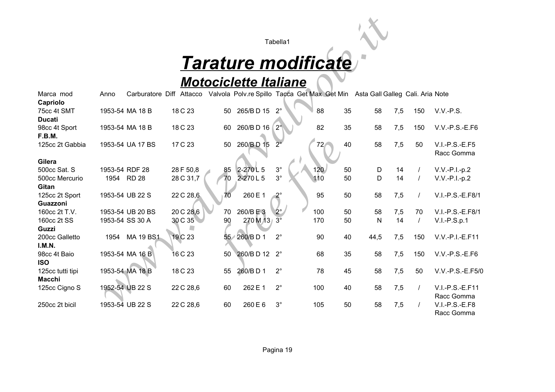# *Tarature modificate*

### *Motociclette Italiane*

|                                          |                        |                  |                        |                 |                              | Tabella1                 |                                                                                                        |          |                    |                      |                                    |
|------------------------------------------|------------------------|------------------|------------------------|-----------------|------------------------------|--------------------------|--------------------------------------------------------------------------------------------------------|----------|--------------------|----------------------|------------------------------------|
|                                          |                        |                  |                        |                 |                              |                          | <b>Tarature modificate</b>                                                                             |          |                    |                      |                                    |
|                                          |                        |                  |                        |                 | <b>Motociclette Italiane</b> |                          |                                                                                                        |          |                    |                      |                                    |
| Marca mod                                | Anno                   |                  |                        |                 |                              |                          | Carburatore Diff Attacco Valvola Polv.re Spillo Tacca Get Max Get Min Asta Gall Galleg Cali. Aria Note |          |                    |                      |                                    |
| Capriolo<br>75cc 4t SMT<br><b>Ducati</b> |                        | 1953-54 MA 18 B  | 18 C 23                | 50              | 265/BD 15                    | $2^{\circ}$              | 88                                                                                                     | 35       | 58<br>7,5          | 150                  | $V.V.-P.S.$                        |
| 98cc 4t Sport<br>F.B.M.                  |                        | 1953-54 MA 18 B  | 18 C 23                | 60              | 260/BD 16                    | $2^{\circ}$              | 82                                                                                                     | 35       | 58<br>7,5          | 150                  | V.V.-P.S.-E.F6                     |
| 125cc 2t Gabbia                          |                        | 1953-54 UA 17 BS | 17 C 23                | 50              | 260/BD 15                    |                          | $72 -$                                                                                                 | 40       | 7,5<br>58          | 50                   | $V.I.-P.S.-E.F5$<br>Racc Gomma     |
| Gilera                                   |                        |                  |                        |                 |                              |                          |                                                                                                        |          |                    |                      |                                    |
| 500cc Sat. S<br>500cc Mercurio<br>Gitan  | 1953-54 RDF 28<br>1954 | <b>RD 28</b>     | 28 F 50,8<br>28 C 31,7 | 85<br>70        | 2-270L5<br>2-270L5           | $3^{\circ}$<br>$3^\circ$ | 120<br>110                                                                                             | 50<br>50 | D<br>14<br>D<br>14 | $\prime$<br>$\prime$ | $V.V.-P.I.-p.2$<br>$V.V.-P.I.-p.2$ |
| 125cc 2t Sport<br>Guazzoni               |                        | 1953-54 UB 22 S  | 22 C 28,6              | 70              | 260 E 1                      | $2^{\circ}$              | 95                                                                                                     | 50       | 58<br>7,5          |                      | V.I.-P.S.-E.F8/1                   |
| 160cc 2t T.V.                            |                        | 1953-54 UB 20 BS | 20 C 28,6              | 70              | 260/BE3                      | $2^{\circ}$              | 100                                                                                                    | 50       | 58<br>7,5          | 70                   | V.I.-P.S.-E.F8/1                   |
| 160cc 2t SS<br><b>Guzzi</b>              |                        | 1953-54 SS 30 A  | 30 C 35                | 90              | 270 M 13 3°                  |                          | 170                                                                                                    | 50       | 14<br>$\mathsf{N}$ | $\prime$             | $V.I.-P.S.p.1$                     |
| 200cc Galletto<br>I.M.N.                 | 1954                   | <b>MA 19 BS1</b> | 19 C 23                | 55 <sub>7</sub> | 260/BD1                      | $2^{\circ}$              | 90                                                                                                     | 40       | 44,5<br>7,5        | 150                  | V.V.-P.I.-E.F11                    |
| 98cc 4t Baio<br><b>ISO</b>               |                        | 1953-54 MA 16 B  | 16 C 23                | 50              | 260/BD 12 2°                 |                          | 68                                                                                                     | 35       | 58<br>7,5          | 150                  | $V.V.-P.S.-E.F6$                   |
| 125cc tutti tipi<br><b>Macchi</b>        |                        | 1953-54 MA 18 B  | 18 C 23                | 55              | 260/BD1                      | $2^{\circ}$              | 78                                                                                                     | 45       | 58<br>7,5          | 50                   | V.V.-P.S.-E.F5/0                   |
| 125cc Cigno S                            |                        | 1952-54 UB 22 S  | 22 C 28,6              | 60              | 262 E 1                      | $2^{\circ}$              | 100                                                                                                    | 40       | 7,5<br>58          |                      | V.I.-P.S.-E.F11<br>Racc Gomma      |
| 250cc 2t bicil                           |                        | 1953-54 UB 22 S  | 22 C 28,6              | 60              | 260 E 6                      | $3^\circ$                | 105                                                                                                    | 50       | 58<br>7,5          |                      | V.I.-P.S.-E.F8<br>Racc Gomma       |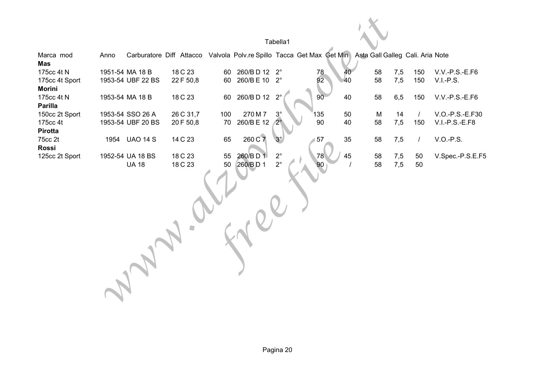|                |      |                   |                                                                                                        |          |                    | Tabella1                   |     |    |          |            |          |                  |
|----------------|------|-------------------|--------------------------------------------------------------------------------------------------------|----------|--------------------|----------------------------|-----|----|----------|------------|----------|------------------|
| Marca mod      | Anno |                   | Carburatore Diff Attacco Valvola Polv.re Spillo Tacca Get Max Get Min Asta Gall Galleg Cali. Aria Note |          |                    |                            |     |    |          |            |          |                  |
| <b>Mas</b>     |      |                   |                                                                                                        |          |                    |                            |     |    |          |            |          |                  |
| 175cc 4t N     |      | 1951-54 MA 18 B   | 18 C 23                                                                                                | 60       | 260/BD 12 2°       |                            | 78  |    | 58       | 7,5        | 150      | V.V.-P.S.-E.F6   |
| 175cc 4t Sport |      | 1953-54 UBF 22 BS | 22 F 50,8                                                                                              | 60       | 260/B E 10 2°      |                            | 92  | 40 | 58       | 7,5        | 150      | $V.I.-P.S.$      |
| <b>Morini</b>  |      |                   |                                                                                                        |          |                    |                            |     |    |          |            |          |                  |
| 175cc 4t N     |      | 1953-54 MA 18 B   | 18 C 23                                                                                                | 60       | 260/BD 12 2°       |                            | 90  | 40 | 58       | 6,5        | 150      | V.V.-P.S.-E.F6   |
| <b>Parilla</b> |      |                   |                                                                                                        |          |                    |                            |     |    |          |            |          |                  |
| 150cc 2t Sport |      | 1953-54 SSO 26 A  | 26 C 31,7                                                                                              | 100      | 270 M 7            | $3^\circ$                  | 135 | 50 | M        | 14         |          | V.O.-P.S.-E.F30  |
| 175cc 4t       |      | 1953-54 UBF 20 BS | 20 F 50,8                                                                                              | 70       | 260/B E 12         | $2^{\circ}$                | 90  | 40 | 58       | 7,5        | 150      | V.I.-P.S.-E.F8   |
| Pirotta        |      |                   |                                                                                                        |          |                    |                            |     |    |          |            |          |                  |
| 75cc 2t        |      | 1954 UAO 14 S     | 14 C 23                                                                                                | 65       | 260 C 7            | $3^\circ$                  | 57  | 35 | 58       | 7,5        |          | V.O.-P.S.        |
| <b>Rossi</b>   |      |                   |                                                                                                        |          |                    |                            |     |    |          |            |          |                  |
| 125cc 2t Sport |      | 1952-54 UA 18 BS  | 18 C 23                                                                                                | 55<br>50 | 260/BD1<br>260/BD1 | $2^{\circ}$<br>$2^{\circ}$ | 78  | 45 | 58<br>58 | 7,5<br>7,5 | 50<br>50 | V.Spec.-P.S.E.F5 |
|                |      | <b>UA 18</b>      | 18 C 23                                                                                                |          |                    |                            | 90  |    |          |            |          |                  |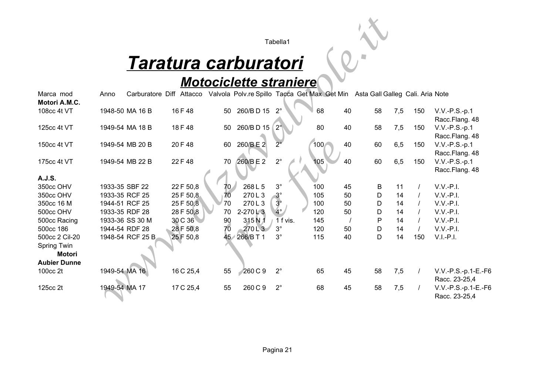# *Taratura carburatori*

### *Motociclette straniere*

|                     |               |                  |                             |    |                               | Tabella1    |                                                                               |    |    |     |     |                                      |
|---------------------|---------------|------------------|-----------------------------|----|-------------------------------|-------------|-------------------------------------------------------------------------------|----|----|-----|-----|--------------------------------------|
|                     |               |                  |                             |    |                               |             |                                                                               |    |    |     |     |                                      |
|                     |               |                  | <u>Taratura carburatori</u> |    |                               |             |                                                                               |    |    |     |     |                                      |
|                     |               |                  |                             |    | <b>Motociclette straniere</b> |             |                                                                               |    |    |     |     |                                      |
| Marca mod           | Anno          | Carburatore Diff | Attacco                     |    |                               |             | Valvola Polv.re Spillo Tacca Get Max Get Min Asta Gall Galleg Cali. Aria Note |    |    |     |     |                                      |
| Motori A.M.C.       |               |                  |                             |    |                               |             |                                                                               |    |    |     |     |                                      |
| 108cc 4t VT         |               | 1948-50 MA 16 B  | 16 F 48                     | 50 | 260/BD 15                     | $2^{\circ}$ | 68                                                                            | 40 | 58 | 7,5 | 150 | $V.V.-P.S.-p.1$                      |
|                     |               |                  |                             |    |                               |             |                                                                               |    |    |     |     | Racc.Flang. 48                       |
| 125cc 4t VT         |               | 1949-54 MA 18 B  | 18 F 48                     | 50 | 260/BD 15                     | $2^{\circ}$ | 80                                                                            | 40 | 58 | 7,5 | 150 | $V.V.-P.S.-p.1$                      |
|                     |               |                  |                             |    |                               |             |                                                                               |    |    |     |     | Racc.Flang. 48                       |
| 150cc 4t VT         |               | 1949-54 MB 20 B  | 20 F 48                     | 60 | 260/BE2                       |             | 100                                                                           | 40 | 60 | 6,5 | 150 | V.V.-P.S.-p.1                        |
|                     |               |                  |                             |    |                               |             |                                                                               |    |    |     |     | Racc.Flang. 48                       |
| 175cc 4t VT         |               | 1949-54 MB 22 B  | 22 F 48                     | 70 | 260/BE2                       | $2^{\circ}$ | 105                                                                           | 40 | 60 | 6,5 | 150 | $V.V.-P.S.-p.1$                      |
|                     |               |                  |                             |    |                               |             |                                                                               |    |    |     |     | Racc.Flang. 48                       |
| A.J.S.              |               |                  |                             |    |                               |             |                                                                               |    |    |     |     |                                      |
| 350cc OHV           |               | 1933-35 SBF 22   | 22 F 50,8                   | 70 | 268 L 5                       | $3^{\circ}$ | 100                                                                           | 45 | B  | 11  |     | $V.V.-P.I.$                          |
| 350cc OHV           |               | 1933-35 RCF 25   | 25 F 50,8                   | 70 | 270L3                         | $3^\circ$   | 105                                                                           | 50 | D  | 14  |     | $V.V.-P.I.$                          |
| 350cc 16 M          |               | 1944-51 RCF 25   | 25 F 50,8                   | 70 | 270L3                         | $3^\circ$   | 100                                                                           | 50 | D  | 14  |     | $V.V.-P.I.$                          |
| 500cc OHV           |               | 1933-35 RDF 28   | 28 F 50,8                   | 70 | $2 - 270$ $\sqrt{3}$          | $4^\circ$   | 120                                                                           | 50 | D  | 14  |     | $V.V.-P.I.$                          |
| 500cc Racing        |               | 1933-36 SS 30 M  | 30 C 36                     | 90 | 315N1                         | 1 f vis.    | 145                                                                           |    | P  | 14  |     | $V.V.-P.I.$                          |
| 500cc 186           |               | 1944-54 RDF 28   | 28 F 50,8                   | 70 | 270L3                         | $3^\circ$   | 120                                                                           | 50 | D  | 14  |     | $V.V.-P.I.$                          |
| 500cc 2 Cil-20      |               | 1948-54 RCF 25 B | 25 F 50,8                   |    | 45 266/BT1                    | $3^\circ$   | 115                                                                           | 40 | D  | 14  | 150 | $V.I.-P.I.$                          |
| Spring Twin         |               |                  |                             |    |                               |             |                                                                               |    |    |     |     |                                      |
| <b>Motori</b>       |               |                  |                             |    |                               |             |                                                                               |    |    |     |     |                                      |
| <b>Aubier Dunne</b> |               |                  |                             |    |                               |             |                                                                               |    |    |     |     |                                      |
| 100cc 2t            | 1949-54 MA 16 |                  | 16 C 25,4                   | 55 | 260C9                         | $2^{\circ}$ | 65                                                                            | 45 | 58 | 7,5 |     | V.V.-P.S.-p.1-E.-F6<br>Racc. 23-25,4 |
| 125cc 2t            | 1949-54 MA 17 |                  | 17 C 25,4                   | 55 | 260 C 9                       | $2^{\circ}$ | 68                                                                            | 45 | 58 | 7,5 |     | V.V.-P.S.-p.1-E.-F6<br>Racc. 23-25,4 |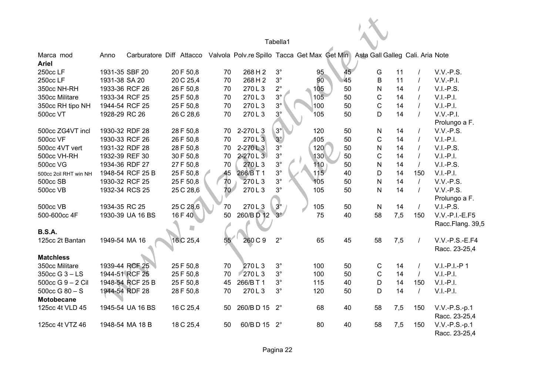|                                         |                |                  |           |    |             | Tabella1    |                 |    |                                                                                                        |                  |                                  |
|-----------------------------------------|----------------|------------------|-----------|----|-------------|-------------|-----------------|----|--------------------------------------------------------------------------------------------------------|------------------|----------------------------------|
| Marca mod<br><b>Ariel</b>               | Anno           |                  |           |    |             |             |                 |    | Carburatore Diff Attacco Valvola Polv.re Spillo Tacca Get Max Get Min Asta Gall Galleg Cali. Aria Note |                  |                                  |
| 250cc LF                                | 1931-35 SBF 20 |                  | 20 F 50,8 | 70 | 268 H 2     | $3^\circ$   | 95              | 45 | G<br>11                                                                                                | $\prime$         | $V.V.-P.S.$                      |
| 250cc LF                                | 1931-38 SA 20  |                  | 20 C 25,4 | 70 | 268 H 2     | $3^{\circ}$ | 90              | 45 | B                                                                                                      | 11               | $V.V.-P.I.$                      |
| 350cc NH-RH                             | 1933-36 RCF 26 |                  | 26 F 50,8 | 70 | 270L3       | $2^{\circ}$ | 105             | 50 | N                                                                                                      | 14               | $V.I.-P.S.$                      |
| 350cc Militare                          | 1933-34 RCF 25 |                  | 25 F 50,8 | 70 | 270L3       | $3^\circ$   | 10 <sub>5</sub> | 50 | $\mathsf C$                                                                                            | 14               | $V.I.-P.I.$                      |
| 350cc RH tipo NH                        | 1944-54 RCF 25 |                  | 25 F 50,8 | 70 | 270L3       | $3^{\circ}$ | 100             | 50 | $\mathsf C$                                                                                            | 14               | $V.I.-P.I.$                      |
| 500cc VT                                | 1928-29 RC 26  |                  | 26 C 28,6 | 70 | 270L3       | $3^\circ$   | 105             | 50 | D                                                                                                      | 14               | $V.V.-P.I.$                      |
|                                         |                |                  |           |    |             |             |                 |    |                                                                                                        |                  | Prolungo a F.                    |
| 500cc ZG4VT incl                        | 1930-32 RDF 28 |                  | 28 F 50,8 | 70 | 2-270L3     | $3^\circ$   | 120             | 50 | N                                                                                                      | 14<br>$\prime$   | V.V.-P.S.                        |
| <b>500cc VF</b>                         | 1930-33 RCF 26 |                  | 26 F 50,8 | 70 | 270L3       | $3^\circ$   | 105             | 50 | C                                                                                                      | 14<br>$\prime$   | $V.I.-P.I.$                      |
| 500cc 4VT vert                          | 1931-32 RDF 28 |                  | 28 F 50,8 | 70 | $2 - 270L3$ | $3^\circ$   | 120             | 50 | N                                                                                                      | 14<br>$\prime$   | $V.I.-P.S.$                      |
| 500cc VH-RH                             | 1932-39 REF 30 |                  | 30 F 50,8 | 70 | 2-270 L 3   | $3^{\circ}$ | 130             | 50 | $\mathsf C$                                                                                            | 14               | $V.I.-P.I.$                      |
| <b>500cc VG</b>                         | 1934-36 RDF 27 |                  | 27 F 50,8 | 70 | 270L3       | $3^{\circ}$ | 110             | 50 | $\mathsf{N}$                                                                                           | 14<br>$\prime$   | $V.I.-P.S.$                      |
| 500cc 2cil RHT win NH                   |                | 1948-54 RCF 25 B | 25 F 50,8 | 45 | 266/B T 1   | $3^{\circ}$ | 115             | 40 | D                                                                                                      | 14<br>150        | $V.I.-P.I.$                      |
| 500cc SB                                | 1930-32 RCF 25 |                  | 25 F 50,8 | 70 | 270L3       | $3^{\circ}$ | 105             | 50 | $\mathsf{N}$                                                                                           | 14<br>$\sqrt{ }$ | V.V.-P.S.                        |
| <b>500cc VB</b>                         | 1932-34 RCS 25 |                  | 25 C 28,6 | 70 | 270L3       | $3^{\circ}$ | 105             | 50 | N                                                                                                      | 14<br>$\prime$   | $V.V.-P.S.$                      |
|                                         |                |                  |           |    |             |             |                 |    |                                                                                                        |                  | Prolungo a F.                    |
| <b>500cc VB</b>                         | 1934-35 RC 25  |                  | 25 C 28,6 | 70 | 270L3       | $3^\circ$   | 105             | 50 | $\mathsf{N}$                                                                                           | 14<br>$\prime$   | $V.I.-P.S.$                      |
| 500-600cc 4F                            |                | 1930-39 UA 16 BS | 16 F 40   | 50 | 260/BD 12   | $3^\circ$   | 75              | 40 | 58<br>7,5                                                                                              | 150              | $V.V.-P.I.-E.F5$                 |
| <b>B.S.A.</b>                           |                |                  |           |    |             |             |                 |    |                                                                                                        |                  | Racc.Flang. 39,5                 |
| 125cc 2t Bantan                         | 1949-54 MA 16  |                  | 16 C 25,4 | 55 | 260 C 9     | $2^{\circ}$ | 65              | 45 | 58<br>7,5                                                                                              | $\prime$         | $V.V.-P.S.-E.F4$                 |
| <b>Matchless</b>                        |                |                  |           |    |             |             |                 |    |                                                                                                        |                  | Racc. 23-25,4                    |
| 350cc Militare                          |                | 1939-44 RCF 25   | 25 F 50,8 | 70 | 270L3       | $3^\circ$   | 100             | 50 | C                                                                                                      | 14<br>$\prime$   | $V.I.-P.I.-P 1$                  |
| 350cc G 3 - LS                          | 1944-51 RCF 25 |                  | 25 F 50,8 | 70 | 270L3       | $3^{\circ}$ | 100             | 50 | $\mathsf C$                                                                                            | 14<br>$\prime$   | $V.I.-P.I.$                      |
| 500cc G 9 - 2 Cil                       |                | 1948-54 RCF 25 B | 25 F 50,8 | 45 | 266/B T 1   | $3^{\circ}$ | 115             | 40 | D<br>14                                                                                                | 150              | $V.I.-P.I.$                      |
| $500cc$ G $80 - S$<br><b>Motobecane</b> | 1944-54 RDF 28 |                  | 28 F 50,8 | 70 | 270L3       | $3^{\circ}$ | 120             | 50 | D                                                                                                      | 14<br>$\prime$   | $V.I.-P.I.$                      |
| 125cc 4t VLD 45                         |                | 1945-54 UA 16 BS | 16 C 25,4 | 50 | 260/BD 15   | $2^{\circ}$ | 68              | 40 | 58<br>7,5                                                                                              | 150              | V.V.-P.S.-p.1<br>Racc. 23-25,4   |
| 125cc 4t VTZ 46                         |                | 1948-54 MA 18 B  | 18 C 25,4 | 50 | 60/BD 15    | $2^{\circ}$ | 80              | 40 | 58<br>7,5                                                                                              | 150              | $V.V.-P.S.-p.1$<br>Racc. 23-25,4 |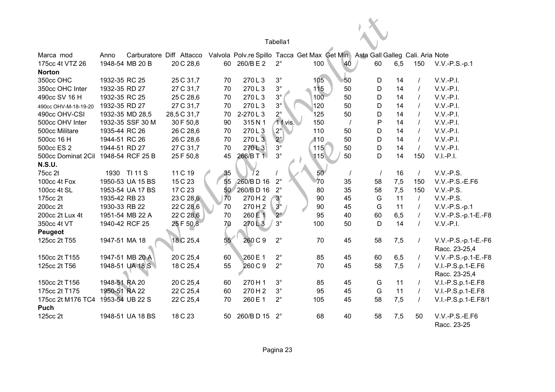|                                     |               |                  |             |    |                                                                                                        | Tabella1    |                 |          |          |     |     |                               |
|-------------------------------------|---------------|------------------|-------------|----|--------------------------------------------------------------------------------------------------------|-------------|-----------------|----------|----------|-----|-----|-------------------------------|
| Marca mod                           | Anno          |                  |             |    | Carburatore Diff Attacco Valvola Polv.re Spillo Tacca Get Max Get Min Asta Gall Galleg Cali. Aria Note |             |                 |          |          |     |     |                               |
| 175cc 4t VTZ 26                     |               | 1948-54 MB 20 B  | 20 C 28,6   |    | 60 260/BE2                                                                                             | $2^{\circ}$ | 100             | 40       | 60       | 6,5 | 150 | $V.V.-P.S.-p.1$               |
| <b>Norton</b>                       |               |                  |             |    |                                                                                                        |             |                 |          |          |     |     |                               |
| 350cc OHC                           | 1932-35 RC 25 |                  | 25 C 31,7   | 70 | 270L3                                                                                                  | $3^{\circ}$ | 105             | 50       | D        | 14  |     | $V.V.-P.I.$                   |
| 350cc OHC Inter                     | 1932-35 RD 27 |                  | 27 C 31,7   | 70 | 270L3                                                                                                  | $3^{\circ}$ | 115             | 50       | D        | 14  |     | $V.V.-P.I.$                   |
| 490cc SV 16 H                       | 1932-35 RC 25 |                  | 25 C 28,6   | 70 | 270L3                                                                                                  | $3^{\circ}$ | 100             | 50       | D        | 14  |     | $V.V.-P.I.$                   |
| 490cc OHV-M-18-19-20                | 1932-35 RD 27 |                  | 27 C 31,7   | 70 | 270L3                                                                                                  | $3^{\circ}$ | 120             | 50       | D        | 14  |     | $V.V.-P.I.$                   |
| 490cc OHV-CSI                       |               | 1932-35 MD 28,5  | 28,5 C 31,7 | 70 | 2-270L3                                                                                                | $2^\circ$   | 125             | 50       | D        | 14  |     | $V.V.-P.I.$                   |
| 500cc OHV Inter                     |               | 1932-35 SSF 30 M | 30 F 50,8   | 90 | 315N1                                                                                                  | 1 f vis.    | 150             | $\prime$ | P        | 14  |     | $V.V.-P.I.$                   |
| 500cc Militare                      | 1935-44 RC 26 |                  | 26 C 28,6   | 70 | 270L3                                                                                                  | $2^{\circ}$ | 110             | 50       | D        | 14  |     | $V.V.-P.I.$                   |
| 500cc 16 H                          | 1944-51 RC 26 |                  | 26 C 28,6   | 70 | 270L3                                                                                                  | $2^{\circ}$ | 110             | 50       | D        | 14  |     | $V.V.-P.I.$                   |
| 500cc ES 2                          | 1944-51 RD 27 |                  | 27 C 31,7   | 70 | 270L3                                                                                                  | $3^\circ$   | 115             | 50       | D        | 14  |     | $V.V.-P.I.$                   |
| 500cc Dominat 2Cil 1948-54 RCF 25 B |               |                  | 25 F 50,8   | 45 | 266/B T 1                                                                                              | $3^{\circ}$ | 115             | 50       | D        | 14  | 150 | $V.I.-P.I.$                   |
| <b>N.S.U.</b>                       |               |                  |             |    |                                                                                                        |             |                 |          |          |     |     |                               |
| 75cc 2t                             |               | 1930 TI 11 S     | 11 C 19     | 35 | $^{\prime}$ 2                                                                                          |             | 50 <sup>°</sup> | $\prime$ | $\prime$ | 16  |     | $V.V.-P.S.$                   |
| 100cc 4t Fox                        |               | 1950-53 UA 15 BS | 15 C 23     | 55 | 260/BD 16                                                                                              | $2^{\circ}$ | 70              | 35       | 58       | 7,5 | 150 | $V.V.-P.S.-E.F6$              |
| 100cc 4t SL                         |               | 1953-54 UA 17 BS | 17 C 23     | 50 | 260/BD 16                                                                                              | $2^{\circ}$ | 80              | 35       | 58       | 7,5 | 150 | V.V.-P.S.                     |
| 175cc 2t                            | 1935-42 RB 23 |                  | 23 C 28,6   | 70 | 270H2                                                                                                  | $3^\circ$   | 90              | 45       | G        | 11  |     | $V.V.-P.S.$                   |
| 200cc 2t                            | 1930-33 RB 22 |                  | 22 C 28,6   | 70 | 270H <sub>2</sub>                                                                                      | $3^\circ$   | 90              | 45       | G        | 11  |     | $V.V.-P.S.-p.1$               |
| 200cc 2t Lux 4t                     |               | 1951-54 MB 22 A  | 22 C 28,6   | 70 | 260 E 1                                                                                                | $2^{\circ}$ | 95              | 40       | 60       | 6,5 |     | V.V.-P.S.-p.1-E.-F8           |
| 350cc 4t VT                         |               | 1940-42 RCF 25   | 25 F 50,8   | 70 | 270L3                                                                                                  | $3^\circ$   | 100             | 50       | D        | 14  |     | $V.V.-P.I.$                   |
| <b>Peugeot</b>                      |               |                  |             |    |                                                                                                        |             |                 |          |          |     |     |                               |
| 125cc 2t T55                        | 1947-51 MA 18 |                  | 18 C 25,4   | 55 | 260 C 9                                                                                                | $2^{\circ}$ | 70              | 45       | 58       | 7,5 |     | V.V.-P.S.-p.1-E.-F6           |
|                                     |               |                  |             |    |                                                                                                        |             |                 |          |          |     |     | Racc. 23-25,4                 |
| 150cc 2t T155                       |               | 1947-51 MB 20 A  | 20 C 25,4   | 60 | 260 E 1                                                                                                | $2^{\circ}$ | 85              | 45       | 60       | 6,5 |     | V.V.-P.S.-p.1-E.-F8           |
| 125cc 2t T56                        |               | 1948-51 UA 18 S  | 18 C 25,4   | 55 | 260 C 9                                                                                                | $2^{\circ}$ | 70              | 45       | 58       | 7,5 |     | V.I.-P.S.p.1-E.F6             |
|                                     |               |                  |             |    |                                                                                                        |             |                 |          |          |     |     | Racc. 23-25,4                 |
| 150cc 2t T156                       | 1948-51 RA 20 |                  | 20 C 25,4   | 60 | 270 H 1                                                                                                | $3^{\circ}$ | 85              | 45       | G        | 11  |     | V.I.-P.S.p.1-E.F8             |
| 175cc 2t T175                       | 1950-51 RA 22 |                  | 22 C 25,4   | 60 | 270H2                                                                                                  | $3^\circ$   | 95              | 45       | G        | 11  |     | V.I.-P.S.p.1-E.F8             |
| 175cc 2t M176 TC4                   |               | 1953-54 UB 22 S  | 22 C 25,4   | 70 | 260 E 1                                                                                                | $2^{\circ}$ | 105             | 45       | 58       | 7,5 |     | V.I.-P.S.p.1-E.F8/1           |
| Puch                                |               |                  |             |    |                                                                                                        |             |                 |          |          |     |     |                               |
| 125cc 2t                            |               | 1948-51 UA 18 BS | 18 C 23     | 50 | 260/BD 15                                                                                              | $2^{\circ}$ | 68              | 40       | 58       | 7,5 | 50  | V.V.-P.S.-E.F6<br>Racc. 23-25 |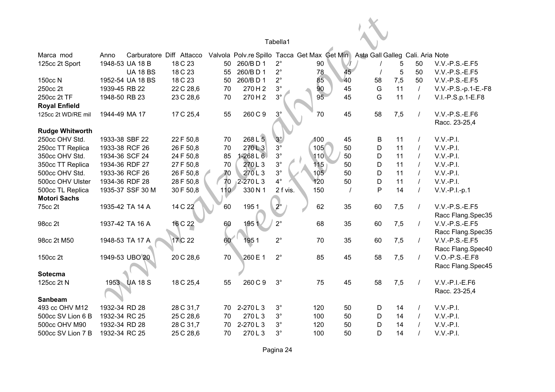|                        |                |                  |                          |                  |               | Tabella1    |                                                                               |    |    |     |          |                     |
|------------------------|----------------|------------------|--------------------------|------------------|---------------|-------------|-------------------------------------------------------------------------------|----|----|-----|----------|---------------------|
| Marca mod              | Anno           |                  | Carburatore Diff Attacco |                  |               |             | Valvola Polv.re Spillo Tacca Get Max Get Min Asta Gall Galleg Cali. Aria Note |    |    |     |          |                     |
| 125cc 2t Sport         |                | 1948-53 UA 18 B  | 18 C 23                  | 50               | 260/BD1       | $2^{\circ}$ | 90                                                                            |    |    | 5   | 50       | $V.V.-P.S.-E.F5$    |
|                        |                | <b>UA 18 BS</b>  | 18 C 23                  | 55               | 260/BD1       | $2^{\circ}$ | 78                                                                            | 45 |    | 5   | 50       | $V.V.-P.S.-E.F5$    |
| 150cc N                |                | 1952-54 UA 18 BS | 18 C 23                  | 50               | 260/BD1       | $2^{\circ}$ | 85                                                                            | 40 | 58 | 7,5 | 50       | $V.V.-P.S.-E.F5$    |
| 250cc 2t               | 1939-45 RB 22  |                  | 22 C 28,6                | 70               | 270H2         | $3^\circ$   | 90                                                                            | 45 | G  | 11  | $\prime$ | V.V.-P.S.-p.1-E.-F8 |
| 250cc 2t TF            | 1948-50 RB 23  |                  | 23 C 28,6                | 70               | 270H2         | $3^\circ$   | 95                                                                            | 45 | G  | 11  | $\prime$ | V.I.-P.S.p.1-E.F8   |
| <b>Royal Enfield</b>   |                |                  |                          |                  |               |             |                                                                               |    |    |     |          |                     |
| 125cc 2t WD/RE mil     | 1944-49 MA 17  |                  | 17 C 25,4                | 55               | 260 C 9       | $3^\circ$   | 70                                                                            | 45 | 58 | 7,5 | $\prime$ | V.V.-P.S.-E.F6      |
|                        |                |                  |                          |                  |               |             |                                                                               |    |    |     |          | Racc. 23-25,4       |
| <b>Rudge Whitworth</b> |                |                  |                          |                  |               |             |                                                                               |    |    |     |          |                     |
| 250cc OHV Std.         |                | 1933-38 SBF 22   | 22 F 50,8                | 70               | 268 L 5       | $3^\circ$   | 100                                                                           | 45 | В  | 11  | $\prime$ | $V.V.-P.I.$         |
| 250cc TT Replica       |                | 1933-38 RCF 26   | 26 F 50,8                | 70               | 270L3         | $3^\circ$   | 105                                                                           | 50 | D  | 11  |          | $V.V.-P.I.$         |
| 350cc OHV Std.         |                | 1934-36 SCF 24   | 24 F 50,8                | 85               | $1 - 268$ L 6 | $3^{\circ}$ | 110                                                                           | 50 | D  | 11  |          | $V.V.-P.I.$         |
| 350cc TT Replica       |                | 1934-36 RDF 27   | 27 F 50,8                | 70               | 270L3         | $3^{\circ}$ | 115                                                                           | 50 | D  | 11  |          | $V.V.-P.I.$         |
| 500cc OHV Std.         |                | 1933-36 RCF 26   | 26 F 50,8                | 70               | 270L3         | $3^{\circ}$ | 105                                                                           | 50 | D  | 11  |          | $V.V.-P.I.$         |
| 500cc OHV Ulster       | 1934-36 RDF 28 |                  | 28 F 50,8                | 70               | $2 - 270$ L 3 | $4^\circ$   | 120                                                                           | 50 | D  | 11  | $\prime$ | $V.V.-P.I.$         |
| 500cc TL Replica       |                | 1935-37 SSF 30 M | 30 F 50,8                | 110 <sup>7</sup> | 330 N 1       | 2 f vis.    | 150                                                                           |    | P  | 14  | $\prime$ | V.V.-P.I.-p.1       |
| <b>Motori Sachs</b>    |                |                  |                          |                  |               |             |                                                                               |    |    |     |          |                     |
| 75cc 2t                |                | 1935-42 TA 14 A  | 14 C 22                  | 60               | 1951          | $2^{\circ}$ | 62                                                                            | 35 | 60 | 7,5 | $\prime$ | V.V.-P.S.-E.F5      |
|                        |                |                  |                          |                  |               |             |                                                                               |    |    |     |          | Racc Flang.Spec35   |
| 98cc 2t                |                | 1937-42 TA 16 A  | 16 C 22                  | 60               | 1951          | $2^{\circ}$ | 68                                                                            | 35 | 60 | 7,5 | $\prime$ | $V.V.-P.S.-E.F5$    |
|                        |                |                  |                          |                  |               |             |                                                                               |    |    |     |          | Racc Flang.Spec35   |
| 98cc 2t M50            |                | 1948-53 TA 17 A  | 17 C 22                  | 60               | 1951          | $2^{\circ}$ | 70                                                                            | 35 | 60 | 7,5 | $\prime$ | $V.V.-P.S.-E.F5$    |
|                        |                |                  |                          |                  |               |             |                                                                               |    |    |     |          | Racc Flang.Spec40   |
| 150cc 2t               |                | 1949-53 UBO 20   | 20 C 28,6                | 70               | 260 E 1       | $2^{\circ}$ | 85                                                                            | 45 | 58 | 7,5 | $\prime$ | V.O.-P.S.-E.F8      |
|                        |                |                  |                          |                  |               |             |                                                                               |    |    |     |          | Racc Flang.Spec45   |
| Sotecma                |                |                  |                          |                  |               |             |                                                                               |    |    |     |          |                     |
| 125cc 2t N             |                | 1953 UA 18 S     | 18 C 25,4                | 55               | 260 C 9       | $3^{\circ}$ | 75                                                                            | 45 | 58 | 7,5 |          | $V.V.-P.I.-E.F6$    |
|                        |                |                  |                          |                  |               |             |                                                                               |    |    |     |          | Racc. 23-25,4       |
| <b>Sanbeam</b>         |                |                  |                          |                  |               |             |                                                                               |    |    |     |          |                     |
| 493 cc OHV M12         | 1932-34 RD 28  |                  | 28 C 31,7                | 70               | 2-270L3       | $3^\circ$   | 120                                                                           | 50 | D  | 14  |          | $V.V.-P.I.$         |
| 500cc SV Lion 6 B      | 1932-34 RC 25  |                  | 25 C 28,6                | 70               | 270L3         | $3^\circ$   | 100                                                                           | 50 | D  | 14  |          | $V.V.-P.I.$         |
| 500cc OHV M90          | 1932-34 RD 28  |                  | 28 C 31,7                | 70               | 2-270L3       | $3^{\circ}$ | 120                                                                           | 50 | D  | 14  |          | $V.V.-P.I.$         |
| 500cc SV Lion 7 B      | 1932-34 RC 25  |                  | 25 C 28,6                | 70               | 270L3         | $3^\circ$   | 100                                                                           | 50 | D  | 14  |          | $V.V.-P.I.$         |

Pagina 24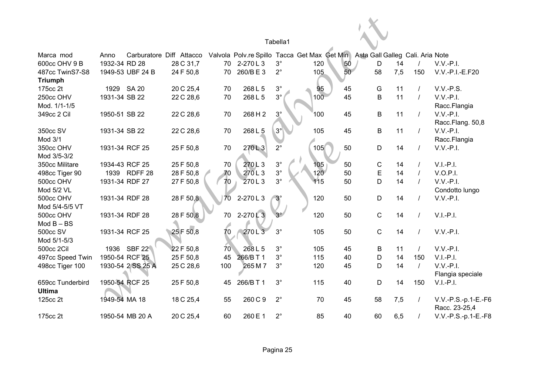|                                  |               |                   |                          |                 |           | Tabella1    |                                              |          |                                  |     |          |                     |
|----------------------------------|---------------|-------------------|--------------------------|-----------------|-----------|-------------|----------------------------------------------|----------|----------------------------------|-----|----------|---------------------|
| Marca mod                        | Anno          |                   | Carburatore Diff Attacco |                 |           |             | Valvola Polv.re Spillo Tacca Get Max Get Min |          | Asta Gall Galleg Cali. Aria Note |     |          |                     |
| 600cc OHV 9 B                    | 1932-34 RD 28 |                   | 28 C 31,7                | 70              | 2-270L3   | $3^\circ$   | 120                                          | 50       | D                                | 14  |          | $V.V.-P.I.$         |
| 487cc TwinS7-S8                  |               | 1949-53 UBF 24 B  | 24 F 50,8                | 70              | 260/BE3   | $2^{\circ}$ | 105                                          | 50       | 58                               | 7,5 | 150      | V.V.-P.I.-E.F20     |
| <b>Triumph</b>                   |               |                   |                          |                 |           |             |                                              |          |                                  |     |          |                     |
| 175cc 2t                         |               | 1929 SA 20        | 20 C 25,4                | 70              | 268 L 5   | $3^{\circ}$ | 95                                           | 45       | G                                | 11  |          | V.V.-P.S.           |
| 250cc OHV                        | 1931-34 SB 22 |                   | 22 C 28,6                | 70              | 268 L 5   | $3^{\circ}$ | 100                                          | 45       | $\sf B$                          | 11  |          | $V.V.-P.I.$         |
| Mod. 1/1-1/5                     |               |                   |                          |                 |           |             |                                              |          |                                  |     |          | Racc.Flangia        |
| 349cc 2 Cil                      | 1950-51 SB 22 |                   | 22 C 28,6                | 70              | 268 H 2   | $3^\circ$   | 100                                          | 45       | B                                | 11  | $\prime$ | $V.V.-P.I.$         |
|                                  |               |                   |                          |                 |           |             |                                              |          |                                  |     |          | Racc.Flang. 50,8    |
| 350cc SV                         | 1931-34 SB 22 |                   | 22 C 28,6                | 70              | 268 L 5   | $3^\circ$   | 105                                          | 45       | B                                | 11  | $\prime$ | $V.V.-P.I.$         |
| Mod 3/1                          |               |                   |                          |                 |           |             |                                              |          |                                  |     |          | Racc.Flangia        |
| 350cc OHV                        |               | 1931-34 RCF 25    | 25 F 50,8                | 70              | 270L3     | $2^{\circ}$ | 105                                          | 50       | D                                | 14  | $\prime$ | $V.V.-P.I.$         |
| Mod 3/5-3/2                      |               |                   |                          |                 |           |             |                                              |          |                                  |     |          |                     |
| 350cc Militare                   |               | 1934-43 RCF 25    | 25 F 50,8                | 70              | 270L3     | $3^\circ$   | 105                                          | 50       | $\mathsf C$                      | 14  |          | $V.I.-P.I.$         |
| 498cc Tiger 90                   |               | 1939 RDFF 28      | 28 F 50,8                | 70              | 270L3     | $3^\circ$   | 120 <sup>7</sup>                             | 50       | E                                | 14  |          | V.O.P.I.            |
| 500cc OHV                        |               | 1931-34 RDF 27    | 27 F 50,8                | 70              | 270L3     | $3^\circ$   | 115                                          | 50       | D                                | 14  |          | $V.V.-P.I.$         |
| Mod 5/2 VL                       |               |                   |                          |                 |           |             |                                              |          |                                  |     |          | Condotto lungo      |
| 500cc OHV                        |               | 1931-34 RDF 28    | 28 F 50,8                | 70              | 2-270L3   | $3^\circ$   | 120                                          | 50       | $\mathsf D$                      | 14  |          | $V.V.-P.I.$         |
| Mod 5/4-5/5 VT                   |               |                   |                          |                 |           |             |                                              |          |                                  |     |          |                     |
| 500cc OHV                        |               | 1931-34 RDF 28    | 28 F 50,8                | 70              | $2-270L3$ | $3^\circ$   | 120                                          | 50       | $\mathsf{C}$                     | 14  |          | $V.I.-P.I.$         |
| $Mod B - BS$                     |               |                   |                          |                 |           | $3^{\circ}$ |                                              |          |                                  |     |          |                     |
| 500cc SV                         |               | 1931-34 RCF 25    | 25 F 50,8                | 70              | 270L3     |             | 105                                          | 50       | $\mathsf C$                      | 14  |          | $V.V.-P.I.$         |
| Mod 5/1-5/3<br><b>500cc 2Cil</b> |               | 1936 SBF 22       | 22 F 50,8                | 70 <sub>1</sub> | 268L5     | $3^{\circ}$ | 105                                          |          |                                  | 11  |          | $V.V.-P.I.$         |
| 497cc Speed Twin                 |               | 1950-54 RCF 25    | 25 F 50,8                | 45              | 266/B T 1 | $3^\circ$   | 115                                          | 45<br>40 | B<br>$\mathsf D$                 | 14  | 150      | $V.I.-P.I.$         |
| 498cc Tiger 100                  |               | 1930-54 2 SS 25 A | 25 C 28,6                | 100             | 265 M 7   | $3^\circ$   | 120                                          | 45       | D                                | 14  |          | $V.V.-P.I.$         |
|                                  |               |                   |                          |                 |           |             |                                              |          |                                  |     |          | Flangia speciale    |
| 659cc Tunderbird                 |               | 1950-54 RCF 25    | 25 F 50,8                | 45              | 266/B T 1 | $3^\circ$   | 115                                          | 40       | D                                | 14  | 150      | $V.I.-P.I.$         |
| <b>Ultima</b>                    |               |                   |                          |                 |           |             |                                              |          |                                  |     |          |                     |
| 125cc 2t                         | 1949-54 MA 18 |                   | 18 C 25,4                | 55              | 260 C 9   | $2^{\circ}$ | 70                                           | 45       | 58                               | 7,5 |          | V.V.-P.S.-p.1-E.-F6 |
|                                  |               |                   |                          |                 |           |             |                                              |          |                                  |     |          | Racc. 23-25,4       |
| 175cc 2t                         |               | 1950-54 MB 20 A   | 20 C 25,4                | 60              | 260 E 1   | $2^{\circ}$ | 85                                           | 40       | 60                               | 6,5 |          | V.V.-P.S.-p.1-E.-F8 |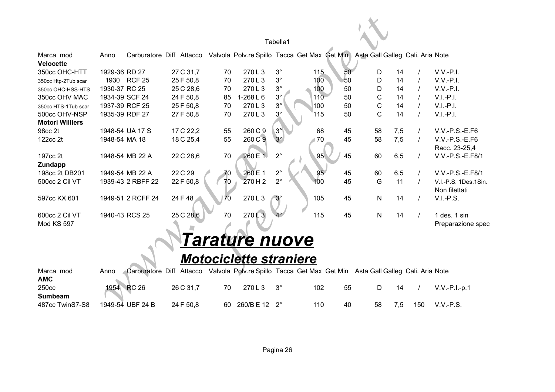|                                     |                |                   |                          |    |                               | Tabella1    |     |    |                                                                               |          |                                       |
|-------------------------------------|----------------|-------------------|--------------------------|----|-------------------------------|-------------|-----|----|-------------------------------------------------------------------------------|----------|---------------------------------------|
| Marca mod<br><b>Velocette</b>       | Anno           |                   | Carburatore Diff Attacco |    |                               |             |     |    | Valvola Polv.re Spillo Tacca Get Max Get Min Asta Gall Galleg Cali. Aria Note |          |                                       |
| 350cc OHC-HTT                       | 1929-36 RD 27  |                   | 27 C 31,7                | 70 | 270L3                         | $3^{\circ}$ | 115 | 50 | 14<br>D                                                                       | $\prime$ | $V.V.-P.I.$                           |
| 350cc Htp-2Tub scar                 |                | 1930 RCF 25       | 25 F 50,8                | 70 | 270L3                         | $3^{\circ}$ | 100 | 50 | D<br>14                                                                       |          | $V.V.-P.I.$                           |
| 350cc OHC-HSS-HTS                   | 1930-37 RC 25  |                   | 25 C 28,6                | 70 | 270L3                         | $3^{\circ}$ | 100 | 50 | D<br>14                                                                       |          | $V.V.-P.I.$                           |
| 350cc OHV MAC                       | 1934-39 SCF 24 |                   | 24 F 50,8                | 85 | $1 - 268 L 6$                 | $3^\circ$   | 110 | 50 | C<br>14                                                                       |          | $V.I.-P.I.$                           |
| 350cc HTS-1Tub scar                 | 1937-39 RCF 25 |                   | 25 F 50,8                | 70 | 270L3                         | $3^\circ$   | 100 | 50 | $\mathsf C$<br>14                                                             |          | $V.I.-P.I.$                           |
| 500cc OHV-NSP                       | 1935-39 RDF 27 |                   | 27 F 50,8                | 70 | 270L3                         | $3^\circ$   | 115 | 50 | $\mathsf{C}$<br>14                                                            |          | $V.I.-P.I.$                           |
| <b>Motori Williers</b>              |                |                   |                          |    |                               |             |     |    |                                                                               |          |                                       |
| 98cc 2t                             |                | 1948-54 UA 17 S   | 17 C 22,2                | 55 | 260 C 9                       | $3^\circ$   | 68  | 45 | 58<br>7,5                                                                     | $\prime$ | V.V.-P.S.-E.F6                        |
| 122cc 2t                            | 1948-54 MA 18  |                   | 18 C 25,4                | 55 | 260 C 9                       | $3^\circ$   | 70  | 45 | 58<br>7,5                                                                     |          | V.V.-P.S.-E.F6                        |
|                                     |                |                   |                          |    |                               |             |     |    |                                                                               |          | Racc. 23-25,4                         |
| 197cc 2t                            |                | 1948-54 MB 22 A   | 22 C 28,6                | 70 | 260 E 1                       | $2^{\circ}$ | 95  | 45 | 60<br>6,5                                                                     |          | V.V.-P.S.-E.F8/1                      |
| Zundapp                             |                |                   |                          |    |                               |             |     |    |                                                                               |          |                                       |
| 198cc 2t DB201                      |                | 1949-54 MB 22 A   | 22 C 29                  | 70 | 260 E 1                       | $2^{\circ}$ | 95  | 45 | 60<br>6,5                                                                     |          | V.V.-P.S.-E.F8/1                      |
| 500cc 2 Cil VT                      |                | 1939-43 2 RBFF 22 | 22 F 50,8                | 70 | 270H2                         | $2^{\circ}$ | 100 | 45 | G<br>11                                                                       | $\prime$ | V.I.-P.S. 1Des.1Sin.<br>Non filettati |
| 597cc KX 601                        |                | 1949-51 2 RCFF 24 | 24 F 48                  | 70 | 270L3                         | $3^\circ$   | 105 | 45 | N<br>14                                                                       |          | V.I.-P.S.                             |
| 600cc 2 Cil VT<br><b>Mod KS 597</b> | 1940-43 RCS 25 |                   | 25 C 28,6                | 70 | 270L3                         |             | 115 | 45 | ${\sf N}$<br>14                                                               | $\prime$ | 1 des. 1 sin<br>Preparazione spec     |
|                                     |                |                   |                          |    | Tarature nuove                |             |     |    |                                                                               |          |                                       |
|                                     |                |                   |                          |    | <b>Motociclette straniere</b> |             |     |    |                                                                               |          |                                       |
| Marca mod<br><b>AMC</b>             | Anno           |                   | Carburatore Diff Attacco |    |                               |             |     |    | Valvola Polv.re Spillo Tacca Get Max Get Min Asta Gall Galleg Cali. Aria Note |          |                                       |
| 250cc<br><b>Sumbeam</b>             | 1954           | <b>RC 26</b>      | 26 C 31,7                | 70 | 270L3                         | $3^\circ$   | 102 | 55 | D<br>14                                                                       |          | $V.V.-P.I.-p.1$                       |
| 487cc TwinS7-S8                     |                | 1949-54 UBF 24 B  | 24 F 50,8                | 60 | 260/BE12                      | $2^{\circ}$ | 110 | 40 | 58<br>7,5                                                                     | 150      | $V.V.-P.S.$                           |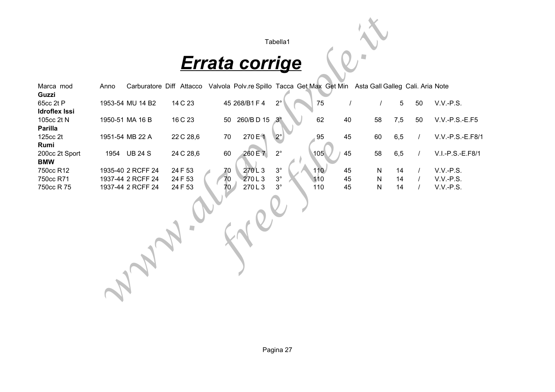

# *Errata corrige*

|                                            |      |                   |                                                                                                        |    |                       | Tabella1       |     |          |              |     |          |                  |
|--------------------------------------------|------|-------------------|--------------------------------------------------------------------------------------------------------|----|-----------------------|----------------|-----|----------|--------------|-----|----------|------------------|
|                                            |      |                   |                                                                                                        |    | <b>Errata corrige</b> |                |     |          |              |     |          |                  |
| Marca mod                                  | Anno |                   | Carburatore Diff Attacco Valvola Polv.re Spillo Tacca Get Max Get Min Asta Gall Galleg Cali. Aria Note |    |                       |                |     |          |              |     |          |                  |
| Guzzi<br>65cc 2t P<br><b>Idroflex Issi</b> |      | 1953-54 MU 14 B2  | 14 C 23                                                                                                |    | 45 268/B1 F 4         | $2^{\circ}$    | 75  | $\prime$ | $\prime$     | 5   | 50       | V.V.-P.S.        |
| 105cc 2t N                                 |      | 1950-51 MA 16 B   | 16 C 23                                                                                                | 50 | 260/BD 15             | 3 <sup>°</sup> | 62  | 40       | 58           | 7,5 | 50       | V.V.-P.S.-E.F5   |
| <b>Parilla</b><br>125cc 2t<br>Rumi         |      | 1951-54 MB 22 A   | 22 C 28,6                                                                                              | 70 | 270 E 1               | 2 <sup>°</sup> | 95  | 45       | 60           | 6,5 | $\prime$ | V.V.-P.S.-E.F8/1 |
| 200cc 2t Sport<br><b>BMW</b>               |      | 1954 UB 24 S      | 24 C 28,6                                                                                              | 60 | 260 E 7               | $2^{\circ}$    | 105 | 45       | 58           | 6,5 | $\prime$ | V.I.-P.S.-E.F8/1 |
| 750cc R12                                  |      | 1935-40 2 RCFF 24 | 24 F 53                                                                                                | 70 | 270L3                 | $3^{\circ}$    | 110 | 45       | $\mathsf{N}$ | 14  |          | V.V.-P.S.        |
| 750cc R71                                  |      | 1937-44 2 RCFF 24 | 24 F 53                                                                                                | 70 | 270L3                 | $3^{\circ}$    | 110 | 45       | $\mathsf{N}$ | 14  |          | V.V.-P.S.        |
| 750cc R 75                                 |      | 1937-44 2 RCFF 24 | 24 F 53                                                                                                | 70 | 270L3                 | $3^{\circ}$    | 110 | 45       | $\mathsf{N}$ | 14  |          | V.V.-P.S.        |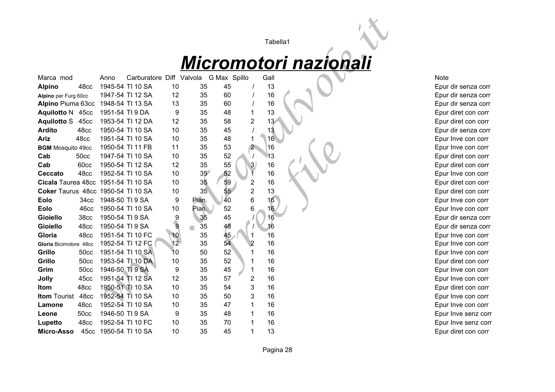# *Micromotori nazionali*

|                                    |                  |                 |                          |                  |                 |              |             |                                   | Tabella1                     |                     |
|------------------------------------|------------------|-----------------|--------------------------|------------------|-----------------|--------------|-------------|-----------------------------------|------------------------------|---------------------|
|                                    |                  |                 |                          |                  |                 |              |             |                                   | <u>Micromotori nazionali</u> |                     |
| Marca mod                          |                  | Anno            | Carburatore Diff Valvola |                  |                 | G Max Spillo |             | Gall                              |                              | <b>Note</b>         |
| <b>Alpino</b>                      | 48cc             |                 | 1945-54 TI 10 SA         | 10               | 35              | 45           |             | 13                                |                              | Epur dir senza corr |
| Alpino per Furg 60cc               |                  |                 | 1947-54 TI 12 SA         | 12               | 35              | 60           |             | 16                                |                              | Epur dir senza corr |
| Alpino Piuma 63cc                  |                  |                 | 1948-54 TI 13 SA         | 13               | 35              | 60           |             | 16                                |                              | Epur dir senza corr |
| Aquilotto N 45cc                   |                  | 1951-54 TI 9 DA |                          | 9                | 35              | 48           | 1           | 13                                |                              | Epur diret con corr |
| <b>Aquilotto S</b>                 | 45cc             |                 | 1953-54 TI 12 DA         | 12               | 35              | 58           |             | $\overline{2}$<br>13 <sub>l</sub> |                              | Epur diret con corr |
| <b>Ardito</b>                      | 48cc             |                 | 1950-54 TI 10 SA         | 10               | 35              | 45           |             | 13                                |                              | Epur dir senza corr |
| <b>Ariz</b>                        | 48cc             |                 | 1951-54 TI 10 SA         | 10               | 35              | 48           | 1           | 16                                |                              | Epur Inve con corr  |
| <b>BGM</b> Mosquito 49cc           |                  |                 | 1950-54 TI 11 FB         | 11               | 35              | 53           |             | 2 <sup>2</sup><br>16              |                              | Epur Inve con corr  |
| Cab                                | <b>50cc</b>      |                 | 1947-54 TI 10 SA         | 10               | 35              | 52           |             | 13                                |                              | Epur diret con corr |
| Cab                                | 60cc             |                 | 1950-54 TI 12 SA         | 12               | 35              | 55           |             | 16<br>3                           |                              | Epur diret con corr |
| Ceccato                            | 48cc             |                 | 1952-54 TI 10 SA         | 10               | 35 <sup>2</sup> | 52           |             | 16                                |                              | Epur Inve con corr  |
| Cicala Taurea 48cc                 |                  |                 | 1951-54 TI 10 SA         | 10               | 3 <sub>5</sub>  | 59           | 2           | 16                                |                              | Epur diret con corr |
| Coker Taurus 48cc 1950-54 TI 10 SA |                  |                 |                          | 10               | 35 <sub>2</sub> | 55           |             | $\overline{2}$<br>13              |                              | Epur diret con corr |
| <b>Eolo</b>                        | 34cc             | 1948-50 TI 9 SA |                          | 9                | Pian.           | 40           |             | 16<br>6                           |                              | Epur Inve con corr  |
| <b>Eolo</b>                        | 46cc             |                 | 1950-54 TI 10 SA         | 10               | Pian.           | 52           | 6           | 16 <sub>1</sub>                   |                              | Epur Inve con corr  |
| <b>Gioiello</b>                    | <b>38cc</b>      | 1950-54 TI 9 SA |                          | $\boldsymbol{9}$ | 35              | 45           |             | 16                                |                              | Epur dir senza corr |
| Gioiello                           | 48cc             | 1950-54 TI 9 SA |                          | $\overline{9}$   | 35              | 48           |             | 16                                |                              | Epur dir senza corr |
| Gloria                             | 48cc             |                 | 1951-54 TI 10 FC         | 10               | 35              | 45           |             | 16                                |                              | Epur Inve con corr  |
| Gloria Bicimotore 48cc             |                  |                 | 1952-54 TI 12 FC         | 12               | 35              | 54           |             | 16                                |                              | Epur Inve con corr  |
| Grillo                             | <b>50cc</b>      |                 | 1951-54 TI 10 SA         | 10               | 50              | 52           |             | 16                                |                              | Epur Inve con corr  |
| Grillo                             | 50 <sub>cc</sub> |                 | 1953-54 TI 10 DA         | 10               | 35              | 52           |             | 16                                |                              | Epur diret con corr |
| Grim                               | 50 <sub>cc</sub> | 1946-50 TI 9 SA |                          | 9                | 35              | 45           | 1           | 16                                |                              | Epur Inve con corr  |
| <b>Jolly</b>                       | 45cc             |                 | 1951-54 TI 12 SA         | 12               | 35              | 57           | 2           | 16                                |                              | Epur Inve con corr  |
| Itom                               | 48cc             |                 | 1950-51 TI 10 SA         | 10               | 35              | 54           | 3           | 16                                |                              | Epur diret con corr |
| <b>Itom Tourist</b>                | 48cc             |                 | 1952-54 TI 10 SA         | 10               | 35              | 50           | 3           | 16                                |                              | Epur Inve con corr  |
| Lamone                             | 48cc             |                 | 1952-54 TI 10 SA         | 10               | 35              | 47           | $\mathbf 1$ | 16                                |                              | Epur Inve con corr  |
| Leone                              | 50 <sub>cc</sub> | 1946-50 TI 9 SA |                          | 9                | 35              | 48           | 1           | 16                                |                              | Epur Inve senz cor  |
| Lupetto                            | 48cc             |                 | 1952-54 TI 10 FC         | 10               | 35              | 70           |             | 16                                |                              | Epur Inve senz cor  |
| Micro-Asso                         | 45cc             |                 | 1950-54 TI 10 SA         | 10               | 35              | 45           | 1           | 13                                |                              | Epur diret con corr |

Epur dir senza corr Epur diret con corr Epur diret con corr Epur dir senza corr Epur Inve con corr Epur Inve con corr Epur diret con corr Epur diret con corr Epur Inve con corr Epur diret con corr Epur diret con corr Epur Inve con corr Epur Inve con corr Epur dir senza corr Epur dir senza corr Epur Inve con corr Epur Inve con corr Epur Inve con corr Epur diret con corr Epur Inve con corr Epur Inve con corr Epur diret con corr Epur Inve con corr Epur Inve con corr Epur Inve senz corr Epur Inve senz corr Epur diret con corr